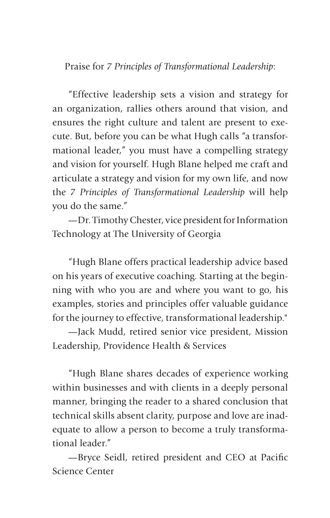Praise for *7 Principles of Transformational Leadership*:

"Effective leadership sets a vision and strategy for an organization, rallies others around that vision, and ensures the right culture and talent are present to execute. But, before you can be what Hugh calls "a transformational leader," you must have a compelling strategy and vision for yourself. Hugh Blane helped me craft and articulate a strategy and vision for my own life, and now the *7 Principles of Transformational Leadership* will help you do the same."

—Dr. Timothy Chester, vice president for Information Technology at The University of Georgia

"Hugh Blane offers practical leadership advice based on his years of executive coaching. Starting at the beginning with who you are and where you want to go, his examples, stories and principles offer valuable guidance for the journey to effective, transformational leadership."

—Jack Mudd, retired senior vice president, Mission Leadership, Providence Health & Services

"Hugh Blane shares decades of experience working within businesses and with clients in a deeply personal manner, bringing the reader to a shared conclusion that technical skills absent clarity, purpose and love are inadequate to allow a person to become a truly transformational leader."

—Bryce Seidl, retired president and CEO at Pacific Science Center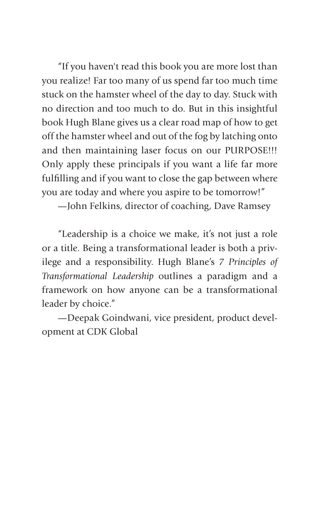"If you haven't read this book you are more lost than you realize! Far too many of us spend far too much time stuck on the hamster wheel of the day to day. Stuck with no direction and too much to do. But in this insightful book Hugh Blane gives us a clear road map of how to get off the hamster wheel and out of the fog by latching onto and then maintaining laser focus on our PURPOSE!!! Only apply these principals if you want a life far more fulfilling and if you want to close the gap between where you are today and where you aspire to be tomorrow!"

—John Felkins, director of coaching, Dave Ramsey

"Leadership is a choice we make, it's not just a role or a title. Being a transformational leader is both a privilege and a responsibility. Hugh Blane's *7 Principles of Transformational Leadership* outlines a paradigm and a framework on how anyone can be a transformational leader by choice."

—Deepak Goindwani, vice president, product development at CDK Global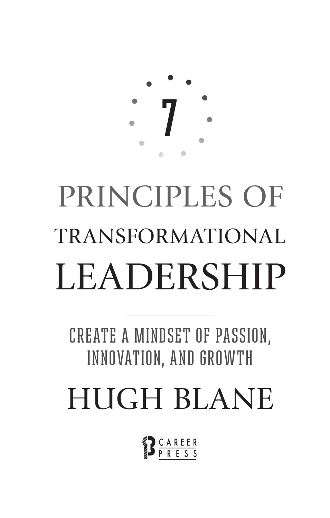

# PRINCIPLES OF TRANSFORMATIONAL LEADERSHIP

CREATE A MINDSET OF PASSION, INNOVATION, AND GROWTH

# HUGH BLANE

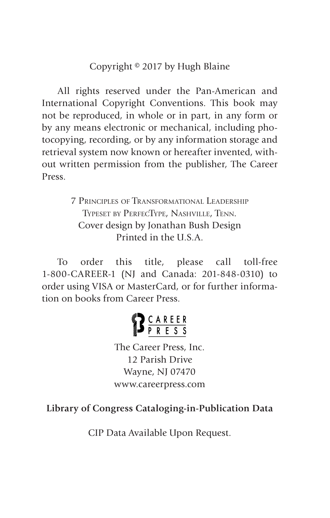## Copyright © 2017 by Hugh Blaine

All rights reserved under the Pan-American and International Copyright Conventions. This book may not be reproduced, in whole or in part, in any form or by any means electronic or mechanical, including photocopying, recording, or by any information storage and retrieval system now known or hereafter invented, without written permission from the publisher, The Career Press.

> 7 Principles of Transformational Leadership Typeset by PerfecType, Nashville, Tenn. Cover design by Jonathan Bush Design Printed in the U.S.A.

To order this title, please call toll-free 1-800-CAREER-1 (NJ and Canada: 201-848-0310) to order using VISA or MasterCard, or for further information on books from Career Press.



The Career Press, Inc. 12 Parish Drive Wayne, NJ 07470 www.careerpress.com

**Library of Congress Cataloging-in-Publication Data**

CIP Data Available Upon Request.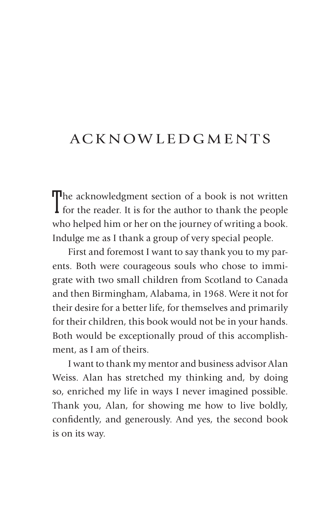# ACKNOWLEDGMENTS

The acknowledgment section of a book is not written<br>for the reader. It is for the author to thank the people **I** for the reader. It is for the author to thank the people who helped him or her on the journey of writing a book. Indulge me as I thank a group of very special people.

First and foremost I want to say thank you to my parents. Both were courageous souls who chose to immigrate with two small children from Scotland to Canada and then Birmingham, Alabama, in 1968. Were it not for their desire for a better life, for themselves and primarily for their children, this book would not be in your hands. Both would be exceptionally proud of this accomplishment, as I am of theirs.

I want to thank my mentor and business advisor Alan Weiss. Alan has stretched my thinking and, by doing so, enriched my life in ways I never imagined possible. Thank you, Alan, for showing me how to live boldly, confidently, and generously. And yes, the second book is on its way.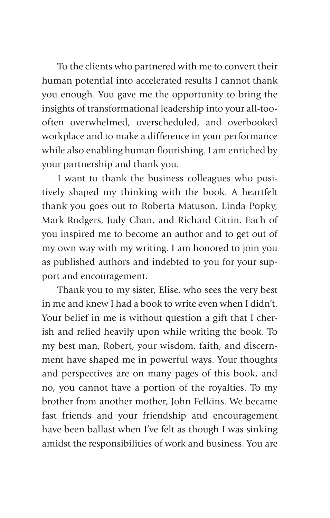To the clients who partnered with me to convert their human potential into accelerated results I cannot thank you enough. You gave me the opportunity to bring the insights of transformational leadership into your all-toooften overwhelmed, overscheduled, and overbooked workplace and to make a difference in your performance while also enabling human flourishing. I am enriched by your partnership and thank you.

I want to thank the business colleagues who positively shaped my thinking with the book. A heartfelt thank you goes out to Roberta Matuson, Linda Popky, Mark Rodgers, Judy Chan, and Richard Citrin. Each of you inspired me to become an author and to get out of my own way with my writing. I am honored to join you as published authors and indebted to you for your support and encouragement.

Thank you to my sister, Elise, who sees the very best in me and knew I had a book to write even when I didn't. Your belief in me is without question a gift that I cherish and relied heavily upon while writing the book. To my best man, Robert, your wisdom, faith, and discernment have shaped me in powerful ways. Your thoughts and perspectives are on many pages of this book, and no, you cannot have a portion of the royalties. To my brother from another mother, John Felkins. We became fast friends and your friendship and encouragement have been ballast when I've felt as though I was sinking amidst the responsibilities of work and business. You are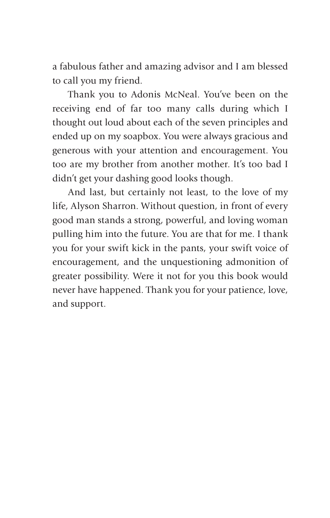a fabulous father and amazing advisor and I am blessed to call you my friend.

Thank you to Adonis McNeal. You've been on the receiving end of far too many calls during which I thought out loud about each of the seven principles and ended up on my soapbox. You were always gracious and generous with your attention and encouragement. You too are my brother from another mother. It's too bad I didn't get your dashing good looks though.

And last, but certainly not least, to the love of my life, Alyson Sharron. Without question, in front of every good man stands a strong, powerful, and loving woman pulling him into the future. You are that for me. I thank you for your swift kick in the pants, your swift voice of encouragement, and the unquestioning admonition of greater possibility. Were it not for you this book would never have happened. Thank you for your patience, love, and support.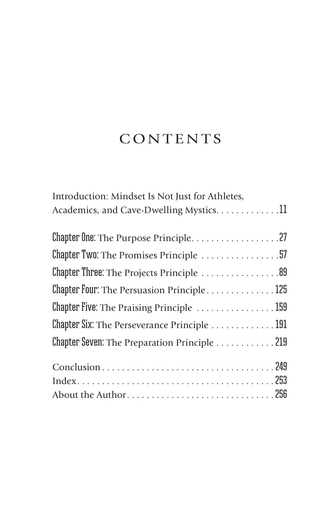# CONTENTS

| Introduction: Mindset Is Not Just for Athletes,                                      |
|--------------------------------------------------------------------------------------|
| Academics, and Cave-Dwelling Mystics. 11                                             |
|                                                                                      |
| Chapter One: The Purpose Principle27                                                 |
| Chapter Two: The Promises Principle 57                                               |
| Chapter Three: The Projects Principle 89                                             |
| Chapter Four: The Persuasion Principle125                                            |
| <b>Chapter Five:</b> The Praising Principle $\ldots \ldots \ldots \ldots \ldots 159$ |
| <b>Chapter Six:</b> The Perseverance Principle $\ldots \ldots \ldots \ldots 191$     |
| <b>Chapter Seven:</b> The Preparation Principle $\ldots \ldots \ldots \ldots$ 219    |
|                                                                                      |
|                                                                                      |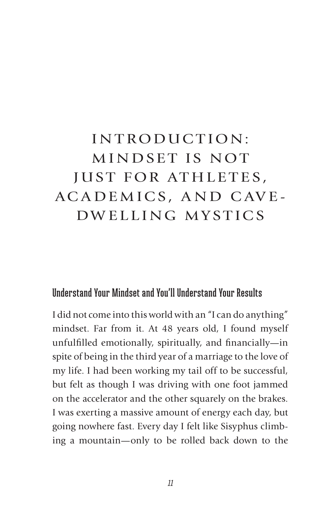# INTRODUCTION: MINDSET IS NOT JUST FOR ATHLETES, ACADEMICS, AND CAVE-DWELLING MYSTICS

## **Understand Your Mindset and You'll Understand Your Results**

I did not come into this world with an "I can do anything" mindset. Far from it. At 48 years old, I found myself unfulfilled emotionally, spiritually, and financially—in spite of being in the third year of a marriage to the love of my life. I had been working my tail off to be successful, but felt as though I was driving with one foot jammed on the accelerator and the other squarely on the brakes. I was exerting a massive amount of energy each day, but going nowhere fast. Every day I felt like Sisyphus climbing a mountain—only to be rolled back down to the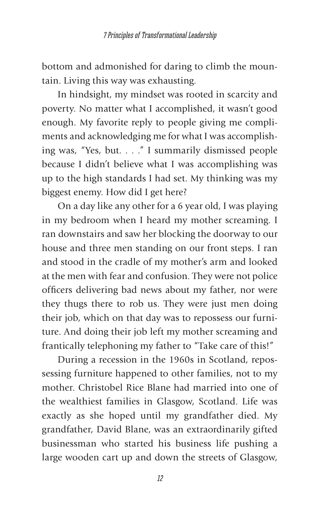bottom and admonished for daring to climb the mountain. Living this way was exhausting.

In hindsight, my mindset was rooted in scarcity and poverty. No matter what I accomplished, it wasn't good enough. My favorite reply to people giving me compliments and acknowledging me for what I was accomplishing was, "Yes, but. . . ." I summarily dismissed people because I didn't believe what I was accomplishing was up to the high standards I had set. My thinking was my biggest enemy. How did I get here?

On a day like any other for a 6 year old, I was playing in my bedroom when I heard my mother screaming. I ran downstairs and saw her blocking the doorway to our house and three men standing on our front steps. I ran and stood in the cradle of my mother's arm and looked at the men with fear and confusion. They were not police officers delivering bad news about my father, nor were they thugs there to rob us. They were just men doing their job, which on that day was to repossess our furniture. And doing their job left my mother screaming and frantically telephoning my father to "Take care of this!"

During a recession in the 1960s in Scotland, repossessing furniture happened to other families, not to my mother. Christobel Rice Blane had married into one of the wealthiest families in Glasgow, Scotland. Life was exactly as she hoped until my grandfather died. My grandfather, David Blane, was an extraordinarily gifted businessman who started his business life pushing a large wooden cart up and down the streets of Glasgow,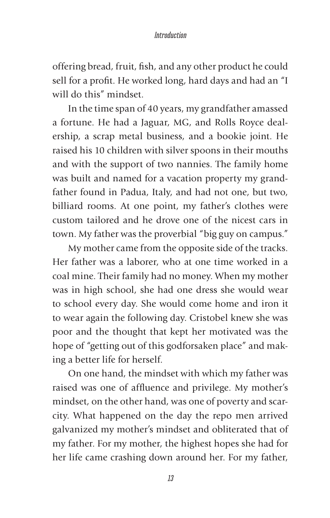offering bread, fruit, fish, and any other product he could sell for a profit. He worked long, hard days and had an "I will do this" mindset.

In the time span of 40 years, my grandfather amassed a fortune. He had a Jaguar, MG, and Rolls Royce dealership, a scrap metal business, and a bookie joint. He raised his 10 children with silver spoons in their mouths and with the support of two nannies. The family home was built and named for a vacation property my grandfather found in Padua, Italy, and had not one, but two, billiard rooms. At one point, my father's clothes were custom tailored and he drove one of the nicest cars in town. My father was the proverbial "big guy on campus."

My mother came from the opposite side of the tracks. Her father was a laborer, who at one time worked in a coal mine. Their family had no money. When my mother was in high school, she had one dress she would wear to school every day. She would come home and iron it to wear again the following day. Cristobel knew she was poor and the thought that kept her motivated was the hope of "getting out of this godforsaken place" and making a better life for herself.

On one hand, the mindset with which my father was raised was one of affluence and privilege. My mother's mindset, on the other hand, was one of poverty and scarcity. What happened on the day the repo men arrived galvanized my mother's mindset and obliterated that of my father. For my mother, the highest hopes she had for her life came crashing down around her. For my father,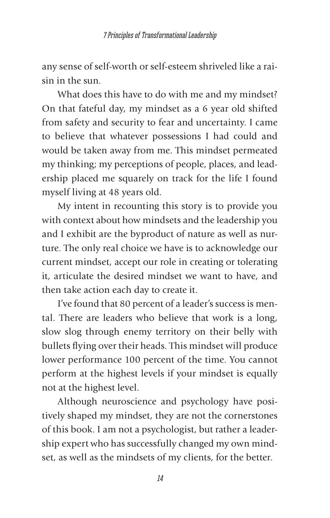any sense of self-worth or self-esteem shriveled like a raisin in the sun.

What does this have to do with me and my mindset? On that fateful day, my mindset as a 6 year old shifted from safety and security to fear and uncertainty. I came to believe that whatever possessions I had could and would be taken away from me. This mindset permeated my thinking; my perceptions of people, places, and leadership placed me squarely on track for the life I found myself living at 48 years old.

My intent in recounting this story is to provide you with context about how mindsets and the leadership you and I exhibit are the byproduct of nature as well as nurture. The only real choice we have is to acknowledge our current mindset, accept our role in creating or tolerating it, articulate the desired mindset we want to have, and then take action each day to create it.

I've found that 80 percent of a leader's success is mental. There are leaders who believe that work is a long, slow slog through enemy territory on their belly with bullets flying over their heads. This mindset will produce lower performance 100 percent of the time. You cannot perform at the highest levels if your mindset is equally not at the highest level.

Although neuroscience and psychology have positively shaped my mindset, they are not the cornerstones of this book. I am not a psychologist, but rather a leadership expert who has successfully changed my own mindset, as well as the mindsets of my clients, for the better.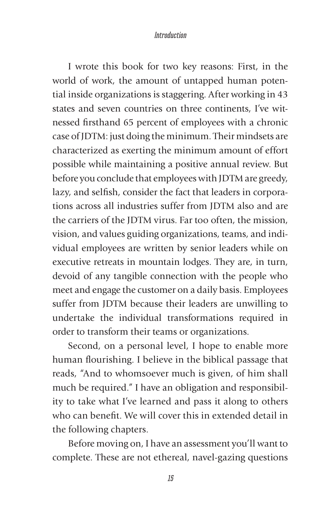I wrote this book for two key reasons: First, in the world of work, the amount of untapped human potential inside organizations is staggering. After working in 43 states and seven countries on three continents, I've witnessed firsthand 65 percent of employees with a chronic case of JDTM: just doing the minimum. Their mindsets are characterized as exerting the minimum amount of effort possible while maintaining a positive annual review. But before you conclude that employees with JDTM are greedy, lazy, and selfish, consider the fact that leaders in corporations across all industries suffer from JDTM also and are the carriers of the JDTM virus. Far too often, the mission, vision, and values guiding organizations, teams, and individual employees are written by senior leaders while on executive retreats in mountain lodges. They are, in turn, devoid of any tangible connection with the people who meet and engage the customer on a daily basis. Employees suffer from JDTM because their leaders are unwilling to undertake the individual transformations required in order to transform their teams or organizations.

Second, on a personal level, I hope to enable more human flourishing. I believe in the biblical passage that reads, "And to whomsoever much is given, of him shall much be required." I have an obligation and responsibility to take what I've learned and pass it along to others who can benefit. We will cover this in extended detail in the following chapters.

Before moving on, I have an assessment you'll want to complete. These are not ethereal, navel-gazing questions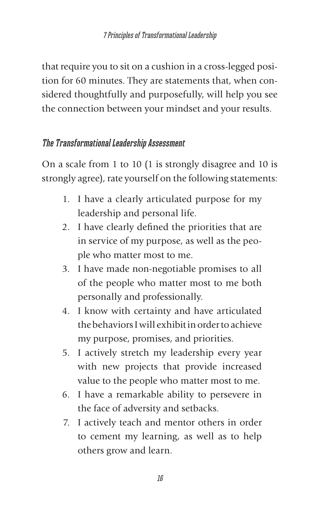that require you to sit on a cushion in a cross-legged position for 60 minutes. They are statements that, when considered thoughtfully and purposefully, will help you see the connection between your mindset and your results.

# **The Transformational Leadership Assessment**

On a scale from 1 to 10 (1 is strongly disagree and 10 is strongly agree), rate yourself on the following statements:

- 1. I have a clearly articulated purpose for my leadership and personal life.
- 2. I have clearly defined the priorities that are in service of my purpose, as well as the people who matter most to me.
- 3. I have made non-negotiable promises to all of the people who matter most to me both personally and professionally.
- 4. I know with certainty and have articulated the behaviors I will exhibit in order to achieve my purpose, promises, and priorities.
- 5. I actively stretch my leadership every year with new projects that provide increased value to the people who matter most to me.
- 6. I have a remarkable ability to persevere in the face of adversity and setbacks.
- 7. I actively teach and mentor others in order to cement my learning, as well as to help others grow and learn.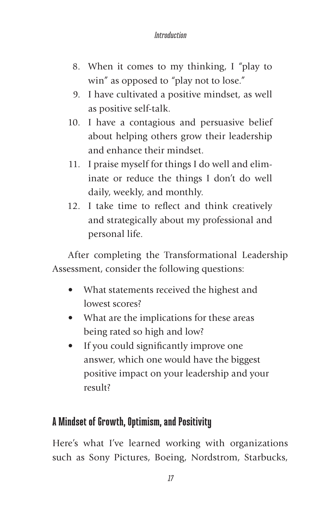- 8. When it comes to my thinking, I "play to win" as opposed to "play not to lose."
- 9. I have cultivated a positive mindset, as well as positive self-talk.
- 10. I have a contagious and persuasive belief about helping others grow their leadership and enhance their mindset.
- 11. I praise myself for things I do well and eliminate or reduce the things I don't do well daily, weekly, and monthly.
- 12. I take time to reflect and think creatively and strategically about my professional and personal life.

After completing the Transformational Leadership Assessment, consider the following questions:

- What statements received the highest and lowest scores?
- What are the implications for these areas being rated so high and low?
- If you could significantly improve one answer, which one would have the biggest positive impact on your leadership and your result?

# **A Mindset of Growth, Optimism, and Positivity**

Here's what I've learned working with organizations such as Sony Pictures, Boeing, Nordstrom, Starbucks,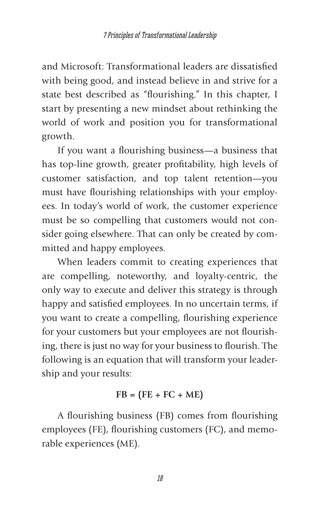and Microsoft: Transformational leaders are dissatisfied with being good, and instead believe in and strive for a state best described as "flourishing." In this chapter, I start by presenting a new mindset about rethinking the world of work and position you for transformational growth.

If you want a flourishing business—a business that has top-line growth, greater profitability, high levels of customer satisfaction, and top talent retention—you must have flourishing relationships with your employees. In today's world of work, the customer experience must be so compelling that customers would not consider going elsewhere. That can only be created by committed and happy employees.

When leaders commit to creating experiences that are compelling, noteworthy, and loyalty-centric, the only way to execute and deliver this strategy is through happy and satisfied employees. In no uncertain terms, if you want to create a compelling, flourishing experience for your customers but your employees are not flourishing, there is just no way for your business to flourish. The following is an equation that will transform your leadership and your results:

### **FB = (FE + FC + ME)**

A flourishing business (FB) comes from flourishing employees (FE), flourishing customers (FC), and memorable experiences (ME).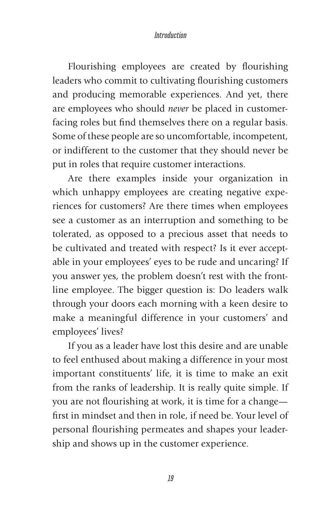Flourishing employees are created by flourishing leaders who commit to cultivating flourishing customers and producing memorable experiences. And yet, there are employees who should *never* be placed in customerfacing roles but find themselves there on a regular basis. Some of these people are so uncomfortable, incompetent, or indifferent to the customer that they should never be put in roles that require customer interactions.

Are there examples inside your organization in which unhappy employees are creating negative experiences for customers? Are there times when employees see a customer as an interruption and something to be tolerated, as opposed to a precious asset that needs to be cultivated and treated with respect? Is it ever acceptable in your employees' eyes to be rude and uncaring? If you answer yes, the problem doesn't rest with the frontline employee. The bigger question is: Do leaders walk through your doors each morning with a keen desire to make a meaningful difference in your customers' and employees' lives?

If you as a leader have lost this desire and are unable to feel enthused about making a difference in your most important constituents' life, it is time to make an exit from the ranks of leadership. It is really quite simple. If you are not flourishing at work, it is time for a change first in mindset and then in role, if need be. Your level of personal flourishing permeates and shapes your leadership and shows up in the customer experience.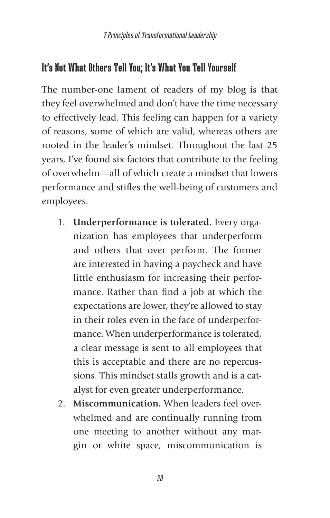# **It's Not What Others Tell You; It's What You Tell Yourself**

The number-one lament of readers of my blog is that they feel overwhelmed and don't have the time necessary to effectively lead. This feeling can happen for a variety of reasons, some of which are valid, whereas others are rooted in the leader's mindset. Throughout the last 25 years, I've found six factors that contribute to the feeling of overwhelm—all of which create a mindset that lowers performance and stifles the well-being of customers and employees.

- 1. **Underperformance is tolerated.** Every organization has employees that underperform and others that over perform. The former are interested in having a paycheck and have little enthusiasm for increasing their performance. Rather than find a job at which the expectations are lower, they're allowed to stay in their roles even in the face of underperformance. When underperformance is tolerated, a clear message is sent to all employees that this is acceptable and there are no repercussions. This mindset stalls growth and is a catalyst for even greater underperformance.
- 2. **Miscommunication.** When leaders feel overwhelmed and are continually running from one meeting to another without any margin or white space, miscommunication is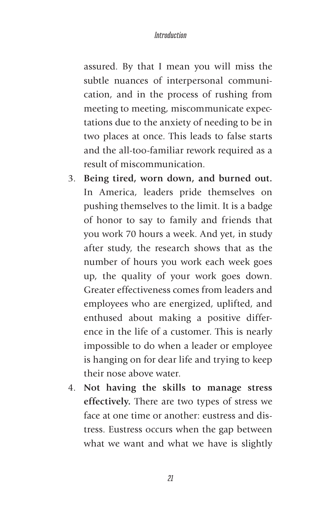assured. By that I mean you will miss the subtle nuances of interpersonal communication, and in the process of rushing from meeting to meeting, miscommunicate expectations due to the anxiety of needing to be in two places at once. This leads to false starts and the all-too-familiar rework required as a result of miscommunication.

- 3. **Being tired, worn down, and burned out.** In America, leaders pride themselves on pushing themselves to the limit. It is a badge of honor to say to family and friends that you work 70 hours a week. And yet, in study after study, the research shows that as the number of hours you work each week goes up, the quality of your work goes down. Greater effectiveness comes from leaders and employees who are energized, uplifted, and enthused about making a positive difference in the life of a customer. This is nearly impossible to do when a leader or employee is hanging on for dear life and trying to keep their nose above water.
- 4. **Not having the skills to manage stress effectively.** There are two types of stress we face at one time or another: eustress and distress. Eustress occurs when the gap between what we want and what we have is slightly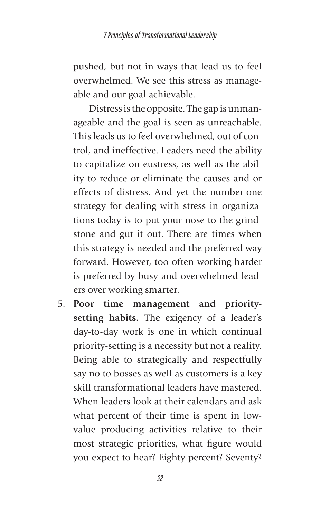pushed, but not in ways that lead us to feel overwhelmed. We see this stress as manageable and our goal achievable.

Distress is the opposite. The gap is unmanageable and the goal is seen as unreachable. This leads us to feel overwhelmed, out of control, and ineffective. Leaders need the ability to capitalize on eustress, as well as the ability to reduce or eliminate the causes and or effects of distress. And yet the number-one strategy for dealing with stress in organizations today is to put your nose to the grindstone and gut it out. There are times when this strategy is needed and the preferred way forward. However, too often working harder is preferred by busy and overwhelmed leaders over working smarter.

5. **Poor time management and prioritysetting habits.** The exigency of a leader's day-to-day work is one in which continual priority-setting is a necessity but not a reality. Being able to strategically and respectfully say no to bosses as well as customers is a key skill transformational leaders have mastered. When leaders look at their calendars and ask what percent of their time is spent in lowvalue producing activities relative to their most strategic priorities, what figure would you expect to hear? Eighty percent? Seventy?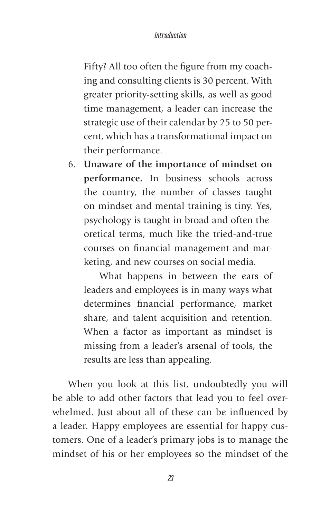Fifty? All too often the figure from my coaching and consulting clients is 30 percent. With greater priority-setting skills, as well as good time management, a leader can increase the strategic use of their calendar by 25 to 50 percent, which has a transformational impact on their performance.

6. **Unaware of the importance of mindset on performance.** In business schools across the country, the number of classes taught on mindset and mental training is tiny. Yes, psychology is taught in broad and often theoretical terms, much like the tried-and-true courses on financial management and marketing, and new courses on social media.

What happens in between the ears of leaders and employees is in many ways what determines financial performance, market share, and talent acquisition and retention. When a factor as important as mindset is missing from a leader's arsenal of tools, the results are less than appealing.

When you look at this list, undoubtedly you will be able to add other factors that lead you to feel overwhelmed. Just about all of these can be influenced by a leader. Happy employees are essential for happy customers. One of a leader's primary jobs is to manage the mindset of his or her employees so the mindset of the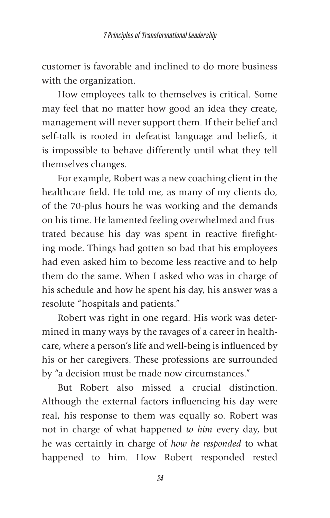customer is favorable and inclined to do more business with the organization.

How employees talk to themselves is critical. Some may feel that no matter how good an idea they create, management will never support them. If their belief and self-talk is rooted in defeatist language and beliefs, it is impossible to behave differently until what they tell themselves changes.

For example, Robert was a new coaching client in the healthcare field. He told me, as many of my clients do, of the 70-plus hours he was working and the demands on his time. He lamented feeling overwhelmed and frustrated because his day was spent in reactive firefighting mode. Things had gotten so bad that his employees had even asked him to become less reactive and to help them do the same. When I asked who was in charge of his schedule and how he spent his day, his answer was a resolute "hospitals and patients."

Robert was right in one regard: His work was determined in many ways by the ravages of a career in healthcare, where a person's life and well-being is influenced by his or her caregivers. These professions are surrounded by "a decision must be made now circumstances."

But Robert also missed a crucial distinction. Although the external factors influencing his day were real, his response to them was equally so. Robert was not in charge of what happened *to him* every day, but he was certainly in charge of *how he responded* to what happened to him. How Robert responded rested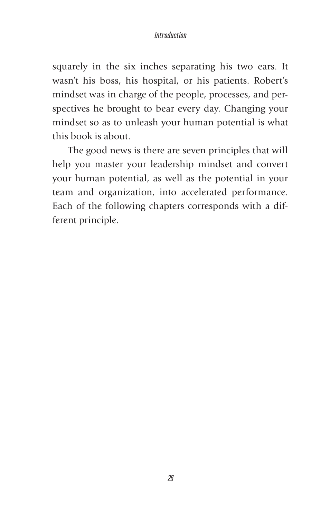squarely in the six inches separating his two ears. It wasn't his boss, his hospital, or his patients. Robert's mindset was in charge of the people, processes, and perspectives he brought to bear every day. Changing your mindset so as to unleash your human potential is what this book is about.

The good news is there are seven principles that will help you master your leadership mindset and convert your human potential, as well as the potential in your team and organization, into accelerated performance. Each of the following chapters corresponds with a different principle.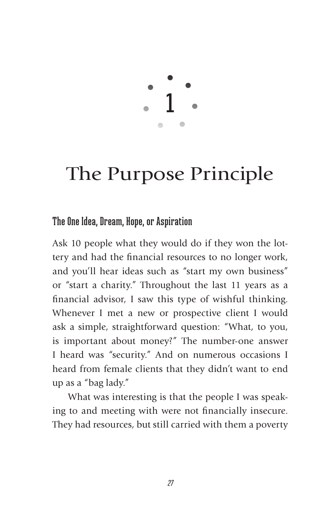**1**  $\blacksquare$ 

# The Purpose Principle

# **The One Idea, Dream, Hope, or Aspiration**

Ask 10 people what they would do if they won the lottery and had the financial resources to no longer work, and you'll hear ideas such as "start my own business" or "start a charity." Throughout the last 11 years as a financial advisor, I saw this type of wishful thinking. Whenever I met a new or prospective client I would ask a simple, straightforward question: "What, to you, is important about money?" The number-one answer I heard was "security." And on numerous occasions I heard from female clients that they didn't want to end up as a "bag lady."

What was interesting is that the people I was speaking to and meeting with were not financially insecure. They had resources, but still carried with them a poverty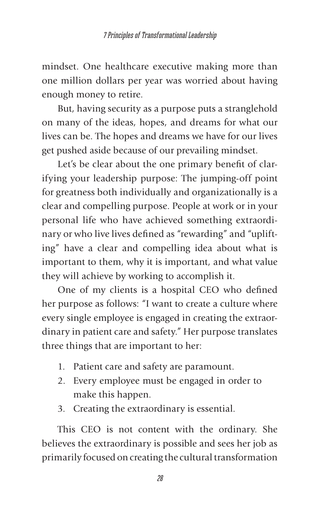mindset. One healthcare executive making more than one million dollars per year was worried about having enough money to retire.

But, having security as a purpose puts a stranglehold on many of the ideas, hopes, and dreams for what our lives can be. The hopes and dreams we have for our lives get pushed aside because of our prevailing mindset.

Let's be clear about the one primary benefit of clarifying your leadership purpose: The jumping-off point for greatness both individually and organizationally is a clear and compelling purpose. People at work or in your personal life who have achieved something extraordinary or who live lives defined as "rewarding" and "uplifting" have a clear and compelling idea about what is important to them, why it is important, and what value they will achieve by working to accomplish it.

One of my clients is a hospital CEO who defined her purpose as follows: "I want to create a culture where every single employee is engaged in creating the extraordinary in patient care and safety." Her purpose translates three things that are important to her:

- 1. Patient care and safety are paramount.
- 2. Every employee must be engaged in order to make this happen.
- 3. Creating the extraordinary is essential.

This CEO is not content with the ordinary. She believes the extraordinary is possible and sees her job as primarily focused on creating the cultural transformation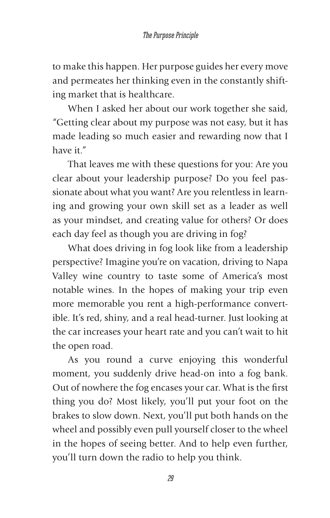to make this happen. Her purpose guides her every move and permeates her thinking even in the constantly shifting market that is healthcare.

When I asked her about our work together she said, "Getting clear about my purpose was not easy, but it has made leading so much easier and rewarding now that I have it."

That leaves me with these questions for you: Are you clear about your leadership purpose? Do you feel passionate about what you want? Are you relentless in learning and growing your own skill set as a leader as well as your mindset, and creating value for others? Or does each day feel as though you are driving in fog?

What does driving in fog look like from a leadership perspective? Imagine you're on vacation, driving to Napa Valley wine country to taste some of America's most notable wines. In the hopes of making your trip even more memorable you rent a high-performance convertible. It's red, shiny, and a real head-turner. Just looking at the car increases your heart rate and you can't wait to hit the open road.

As you round a curve enjoying this wonderful moment, you suddenly drive head-on into a fog bank. Out of nowhere the fog encases your car. What is the first thing you do? Most likely, you'll put your foot on the brakes to slow down. Next, you'll put both hands on the wheel and possibly even pull yourself closer to the wheel in the hopes of seeing better. And to help even further, you'll turn down the radio to help you think.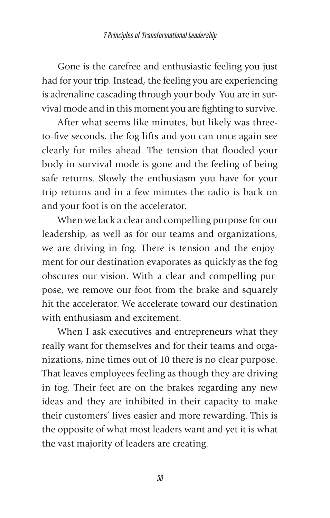Gone is the carefree and enthusiastic feeling you just had for your trip. Instead, the feeling you are experiencing is adrenaline cascading through your body. You are in survival mode and in this moment you are fighting to survive.

After what seems like minutes, but likely was threeto-five seconds, the fog lifts and you can once again see clearly for miles ahead. The tension that flooded your body in survival mode is gone and the feeling of being safe returns. Slowly the enthusiasm you have for your trip returns and in a few minutes the radio is back on and your foot is on the accelerator.

When we lack a clear and compelling purpose for our leadership, as well as for our teams and organizations, we are driving in fog. There is tension and the enjoyment for our destination evaporates as quickly as the fog obscures our vision. With a clear and compelling purpose, we remove our foot from the brake and squarely hit the accelerator. We accelerate toward our destination with enthusiasm and excitement.

When I ask executives and entrepreneurs what they really want for themselves and for their teams and organizations, nine times out of 10 there is no clear purpose. That leaves employees feeling as though they are driving in fog. Their feet are on the brakes regarding any new ideas and they are inhibited in their capacity to make their customers' lives easier and more rewarding. This is the opposite of what most leaders want and yet it is what the vast majority of leaders are creating.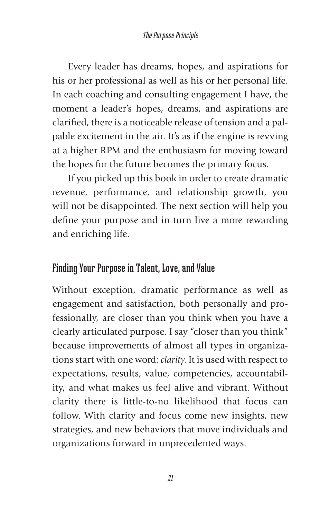Every leader has dreams, hopes, and aspirations for his or her professional as well as his or her personal life. In each coaching and consulting engagement I have, the moment a leader's hopes, dreams, and aspirations are clarified, there is a noticeable release of tension and a palpable excitement in the air. It's as if the engine is revving at a higher RPM and the enthusiasm for moving toward the hopes for the future becomes the primary focus.

If you picked up this book in order to create dramatic revenue, performance, and relationship growth, you will not be disappointed. The next section will help you define your purpose and in turn live a more rewarding and enriching life.

# **Finding Your Purpose in Talent, Love, and Value**

Without exception, dramatic performance as well as engagement and satisfaction, both personally and professionally, are closer than you think when you have a clearly articulated purpose. I say "closer than you think" because improvements of almost all types in organizations start with one word: *clarity*. It is used with respect to expectations, results, value, competencies, accountability, and what makes us feel alive and vibrant. Without clarity there is little-to-no likelihood that focus can follow. With clarity and focus come new insights, new strategies, and new behaviors that move individuals and organizations forward in unprecedented ways.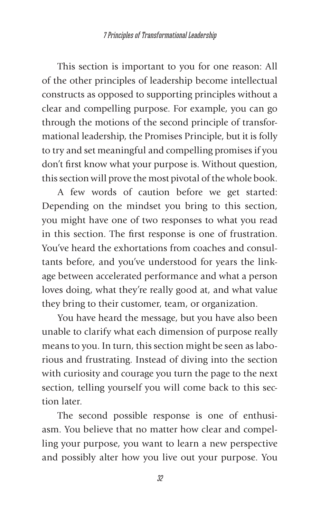This section is important to you for one reason: All of the other principles of leadership become intellectual constructs as opposed to supporting principles without a clear and compelling purpose. For example, you can go through the motions of the second principle of transformational leadership, the Promises Principle, but it is folly to try and set meaningful and compelling promises if you don't first know what your purpose is. Without question, this section will prove the most pivotal of the whole book.

A few words of caution before we get started: Depending on the mindset you bring to this section, you might have one of two responses to what you read in this section. The first response is one of frustration. You've heard the exhortations from coaches and consultants before, and you've understood for years the linkage between accelerated performance and what a person loves doing, what they're really good at, and what value they bring to their customer, team, or organization.

You have heard the message, but you have also been unable to clarify what each dimension of purpose really means to you. In turn, this section might be seen as laborious and frustrating. Instead of diving into the section with curiosity and courage you turn the page to the next section, telling yourself you will come back to this section later.

The second possible response is one of enthusiasm. You believe that no matter how clear and compelling your purpose, you want to learn a new perspective and possibly alter how you live out your purpose. You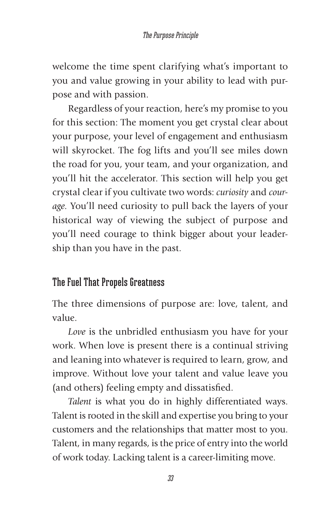welcome the time spent clarifying what's important to you and value growing in your ability to lead with purpose and with passion.

Regardless of your reaction, here's my promise to you for this section: The moment you get crystal clear about your purpose, your level of engagement and enthusiasm will skyrocket. The fog lifts and you'll see miles down the road for you, your team, and your organization, and you'll hit the accelerator. This section will help you get crystal clear if you cultivate two words: *curiosity* and *courage.* You'll need curiosity to pull back the layers of your historical way of viewing the subject of purpose and you'll need courage to think bigger about your leadership than you have in the past.

# **The Fuel That Propels Greatness**

The three dimensions of purpose are: love, talent, and value.

*Love* is the unbridled enthusiasm you have for your work. When love is present there is a continual striving and leaning into whatever is required to learn, grow, and improve. Without love your talent and value leave you (and others) feeling empty and dissatisfied.

*Talent* is what you do in highly differentiated ways. Talent is rooted in the skill and expertise you bring to your customers and the relationships that matter most to you. Talent, in many regards, is the price of entry into the world of work today. Lacking talent is a career-limiting move.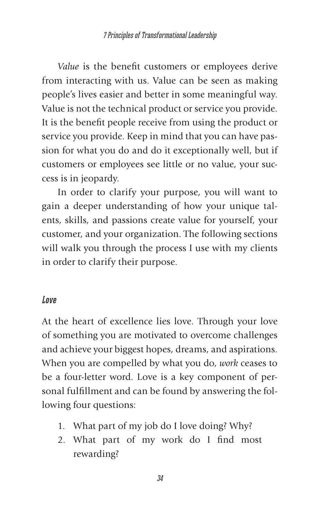*Value* is the benefit customers or employees derive from interacting with us. Value can be seen as making people's lives easier and better in some meaningful way. Value is not the technical product or service you provide. It is the benefit people receive from using the product or service you provide. Keep in mind that you can have passion for what you do and do it exceptionally well, but if customers or employees see little or no value, your success is in jeopardy.

In order to clarify your purpose, you will want to gain a deeper understanding of how your unique talents, skills, and passions create value for yourself, your customer, and your organization. The following sections will walk you through the process I use with my clients in order to clarify their purpose.

### **Love**

At the heart of excellence lies love. Through your love of something you are motivated to overcome challenges and achieve your biggest hopes, dreams, and aspirations. When you are compelled by what you do, *work* ceases to be a four-letter word. Love is a key component of personal fulfillment and can be found by answering the following four questions:

- 1. What part of my job do I love doing? Why?
- 2. What part of my work do I find most rewarding?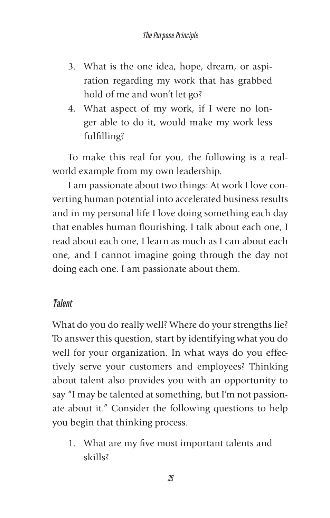- 3. What is the one idea, hope, dream, or aspiration regarding my work that has grabbed hold of me and won't let go?
- 4. What aspect of my work, if I were no longer able to do it, would make my work less fulfilling?

To make this real for you, the following is a realworld example from my own leadership.

I am passionate about two things: At work I love converting human potential into accelerated business results and in my personal life I love doing something each day that enables human flourishing. I talk about each one, I read about each one, I learn as much as I can about each one, and I cannot imagine going through the day not doing each one. I am passionate about them.

# **Talent**

What do you do really well? Where do your strengths lie? To answer this question, start by identifying what you do well for your organization. In what ways do you effectively serve your customers and employees? Thinking about talent also provides you with an opportunity to say "I may be talented at something, but I'm not passionate about it." Consider the following questions to help you begin that thinking process.

1. What are my five most important talents and skills?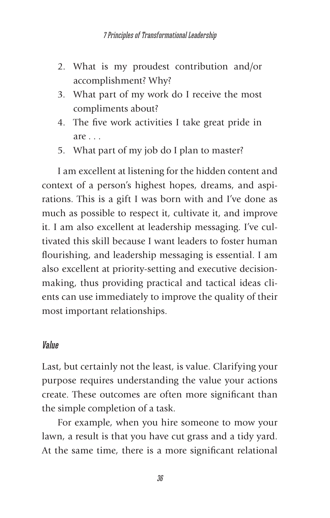- 2. What is my proudest contribution and/or accomplishment? Why?
- 3. What part of my work do I receive the most compliments about?
- 4. The five work activities I take great pride in are . . .
- 5. What part of my job do I plan to master?

I am excellent at listening for the hidden content and context of a person's highest hopes, dreams, and aspirations. This is a gift I was born with and I've done as much as possible to respect it, cultivate it, and improve it. I am also excellent at leadership messaging. I've cultivated this skill because I want leaders to foster human flourishing, and leadership messaging is essential. I am also excellent at priority-setting and executive decisionmaking, thus providing practical and tactical ideas clients can use immediately to improve the quality of their most important relationships.

#### **Value**

Last, but certainly not the least, is value. Clarifying your purpose requires understanding the value your actions create. These outcomes are often more significant than the simple completion of a task.

For example, when you hire someone to mow your lawn, a result is that you have cut grass and a tidy yard. At the same time, there is a more significant relational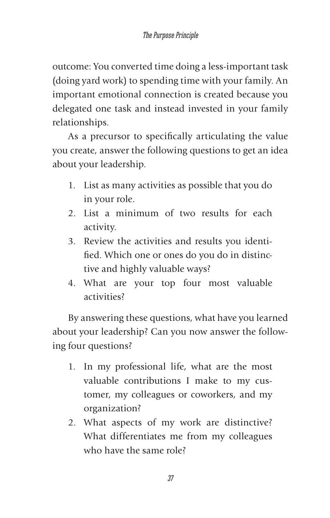outcome: You converted time doing a less-important task (doing yard work) to spending time with your family. An important emotional connection is created because you delegated one task and instead invested in your family relationships.

As a precursor to specifically articulating the value you create, answer the following questions to get an idea about your leadership.

- 1. List as many activities as possible that you do in your role.
- 2. List a minimum of two results for each activity.
- 3. Review the activities and results you identified. Which one or ones do you do in distinctive and highly valuable ways?
- 4. What are your top four most valuable activities?

By answering these questions, what have you learned about your leadership? Can you now answer the following four questions?

- 1. In my professional life, what are the most valuable contributions I make to my customer, my colleagues or coworkers, and my organization?
- 2. What aspects of my work are distinctive? What differentiates me from my colleagues who have the same role?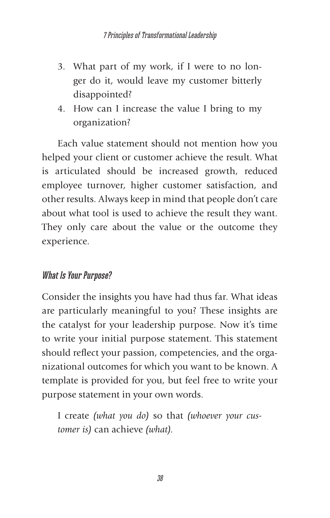- 3. What part of my work, if I were to no longer do it, would leave my customer bitterly disappointed?
- 4. How can I increase the value I bring to my organization?

Each value statement should not mention how you helped your client or customer achieve the result. What is articulated should be increased growth, reduced employee turnover, higher customer satisfaction, and other results. Always keep in mind that people don't care about what tool is used to achieve the result they want. They only care about the value or the outcome they experience.

#### **What Is Your Purpose?**

Consider the insights you have had thus far. What ideas are particularly meaningful to you? These insights are the catalyst for your leadership purpose. Now it's time to write your initial purpose statement. This statement should reflect your passion, competencies, and the organizational outcomes for which you want to be known. A template is provided for you, but feel free to write your purpose statement in your own words.

I create *(what you do)* so that *(whoever your customer is)* can achieve *(what).*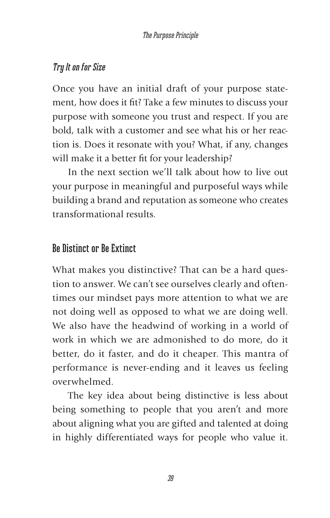### **Try It on for Size**

Once you have an initial draft of your purpose statement, how does it fit? Take a few minutes to discuss your purpose with someone you trust and respect. If you are bold, talk with a customer and see what his or her reaction is. Does it resonate with you? What, if any, changes will make it a better fit for your leadership?

In the next section we'll talk about how to live out your purpose in meaningful and purposeful ways while building a brand and reputation as someone who creates transformational results.

# **Be Distinct or Be Extinct**

What makes you distinctive? That can be a hard question to answer. We can't see ourselves clearly and oftentimes our mindset pays more attention to what we are not doing well as opposed to what we are doing well. We also have the headwind of working in a world of work in which we are admonished to do more, do it better, do it faster, and do it cheaper. This mantra of performance is never-ending and it leaves us feeling overwhelmed.

The key idea about being distinctive is less about being something to people that you aren't and more about aligning what you are gifted and talented at doing in highly differentiated ways for people who value it.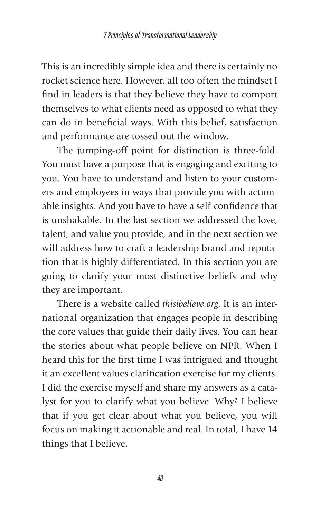This is an incredibly simple idea and there is certainly no rocket science here. However, all too often the mindset I find in leaders is that they believe they have to comport themselves to what clients need as opposed to what they can do in beneficial ways. With this belief, satisfaction and performance are tossed out the window.

The jumping-off point for distinction is three-fold. You must have a purpose that is engaging and exciting to you. You have to understand and listen to your customers and employees in ways that provide you with actionable insights. And you have to have a self-confidence that is unshakable. In the last section we addressed the love, talent, and value you provide, and in the next section we will address how to craft a leadership brand and reputation that is highly differentiated. In this section you are going to clarify your most distinctive beliefs and why they are important.

There is a website called *thisibelieve.org*. It is an international organization that engages people in describing the core values that guide their daily lives. You can hear the stories about what people believe on NPR. When I heard this for the first time I was intrigued and thought it an excellent values clarification exercise for my clients. I did the exercise myself and share my answers as a catalyst for you to clarify what you believe. Why? I believe that if you get clear about what you believe, you will focus on making it actionable and real. In total, I have 14 things that I believe.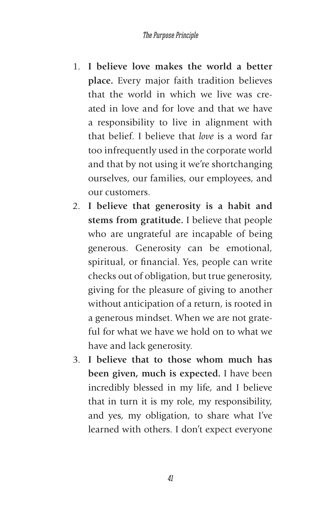- 1. **I believe love makes the world a better place.** Every major faith tradition believes that the world in which we live was created in love and for love and that we have a responsibility to live in alignment with that belief. I believe that *love* is a word far too infrequently used in the corporate world and that by not using it we're shortchanging ourselves, our families, our employees, and our customers.
- 2. **I believe that generosity is a habit and stems from gratitude.** I believe that people who are ungrateful are incapable of being generous. Generosity can be emotional, spiritual, or financial. Yes, people can write checks out of obligation, but true generosity, giving for the pleasure of giving to another without anticipation of a return, is rooted in a generous mindset. When we are not grateful for what we have we hold on to what we have and lack generosity.
- 3. **I believe that to those whom much has been given, much is expected.** I have been incredibly blessed in my life, and I believe that in turn it is my role, my responsibility, and yes, my obligation, to share what I've learned with others. I don't expect everyone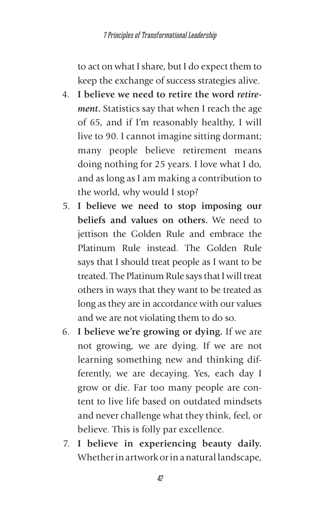to act on what I share, but I do expect them to keep the exchange of success strategies alive.

- 4. **I believe we need to retire the word** *retirement***.** Statistics say that when I reach the age of 65, and if I'm reasonably healthy, I will live to 90. I cannot imagine sitting dormant; many people believe retirement means doing nothing for 25 years. I love what I do, and as long as I am making a contribution to the world, why would I stop?
- 5. **I believe we need to stop imposing our beliefs and values on others.** We need to jettison the Golden Rule and embrace the Platinum Rule instead. The Golden Rule says that I should treat people as I want to be treated. The Platinum Rule says that I will treat others in ways that they want to be treated as long as they are in accordance with our values and we are not violating them to do so.
- 6. **I believe we're growing or dying.** If we are not growing, we are dying. If we are not learning something new and thinking differently, we are decaying. Yes, each day I grow or die. Far too many people are content to live life based on outdated mindsets and never challenge what they think, feel, or believe. This is folly par excellence.
- 7. **I believe in experiencing beauty daily.** Whether in artwork or in a natural landscape,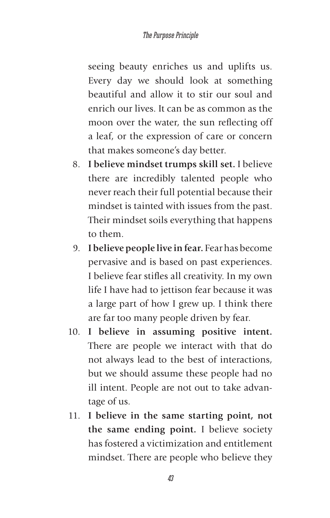seeing beauty enriches us and uplifts us. Every day we should look at something beautiful and allow it to stir our soul and enrich our lives. It can be as common as the moon over the water, the sun reflecting off a leaf, or the expression of care or concern that makes someone's day better.

- 8. **I believe mindset trumps skill set.** I believe there are incredibly talented people who never reach their full potential because their mindset is tainted with issues from the past. Their mindset soils everything that happens to them.
- 9. **I believe people live in fear.** Fear has become pervasive and is based on past experiences. I believe fear stifles all creativity. In my own life I have had to jettison fear because it was a large part of how I grew up. I think there are far too many people driven by fear.
- 10. **I believe in assuming positive intent.** There are people we interact with that do not always lead to the best of interactions, but we should assume these people had no ill intent. People are not out to take advantage of us.
- 11. **I believe in the same starting point, not the same ending point.** I believe society has fostered a victimization and entitlement mindset. There are people who believe they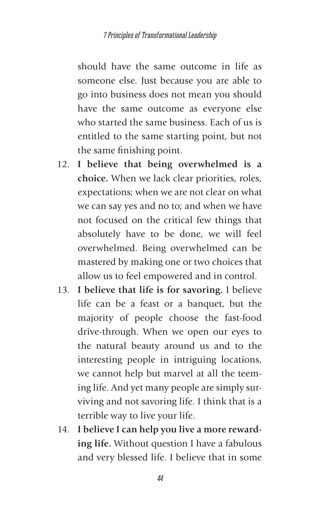should have the same outcome in life as someone else. Just because you are able to go into business does not mean you should have the same outcome as everyone else who started the same business. Each of us is entitled to the same starting point, but not the same finishing point.

- 12. **I believe that being overwhelmed is a choice.** When we lack clear priorities, roles, expectations; when we are not clear on what we can say yes and no to; and when we have not focused on the critical few things that absolutely have to be done, we will feel overwhelmed. Being overwhelmed can be mastered by making one or two choices that allow us to feel empowered and in control.
- 13. **I believe that life is for savoring.** I believe life can be a feast or a banquet, but the majority of people choose the fast-food drive-through. When we open our eyes to the natural beauty around us and to the interesting people in intriguing locations, we cannot help but marvel at all the teeming life. And yet many people are simply surviving and not savoring life. I think that is a terrible way to live your life.
- 14. **I believe I can help you live a more rewarding life.** Without question I have a fabulous and very blessed life. I believe that in some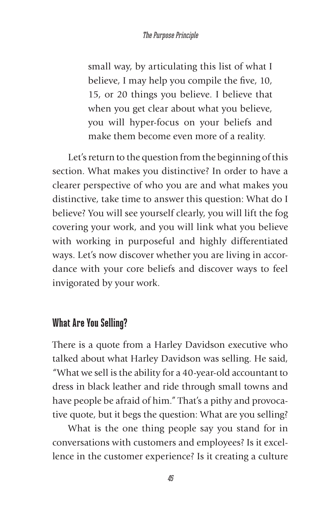#### The Purpose Principle

small way, by articulating this list of what I believe, I may help you compile the five, 10, 15, or 20 things you believe. I believe that when you get clear about what you believe, you will hyper-focus on your beliefs and make them become even more of a reality.

Let's return to the question from the beginning of this section. What makes you distinctive? In order to have a clearer perspective of who you are and what makes you distinctive, take time to answer this question: What do I believe? You will see yourself clearly, you will lift the fog covering your work, and you will link what you believe with working in purposeful and highly differentiated ways. Let's now discover whether you are living in accordance with your core beliefs and discover ways to feel invigorated by your work.

#### **What Are You Selling?**

There is a quote from a Harley Davidson executive who talked about what Harley Davidson was selling. He said, "What we sell is the ability for a 40-year-old accountant to dress in black leather and ride through small towns and have people be afraid of him." That's a pithy and provocative quote, but it begs the question: What are you selling?

What is the one thing people say you stand for in conversations with customers and employees? Is it excellence in the customer experience? Is it creating a culture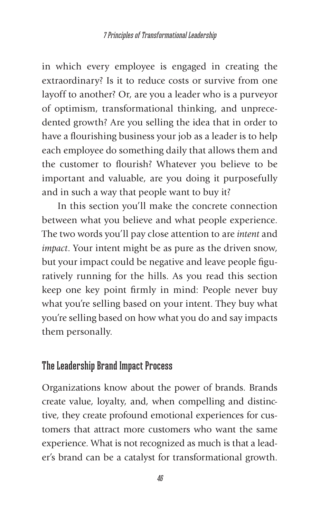in which every employee is engaged in creating the extraordinary? Is it to reduce costs or survive from one layoff to another? Or, are you a leader who is a purveyor of optimism, transformational thinking, and unprecedented growth? Are you selling the idea that in order to have a flourishing business your job as a leader is to help each employee do something daily that allows them and the customer to flourish? Whatever you believe to be important and valuable, are you doing it purposefully and in such a way that people want to buy it?

In this section you'll make the concrete connection between what you believe and what people experience. The two words you'll pay close attention to are *intent* and *impact*. Your intent might be as pure as the driven snow, but your impact could be negative and leave people figuratively running for the hills. As you read this section keep one key point firmly in mind: People never buy what you're selling based on your intent. They buy what you're selling based on how what you do and say impacts them personally.

#### **The Leadership Brand Impact Process**

Organizations know about the power of brands. Brands create value, loyalty, and, when compelling and distinctive, they create profound emotional experiences for customers that attract more customers who want the same experience. What is not recognized as much is that a leader's brand can be a catalyst for transformational growth.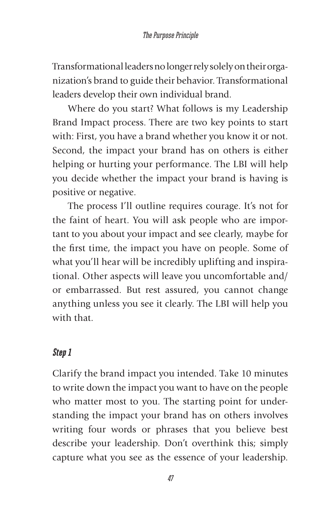Transformational leaders no longer rely solely on their organization's brand to guide their behavior. Transformational leaders develop their own individual brand.

Where do you start? What follows is my Leadership Brand Impact process. There are two key points to start with: First, you have a brand whether you know it or not. Second, the impact your brand has on others is either helping or hurting your performance. The LBI will help you decide whether the impact your brand is having is positive or negative.

The process I'll outline requires courage. It's not for the faint of heart. You will ask people who are important to you about your impact and see clearly, maybe for the first time, the impact you have on people. Some of what you'll hear will be incredibly uplifting and inspirational. Other aspects will leave you uncomfortable and/ or embarrassed. But rest assured, you cannot change anything unless you see it clearly. The LBI will help you with that.

# **Step 1**

Clarify the brand impact you intended. Take 10 minutes to write down the impact you want to have on the people who matter most to you. The starting point for understanding the impact your brand has on others involves writing four words or phrases that you believe best describe your leadership. Don't overthink this; simply capture what you see as the essence of your leadership.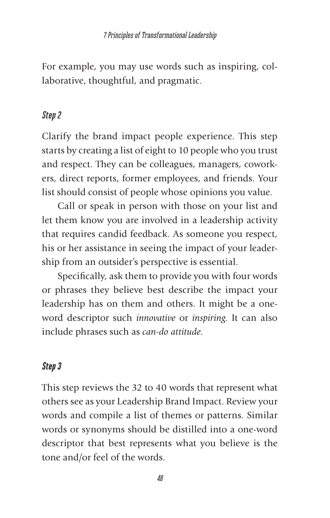For example, you may use words such as inspiring, collaborative, thoughtful, and pragmatic.

#### **Step 2**

Clarify the brand impact people experience. This step starts by creating a list of eight to 10 people who you trust and respect. They can be colleagues, managers, coworkers, direct reports, former employees, and friends. Your list should consist of people whose opinions you value.

Call or speak in person with those on your list and let them know you are involved in a leadership activity that requires candid feedback. As someone you respect, his or her assistance in seeing the impact of your leadership from an outsider's perspective is essential.

Specifically, ask them to provide you with four words or phrases they believe best describe the impact your leadership has on them and others. It might be a oneword descriptor such *innovative* or *inspiring*. It can also include phrases such as *can-do attitude*.

#### **Step 3**

This step reviews the 32 to 40 words that represent what others see as your Leadership Brand Impact. Review your words and compile a list of themes or patterns. Similar words or synonyms should be distilled into a one-word descriptor that best represents what you believe is the tone and/or feel of the words.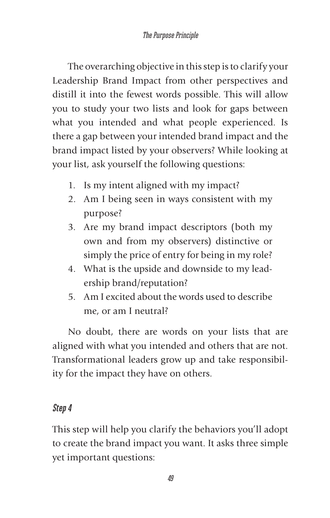The overarching objective in this step is to clarify your Leadership Brand Impact from other perspectives and distill it into the fewest words possible. This will allow you to study your two lists and look for gaps between what you intended and what people experienced. Is there a gap between your intended brand impact and the brand impact listed by your observers? While looking at your list, ask yourself the following questions:

- 1. Is my intent aligned with my impact?
- 2. Am I being seen in ways consistent with my purpose?
- 3. Are my brand impact descriptors (both my own and from my observers) distinctive or simply the price of entry for being in my role?
- 4. What is the upside and downside to my leadership brand/reputation?
- 5. Am I excited about the words used to describe me, or am I neutral?

No doubt, there are words on your lists that are aligned with what you intended and others that are not. Transformational leaders grow up and take responsibility for the impact they have on others.

# **Step 4**

This step will help you clarify the behaviors you'll adopt to create the brand impact you want. It asks three simple yet important questions: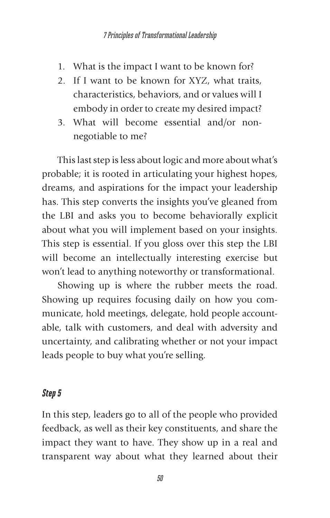- 1. What is the impact I want to be known for?
- 2. If I want to be known for XYZ, what traits, characteristics, behaviors, and or values will I embody in order to create my desired impact?
- 3. What will become essential and/or nonnegotiable to me?

This last step is less about logic and more about what's probable; it is rooted in articulating your highest hopes, dreams, and aspirations for the impact your leadership has. This step converts the insights you've gleaned from the LBI and asks you to become behaviorally explicit about what you will implement based on your insights. This step is essential. If you gloss over this step the LBI will become an intellectually interesting exercise but won't lead to anything noteworthy or transformational.

Showing up is where the rubber meets the road. Showing up requires focusing daily on how you communicate, hold meetings, delegate, hold people accountable, talk with customers, and deal with adversity and uncertainty, and calibrating whether or not your impact leads people to buy what you're selling.

#### **Step 5**

In this step, leaders go to all of the people who provided feedback, as well as their key constituents, and share the impact they want to have. They show up in a real and transparent way about what they learned about their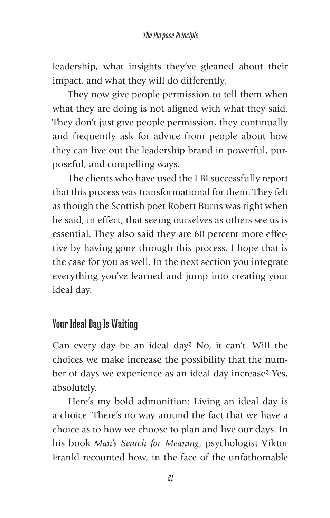leadership, what insights they've gleaned about their impact, and what they will do differently.

They now give people permission to tell them when what they are doing is not aligned with what they said. They don't just give people permission, they continually and frequently ask for advice from people about how they can live out the leadership brand in powerful, purposeful, and compelling ways.

The clients who have used the LBI successfully report that this process was transformational for them. They felt as though the Scottish poet Robert Burns was right when he said, in effect, that seeing ourselves as others see us is essential. They also said they are 60 percent more effective by having gone through this process. I hope that is the case for you as well. In the next section you integrate everything you've learned and jump into creating your ideal day.

# **Your Ideal Day Is Waiting**

Can every day be an ideal day? No, it can't. Will the choices we make increase the possibility that the number of days we experience as an ideal day increase? Yes, absolutely.

Here's my bold admonition: Living an ideal day is a choice. There's no way around the fact that we have a choice as to how we choose to plan and live our days. In his book *Man's Search for Meaning*, psychologist Viktor Frankl recounted how, in the face of the unfathomable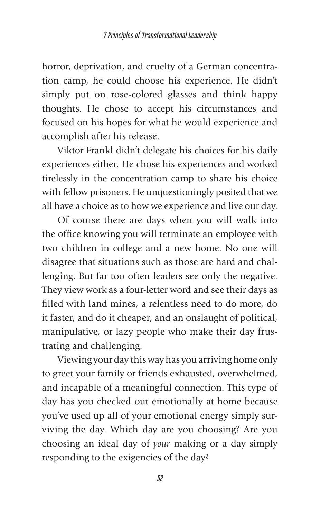horror, deprivation, and cruelty of a German concentration camp, he could choose his experience. He didn't simply put on rose-colored glasses and think happy thoughts. He chose to accept his circumstances and focused on his hopes for what he would experience and accomplish after his release.

Viktor Frankl didn't delegate his choices for his daily experiences either. He chose his experiences and worked tirelessly in the concentration camp to share his choice with fellow prisoners. He unquestioningly posited that we all have a choice as to how we experience and live our day.

Of course there are days when you will walk into the office knowing you will terminate an employee with two children in college and a new home. No one will disagree that situations such as those are hard and challenging. But far too often leaders see only the negative. They view work as a four-letter word and see their days as filled with land mines, a relentless need to do more, do it faster, and do it cheaper, and an onslaught of political, manipulative, or lazy people who make their day frustrating and challenging.

Viewing your day this way has you arriving home only to greet your family or friends exhausted, overwhelmed, and incapable of a meaningful connection. This type of day has you checked out emotionally at home because you've used up all of your emotional energy simply surviving the day. Which day are you choosing? Are you choosing an ideal day of *your* making or a day simply responding to the exigencies of the day?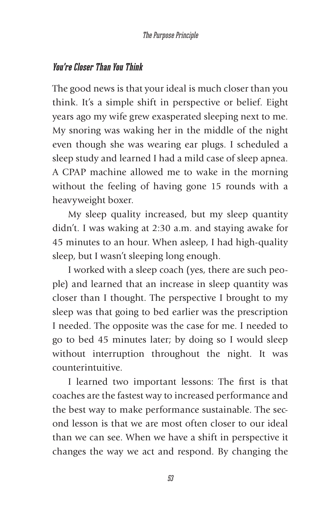#### **You're Closer Than You Think**

The good news is that your ideal is much closer than you think. It's a simple shift in perspective or belief. Eight years ago my wife grew exasperated sleeping next to me. My snoring was waking her in the middle of the night even though she was wearing ear plugs. I scheduled a sleep study and learned I had a mild case of sleep apnea. A CPAP machine allowed me to wake in the morning without the feeling of having gone 15 rounds with a heavyweight boxer.

My sleep quality increased, but my sleep quantity didn't. I was waking at 2:30 a.m. and staying awake for 45 minutes to an hour. When asleep, I had high-quality sleep, but I wasn't sleeping long enough.

I worked with a sleep coach (yes, there are such people) and learned that an increase in sleep quantity was closer than I thought. The perspective I brought to my sleep was that going to bed earlier was the prescription I needed. The opposite was the case for me. I needed to go to bed 45 minutes later; by doing so I would sleep without interruption throughout the night. It was counterintuitive.

I learned two important lessons: The first is that coaches are the fastest way to increased performance and the best way to make performance sustainable. The second lesson is that we are most often closer to our ideal than we can see. When we have a shift in perspective it changes the way we act and respond. By changing the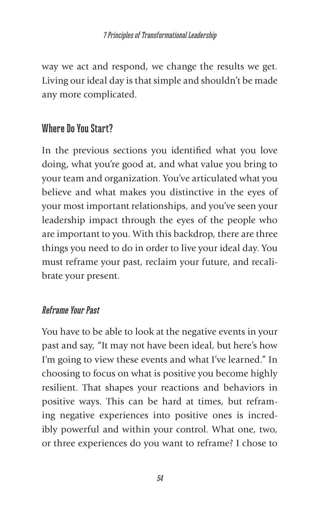way we act and respond, we change the results we get. Living our ideal day is that simple and shouldn't be made any more complicated.

# **Where Do You Start?**

In the previous sections you identified what you love doing, what you're good at, and what value you bring to your team and organization. You've articulated what you believe and what makes you distinctive in the eyes of your most important relationships, and you've seen your leadership impact through the eyes of the people who are important to you. With this backdrop, there are three things you need to do in order to live your ideal day. You must reframe your past, reclaim your future, and recalibrate your present.

#### **Reframe Your Past**

You have to be able to look at the negative events in your past and say, "It may not have been ideal, but here's how I'm going to view these events and what I've learned." In choosing to focus on what is positive you become highly resilient. That shapes your reactions and behaviors in positive ways. This can be hard at times, but reframing negative experiences into positive ones is incredibly powerful and within your control. What one, two, or three experiences do you want to reframe? I chose to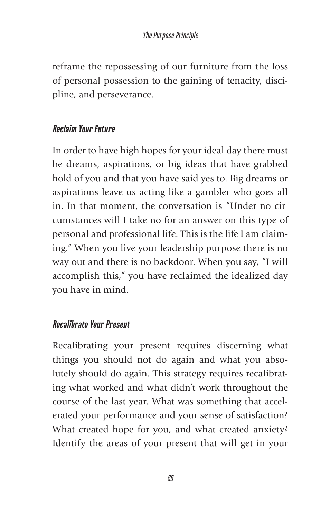reframe the repossessing of our furniture from the loss of personal possession to the gaining of tenacity, discipline, and perseverance.

#### **Reclaim Your Future**

In order to have high hopes for your ideal day there must be dreams, aspirations, or big ideas that have grabbed hold of you and that you have said yes to. Big dreams or aspirations leave us acting like a gambler who goes all in. In that moment, the conversation is "Under no circumstances will I take no for an answer on this type of personal and professional life. This is the life I am claiming." When you live your leadership purpose there is no way out and there is no backdoor. When you say, "I will accomplish this," you have reclaimed the idealized day you have in mind.

#### **Recalibrate Your Present**

Recalibrating your present requires discerning what things you should not do again and what you absolutely should do again. This strategy requires recalibrating what worked and what didn't work throughout the course of the last year. What was something that accelerated your performance and your sense of satisfaction? What created hope for you, and what created anxiety? Identify the areas of your present that will get in your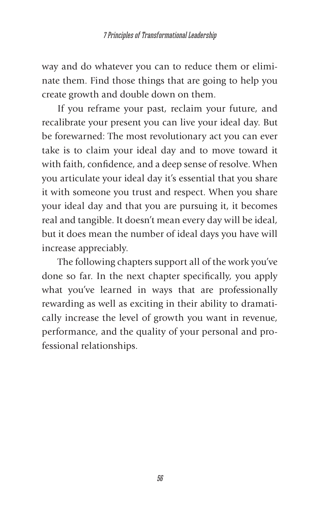way and do whatever you can to reduce them or eliminate them. Find those things that are going to help you create growth and double down on them.

If you reframe your past, reclaim your future, and recalibrate your present you can live your ideal day. But be forewarned: The most revolutionary act you can ever take is to claim your ideal day and to move toward it with faith, confidence, and a deep sense of resolve. When you articulate your ideal day it's essential that you share it with someone you trust and respect. When you share your ideal day and that you are pursuing it, it becomes real and tangible. It doesn't mean every day will be ideal, but it does mean the number of ideal days you have will increase appreciably.

The following chapters support all of the work you've done so far. In the next chapter specifically, you apply what you've learned in ways that are professionally rewarding as well as exciting in their ability to dramatically increase the level of growth you want in revenue, performance, and the quality of your personal and professional relationships.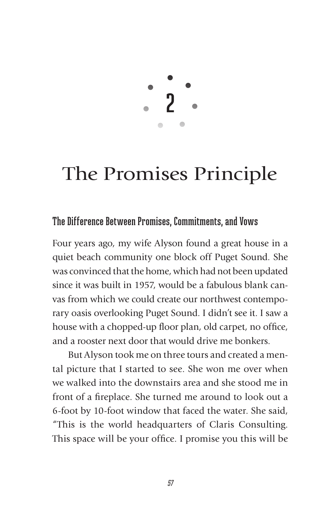**2**

# The Promises Principle

#### **The Difference Between Promises, Commitments, and Vows**

Four years ago, my wife Alyson found a great house in a quiet beach community one block off Puget Sound. She was convinced that the home, which had not been updated since it was built in 1957, would be a fabulous blank canvas from which we could create our northwest contemporary oasis overlooking Puget Sound. I didn't see it. I saw a house with a chopped-up floor plan, old carpet, no office, and a rooster next door that would drive me bonkers.

But Alyson took me on three tours and created a mental picture that I started to see. She won me over when we walked into the downstairs area and she stood me in front of a fireplace. She turned me around to look out a 6-foot by 10-foot window that faced the water. She said, "This is the world headquarters of Claris Consulting. This space will be your office. I promise you this will be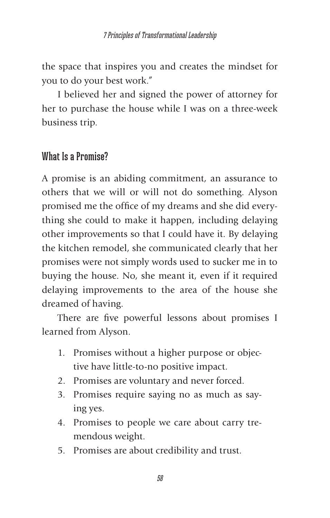the space that inspires you and creates the mindset for you to do your best work."

I believed her and signed the power of attorney for her to purchase the house while I was on a three-week business trip.

# **What Is a Promise?**

A promise is an abiding commitment, an assurance to others that we will or will not do something. Alyson promised me the office of my dreams and she did everything she could to make it happen, including delaying other improvements so that I could have it. By delaying the kitchen remodel, she communicated clearly that her promises were not simply words used to sucker me in to buying the house. No, she meant it, even if it required delaying improvements to the area of the house she dreamed of having.

There are five powerful lessons about promises I learned from Alyson.

- 1. Promises without a higher purpose or objective have little-to-no positive impact.
- 2. Promises are voluntary and never forced.
- 3. Promises require saying no as much as saying yes.
- 4. Promises to people we care about carry tremendous weight.
- 5. Promises are about credibility and trust.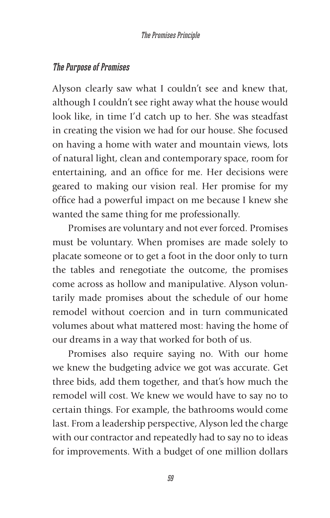#### **The Purpose of Promises**

Alyson clearly saw what I couldn't see and knew that, although I couldn't see right away what the house would look like, in time I'd catch up to her. She was steadfast in creating the vision we had for our house. She focused on having a home with water and mountain views, lots of natural light, clean and contemporary space, room for entertaining, and an office for me. Her decisions were geared to making our vision real. Her promise for my office had a powerful impact on me because I knew she wanted the same thing for me professionally.

Promises are voluntary and not ever forced. Promises must be voluntary. When promises are made solely to placate someone or to get a foot in the door only to turn the tables and renegotiate the outcome, the promises come across as hollow and manipulative. Alyson voluntarily made promises about the schedule of our home remodel without coercion and in turn communicated volumes about what mattered most: having the home of our dreams in a way that worked for both of us.

Promises also require saying no. With our home we knew the budgeting advice we got was accurate. Get three bids, add them together, and that's how much the remodel will cost. We knew we would have to say no to certain things. For example, the bathrooms would come last. From a leadership perspective, Alyson led the charge with our contractor and repeatedly had to say no to ideas for improvements. With a budget of one million dollars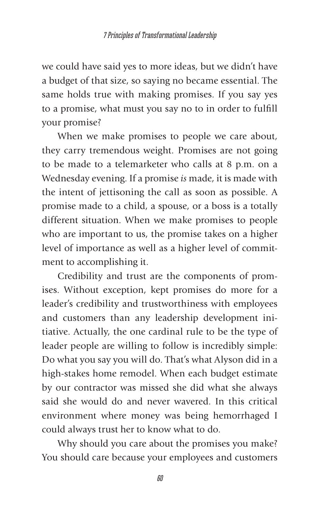we could have said yes to more ideas, but we didn't have a budget of that size, so saying no became essential. The same holds true with making promises. If you say yes to a promise, what must you say no to in order to fulfill your promise?

When we make promises to people we care about, they carry tremendous weight. Promises are not going to be made to a telemarketer who calls at 8 p.m. on a Wednesday evening. If a promise *is* made, it is made with the intent of jettisoning the call as soon as possible. A promise made to a child, a spouse, or a boss is a totally different situation. When we make promises to people who are important to us, the promise takes on a higher level of importance as well as a higher level of commitment to accomplishing it.

Credibility and trust are the components of promises. Without exception, kept promises do more for a leader's credibility and trustworthiness with employees and customers than any leadership development initiative. Actually, the one cardinal rule to be the type of leader people are willing to follow is incredibly simple: Do what you say you will do. That's what Alyson did in a high-stakes home remodel. When each budget estimate by our contractor was missed she did what she always said she would do and never wavered. In this critical environment where money was being hemorrhaged I could always trust her to know what to do.

Why should you care about the promises you make? You should care because your employees and customers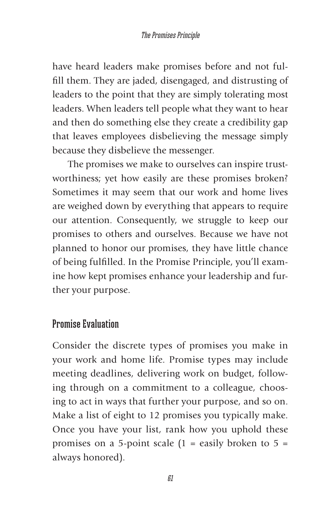have heard leaders make promises before and not fulfill them. They are jaded, disengaged, and distrusting of leaders to the point that they are simply tolerating most leaders. When leaders tell people what they want to hear and then do something else they create a credibility gap that leaves employees disbelieving the message simply because they disbelieve the messenger.

The promises we make to ourselves can inspire trustworthiness; yet how easily are these promises broken? Sometimes it may seem that our work and home lives are weighed down by everything that appears to require our attention. Consequently, we struggle to keep our promises to others and ourselves. Because we have not planned to honor our promises, they have little chance of being fulfilled. In the Promise Principle, you'll examine how kept promises enhance your leadership and further your purpose.

#### **Promise Evaluation**

Consider the discrete types of promises you make in your work and home life. Promise types may include meeting deadlines, delivering work on budget, following through on a commitment to a colleague, choosing to act in ways that further your purpose, and so on. Make a list of eight to 12 promises you typically make. Once you have your list, rank how you uphold these promises on a 5-point scale  $(1 =$  easily broken to 5 = always honored).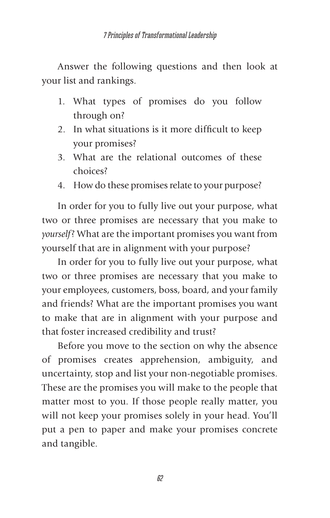Answer the following questions and then look at your list and rankings.

- 1. What types of promises do you follow through on?
- 2. In what situations is it more difficult to keep your promises?
- 3. What are the relational outcomes of these choices?
- 4. How do these promises relate to your purpose?

In order for you to fully live out your purpose, what two or three promises are necessary that you make to *yourself*? What are the important promises you want from yourself that are in alignment with your purpose?

In order for you to fully live out your purpose, what two or three promises are necessary that you make to your employees, customers, boss, board, and your family and friends? What are the important promises you want to make that are in alignment with your purpose and that foster increased credibility and trust?

Before you move to the section on why the absence of promises creates apprehension, ambiguity, and uncertainty, stop and list your non-negotiable promises. These are the promises you will make to the people that matter most to you. If those people really matter, you will not keep your promises solely in your head. You'll put a pen to paper and make your promises concrete and tangible.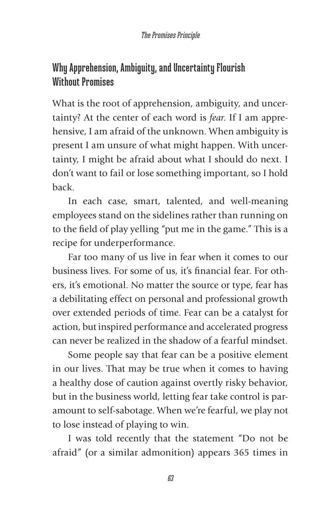# **Why Apprehension, Ambiguity, and Uncertainty Flourish Without Promises**

What is the root of apprehension, ambiguity, and uncertainty? At the center of each word is *fear*. If I am apprehensive, I am afraid of the unknown. When ambiguity is present I am unsure of what might happen. With uncertainty, I might be afraid about what I should do next. I don't want to fail or lose something important, so I hold back.

In each case, smart, talented, and well-meaning employees stand on the sidelines rather than running on to the field of play yelling "put me in the game." This is a recipe for underperformance.

Far too many of us live in fear when it comes to our business lives. For some of us, it's financial fear. For others, it's emotional. No matter the source or type, fear has a debilitating effect on personal and professional growth over extended periods of time. Fear can be a catalyst for action, but inspired performance and accelerated progress can never be realized in the shadow of a fearful mindset.

Some people say that fear can be a positive element in our lives. That may be true when it comes to having a healthy dose of caution against overtly risky behavior, but in the business world, letting fear take control is paramount to self-sabotage. When we're fearful, we play not to lose instead of playing to win.

I was told recently that the statement "Do not be afraid" (or a similar admonition) appears 365 times in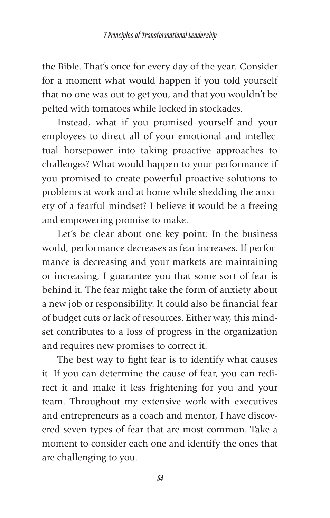the Bible. That's once for every day of the year. Consider for a moment what would happen if you told yourself that no one was out to get you, and that you wouldn't be pelted with tomatoes while locked in stockades.

Instead, what if you promised yourself and your employees to direct all of your emotional and intellectual horsepower into taking proactive approaches to challenges? What would happen to your performance if you promised to create powerful proactive solutions to problems at work and at home while shedding the anxiety of a fearful mindset? I believe it would be a freeing and empowering promise to make.

Let's be clear about one key point: In the business world, performance decreases as fear increases. If performance is decreasing and your markets are maintaining or increasing, I guarantee you that some sort of fear is behind it. The fear might take the form of anxiety about a new job or responsibility. It could also be financial fear of budget cuts or lack of resources. Either way, this mindset contributes to a loss of progress in the organization and requires new promises to correct it.

The best way to fight fear is to identify what causes it. If you can determine the cause of fear, you can redirect it and make it less frightening for you and your team. Throughout my extensive work with executives and entrepreneurs as a coach and mentor, I have discovered seven types of fear that are most common. Take a moment to consider each one and identify the ones that are challenging to you.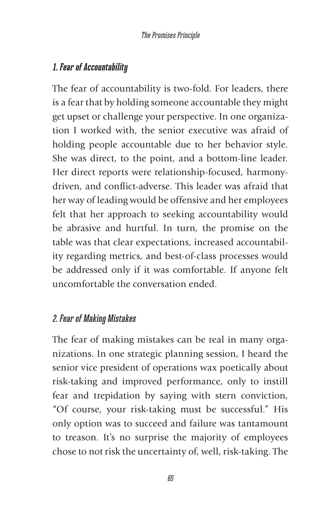# **1. Fear of Accountability**

The fear of accountability is two-fold. For leaders, there is a fear that by holding someone accountable they might get upset or challenge your perspective. In one organization I worked with, the senior executive was afraid of holding people accountable due to her behavior style. She was direct, to the point, and a bottom-line leader. Her direct reports were relationship-focused, harmonydriven, and conflict-adverse. This leader was afraid that her way of leading would be offensive and her employees felt that her approach to seeking accountability would be abrasive and hurtful. In turn, the promise on the table was that clear expectations, increased accountability regarding metrics, and best-of-class processes would be addressed only if it was comfortable. If anyone felt uncomfortable the conversation ended.

#### **2. Fear of Making Mistakes**

The fear of making mistakes can be real in many organizations. In one strategic planning session, I heard the senior vice president of operations wax poetically about risk-taking and improved performance, only to instill fear and trepidation by saying with stern conviction, "Of course, your risk-taking must be successful." His only option was to succeed and failure was tantamount to treason. It's no surprise the majority of employees chose to not risk the uncertainty of, well, risk-taking. The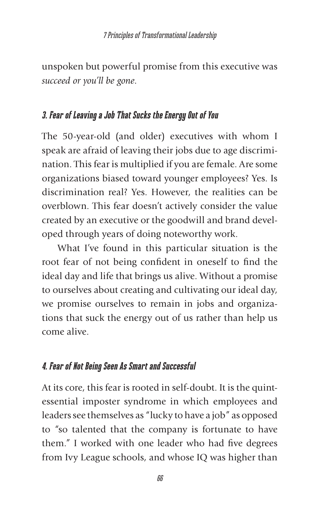unspoken but powerful promise from this executive was *succeed or you'll be gone*.

#### **3. Fear of Leaving a Job That Sucks the Energy Out of You**

The 50-year-old (and older) executives with whom I speak are afraid of leaving their jobs due to age discrimination. This fear is multiplied if you are female. Are some organizations biased toward younger employees? Yes. Is discrimination real? Yes. However, the realities can be overblown. This fear doesn't actively consider the value created by an executive or the goodwill and brand developed through years of doing noteworthy work.

What I've found in this particular situation is the root fear of not being confident in oneself to find the ideal day and life that brings us alive. Without a promise to ourselves about creating and cultivating our ideal day, we promise ourselves to remain in jobs and organizations that suck the energy out of us rather than help us come alive.

#### **4. Fear of Not Being Seen As Smart and Successful**

At its core, this fear is rooted in self-doubt. It is the quintessential imposter syndrome in which employees and leaders see themselves as "lucky to have a job" as opposed to "so talented that the company is fortunate to have them." I worked with one leader who had five degrees from Ivy League schools, and whose IQ was higher than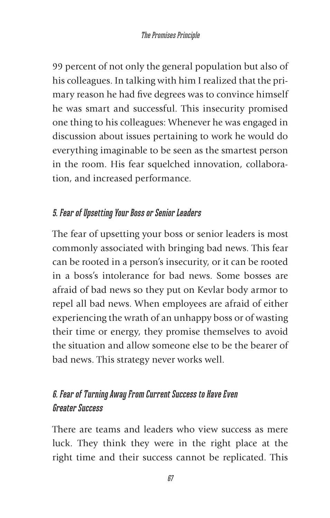99 percent of not only the general population but also of his colleagues. In talking with him I realized that the primary reason he had five degrees was to convince himself he was smart and successful. This insecurity promised one thing to his colleagues: Whenever he was engaged in discussion about issues pertaining to work he would do everything imaginable to be seen as the smartest person in the room. His fear squelched innovation, collaboration, and increased performance.

# **5. Fear of Upsetting Your Boss or Senior Leaders**

The fear of upsetting your boss or senior leaders is most commonly associated with bringing bad news. This fear can be rooted in a person's insecurity, or it can be rooted in a boss's intolerance for bad news. Some bosses are afraid of bad news so they put on Kevlar body armor to repel all bad news. When employees are afraid of either experiencing the wrath of an unhappy boss or of wasting their time or energy, they promise themselves to avoid the situation and allow someone else to be the bearer of bad news. This strategy never works well.

# **6. Fear of Turning Away From Current Success to Have Even Greater Success**

There are teams and leaders who view success as mere luck. They think they were in the right place at the right time and their success cannot be replicated. This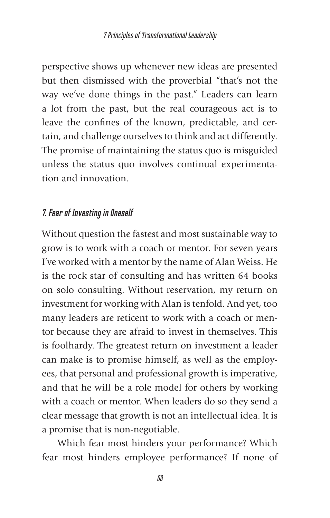perspective shows up whenever new ideas are presented but then dismissed with the proverbial "that's not the way we've done things in the past." Leaders can learn a lot from the past, but the real courageous act is to leave the confines of the known, predictable, and certain, and challenge ourselves to think and act differently. The promise of maintaining the status quo is misguided unless the status quo involves continual experimentation and innovation.

# **7. Fear of Investing in Oneself**

Without question the fastest and most sustainable way to grow is to work with a coach or mentor. For seven years I've worked with a mentor by the name of Alan Weiss. He is the rock star of consulting and has written 64 books on solo consulting. Without reservation, my return on investment for working with Alan is tenfold. And yet, too many leaders are reticent to work with a coach or mentor because they are afraid to invest in themselves. This is foolhardy. The greatest return on investment a leader can make is to promise himself, as well as the employees, that personal and professional growth is imperative, and that he will be a role model for others by working with a coach or mentor. When leaders do so they send a clear message that growth is not an intellectual idea. It is a promise that is non-negotiable.

Which fear most hinders your performance? Which fear most hinders employee performance? If none of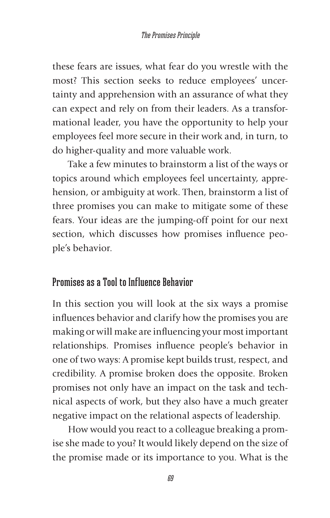these fears are issues, what fear do you wrestle with the most? This section seeks to reduce employees' uncertainty and apprehension with an assurance of what they can expect and rely on from their leaders. As a transformational leader, you have the opportunity to help your employees feel more secure in their work and, in turn, to do higher-quality and more valuable work.

Take a few minutes to brainstorm a list of the ways or topics around which employees feel uncertainty, apprehension, or ambiguity at work. Then, brainstorm a list of three promises you can make to mitigate some of these fears. Your ideas are the jumping-off point for our next section, which discusses how promises influence people's behavior.

#### **Promises as a Tool to Influence Behavior**

In this section you will look at the six ways a promise influences behavior and clarify how the promises you are making or will make are influencing your most important relationships. Promises influence people's behavior in one of two ways: A promise kept builds trust, respect, and credibility. A promise broken does the opposite. Broken promises not only have an impact on the task and technical aspects of work, but they also have a much greater negative impact on the relational aspects of leadership.

How would you react to a colleague breaking a promise she made to you? It would likely depend on the size of the promise made or its importance to you. What is the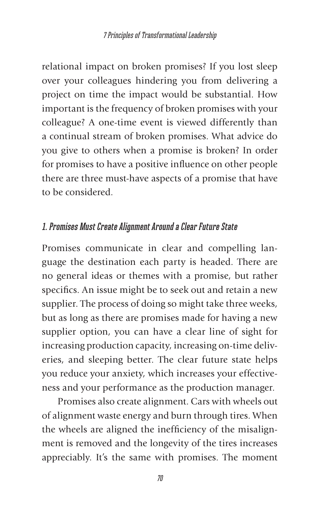relational impact on broken promises? If you lost sleep over your colleagues hindering you from delivering a project on time the impact would be substantial. How important is the frequency of broken promises with your colleague? A one-time event is viewed differently than a continual stream of broken promises. What advice do you give to others when a promise is broken? In order for promises to have a positive influence on other people there are three must-have aspects of a promise that have to be considered.

#### **1. Promises Must Create Alignment Around a Clear Future State**

Promises communicate in clear and compelling language the destination each party is headed. There are no general ideas or themes with a promise, but rather specifics. An issue might be to seek out and retain a new supplier. The process of doing so might take three weeks, but as long as there are promises made for having a new supplier option, you can have a clear line of sight for increasing production capacity, increasing on-time deliveries, and sleeping better. The clear future state helps you reduce your anxiety, which increases your effectiveness and your performance as the production manager.

Promises also create alignment. Cars with wheels out of alignment waste energy and burn through tires. When the wheels are aligned the inefficiency of the misalignment is removed and the longevity of the tires increases appreciably. It's the same with promises. The moment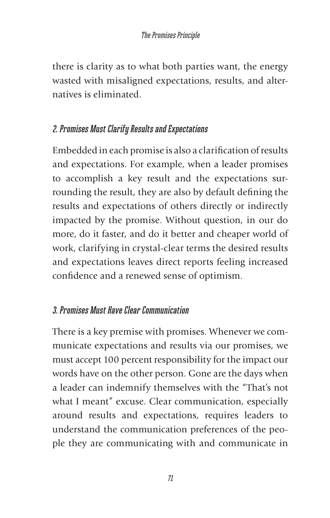there is clarity as to what both parties want, the energy wasted with misaligned expectations, results, and alternatives is eliminated.

# **2. Promises Must Clarify Results and Expectations**

Embedded in each promise is also a clarification of results and expectations. For example, when a leader promises to accomplish a key result and the expectations surrounding the result, they are also by default defining the results and expectations of others directly or indirectly impacted by the promise. Without question, in our do more, do it faster, and do it better and cheaper world of work, clarifying in crystal-clear terms the desired results and expectations leaves direct reports feeling increased confidence and a renewed sense of optimism.

# **3. Promises Must Have Clear Communication**

There is a key premise with promises. Whenever we communicate expectations and results via our promises, we must accept 100 percent responsibility for the impact our words have on the other person. Gone are the days when a leader can indemnify themselves with the "That's not what I meant" excuse. Clear communication, especially around results and expectations, requires leaders to understand the communication preferences of the people they are communicating with and communicate in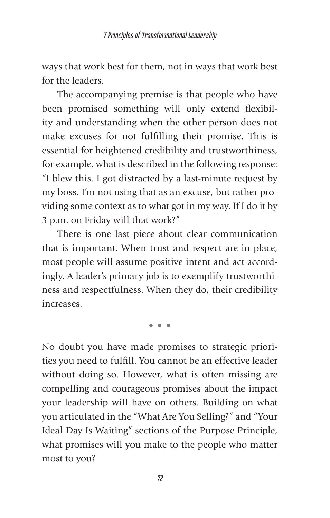ways that work best for them, not in ways that work best for the leaders.

The accompanying premise is that people who have been promised something will only extend flexibility and understanding when the other person does not make excuses for not fulfilling their promise. This is essential for heightened credibility and trustworthiness, for example, what is described in the following response: "I blew this. I got distracted by a last-minute request by my boss. I'm not using that as an excuse, but rather providing some context as to what got in my way. If I do it by 3 p.m. on Friday will that work?"

There is one last piece about clear communication that is important. When trust and respect are in place, most people will assume positive intent and act accordingly. A leader's primary job is to exemplify trustworthiness and respectfulness. When they do, their credibility increases.

 $\bullet\quad \bullet\quad \bullet$ 

No doubt you have made promises to strategic priorities you need to fulfill. You cannot be an effective leader without doing so. However, what is often missing are compelling and courageous promises about the impact your leadership will have on others. Building on what you articulated in the "What Are You Selling?" and "Your Ideal Day Is Waiting" sections of the Purpose Principle, what promises will you make to the people who matter most to you?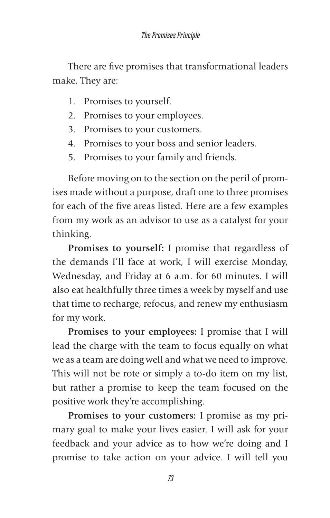There are five promises that transformational leaders make. They are:

- 1. Promises to yourself.
- 2. Promises to your employees.
- 3. Promises to your customers.
- 4. Promises to your boss and senior leaders.
- 5. Promises to your family and friends.

Before moving on to the section on the peril of promises made without a purpose, draft one to three promises for each of the five areas listed. Here are a few examples from my work as an advisor to use as a catalyst for your thinking.

**Promises to yourself:** I promise that regardless of the demands I'll face at work, I will exercise Monday, Wednesday, and Friday at 6 a.m. for 60 minutes. I will also eat healthfully three times a week by myself and use that time to recharge, refocus, and renew my enthusiasm for my work.

**Promises to your employees:** I promise that I will lead the charge with the team to focus equally on what we as a team are doing well and what we need to improve. This will not be rote or simply a to-do item on my list, but rather a promise to keep the team focused on the positive work they're accomplishing.

**Promises to your customers:** I promise as my primary goal to make your lives easier. I will ask for your feedback and your advice as to how we're doing and I promise to take action on your advice. I will tell you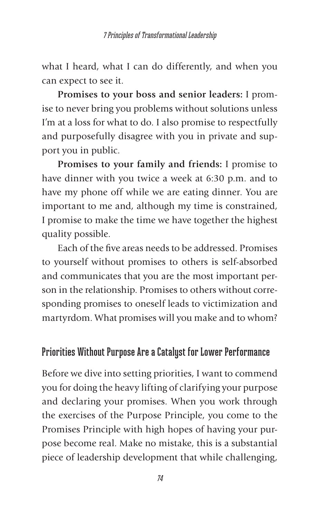what I heard, what I can do differently, and when you can expect to see it.

**Promises to your boss and senior leaders:** I promise to never bring you problems without solutions unless I'm at a loss for what to do. I also promise to respectfully and purposefully disagree with you in private and support you in public.

**Promises to your family and friends:** I promise to have dinner with you twice a week at 6:30 p.m. and to have my phone off while we are eating dinner. You are important to me and, although my time is constrained, I promise to make the time we have together the highest quality possible.

Each of the five areas needs to be addressed. Promises to yourself without promises to others is self-absorbed and communicates that you are the most important person in the relationship. Promises to others without corresponding promises to oneself leads to victimization and martyrdom. What promises will you make and to whom?

# **Priorities Without Purpose Are a Catalyst for Lower Performance**

Before we dive into setting priorities, I want to commend you for doing the heavy lifting of clarifying your purpose and declaring your promises. When you work through the exercises of the Purpose Principle, you come to the Promises Principle with high hopes of having your purpose become real. Make no mistake, this is a substantial piece of leadership development that while challenging,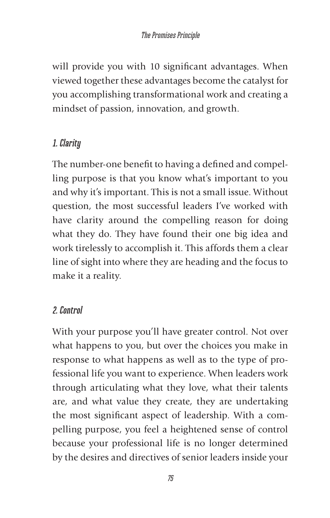will provide you with 10 significant advantages. When viewed together these advantages become the catalyst for you accomplishing transformational work and creating a mindset of passion, innovation, and growth.

# **1. Clarity**

The number-one benefit to having a defined and compelling purpose is that you know what's important to you and why it's important. This is not a small issue. Without question, the most successful leaders I've worked with have clarity around the compelling reason for doing what they do. They have found their one big idea and work tirelessly to accomplish it. This affords them a clear line of sight into where they are heading and the focus to make it a reality.

# **2. Control**

With your purpose you'll have greater control. Not over what happens to you, but over the choices you make in response to what happens as well as to the type of professional life you want to experience. When leaders work through articulating what they love, what their talents are, and what value they create, they are undertaking the most significant aspect of leadership. With a compelling purpose, you feel a heightened sense of control because your professional life is no longer determined by the desires and directives of senior leaders inside your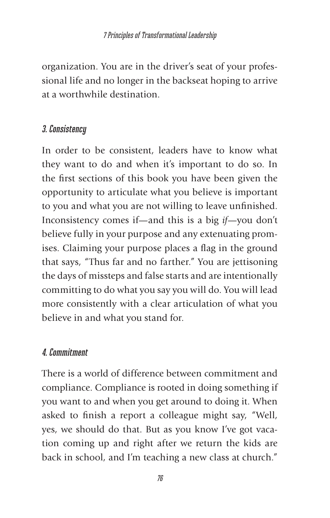organization. You are in the driver's seat of your professional life and no longer in the backseat hoping to arrive at a worthwhile destination.

## **3. Consistency**

In order to be consistent, leaders have to know what they want to do and when it's important to do so. In the first sections of this book you have been given the opportunity to articulate what you believe is important to you and what you are not willing to leave unfinished. Inconsistency comes if—and this is a big *if*—you don't believe fully in your purpose and any extenuating promises. Claiming your purpose places a flag in the ground that says, "Thus far and no farther." You are jettisoning the days of missteps and false starts and are intentionally committing to do what you say you will do. You will lead more consistently with a clear articulation of what you believe in and what you stand for.

#### **4. Commitment**

There is a world of difference between commitment and compliance. Compliance is rooted in doing something if you want to and when you get around to doing it. When asked to finish a report a colleague might say, "Well, yes, we should do that. But as you know I've got vacation coming up and right after we return the kids are back in school, and I'm teaching a new class at church."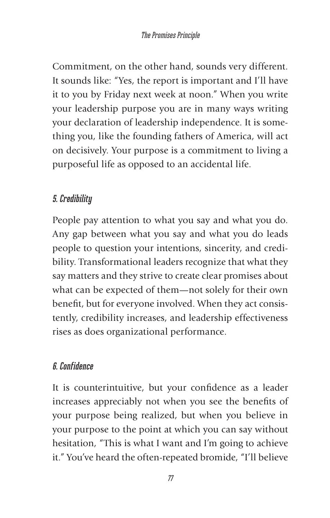Commitment, on the other hand, sounds very different. It sounds like: "Yes, the report is important and I'll have it to you by Friday next week at noon." When you write your leadership purpose you are in many ways writing your declaration of leadership independence. It is something you, like the founding fathers of America, will act on decisively. Your purpose is a commitment to living a purposeful life as opposed to an accidental life.

#### **5. Credibility**

People pay attention to what you say and what you do. Any gap between what you say and what you do leads people to question your intentions, sincerity, and credibility. Transformational leaders recognize that what they say matters and they strive to create clear promises about what can be expected of them—not solely for their own benefit, but for everyone involved. When they act consistently, credibility increases, and leadership effectiveness rises as does organizational performance.

#### **6. Confidence**

It is counterintuitive, but your confidence as a leader increases appreciably not when you see the benefits of your purpose being realized, but when you believe in your purpose to the point at which you can say without hesitation, "This is what I want and I'm going to achieve it." You've heard the often-repeated bromide, "I'll believe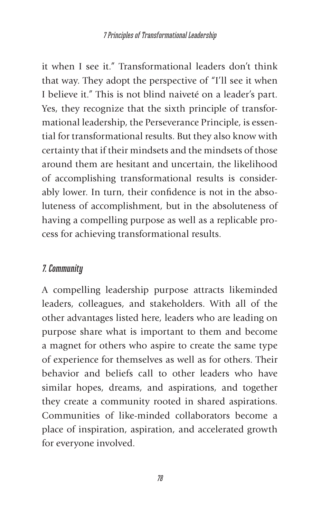it when I see it." Transformational leaders don't think that way. They adopt the perspective of "I'll see it when I believe it." This is not blind naiveté on a leader's part. Yes, they recognize that the sixth principle of transformational leadership, the Perseverance Principle, is essential for transformational results. But they also know with certainty that if their mindsets and the mindsets of those around them are hesitant and uncertain, the likelihood of accomplishing transformational results is considerably lower. In turn, their confidence is not in the absoluteness of accomplishment, but in the absoluteness of having a compelling purpose as well as a replicable process for achieving transformational results.

#### **7. Community**

A compelling leadership purpose attracts likeminded leaders, colleagues, and stakeholders. With all of the other advantages listed here, leaders who are leading on purpose share what is important to them and become a magnet for others who aspire to create the same type of experience for themselves as well as for others. Their behavior and beliefs call to other leaders who have similar hopes, dreams, and aspirations, and together they create a community rooted in shared aspirations. Communities of like-minded collaborators become a place of inspiration, aspiration, and accelerated growth for everyone involved.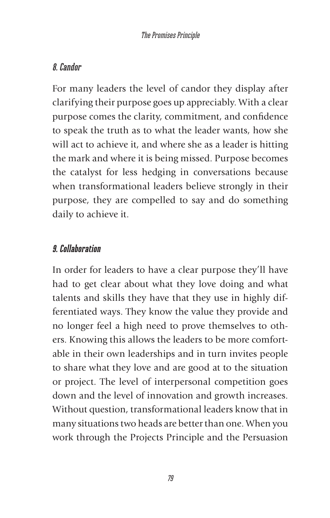## **8. Candor**

For many leaders the level of candor they display after clarifying their purpose goes up appreciably. With a clear purpose comes the clarity, commitment, and confidence to speak the truth as to what the leader wants, how she will act to achieve it, and where she as a leader is hitting the mark and where it is being missed. Purpose becomes the catalyst for less hedging in conversations because when transformational leaders believe strongly in their purpose, they are compelled to say and do something daily to achieve it.

#### **9. Collaboration**

In order for leaders to have a clear purpose they'll have had to get clear about what they love doing and what talents and skills they have that they use in highly differentiated ways. They know the value they provide and no longer feel a high need to prove themselves to others. Knowing this allows the leaders to be more comfortable in their own leaderships and in turn invites people to share what they love and are good at to the situation or project. The level of interpersonal competition goes down and the level of innovation and growth increases. Without question, transformational leaders know that in many situations two heads are better than one. When you work through the Projects Principle and the Persuasion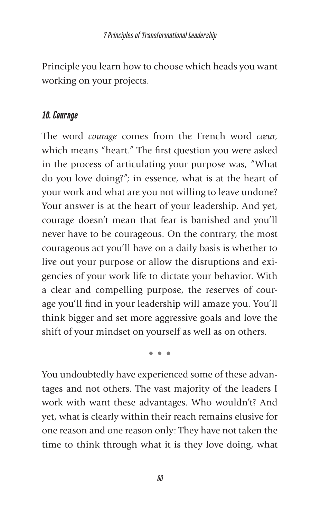Principle you learn how to choose which heads you want working on your projects.

#### **10. Courage**

The word *courage* comes from the French word *cœur*, which means "heart." The first question you were asked in the process of articulating your purpose was, "What do you love doing?"; in essence, what is at the heart of your work and what are you not willing to leave undone? Your answer is at the heart of your leadership. And yet, courage doesn't mean that fear is banished and you'll never have to be courageous. On the contrary, the most courageous act you'll have on a daily basis is whether to live out your purpose or allow the disruptions and exigencies of your work life to dictate your behavior. With a clear and compelling purpose, the reserves of courage you'll find in your leadership will amaze you. You'll think bigger and set more aggressive goals and love the shift of your mindset on yourself as well as on others.

 $\sim$   $\sim$   $\sim$ 

You undoubtedly have experienced some of these advantages and not others. The vast majority of the leaders I work with want these advantages. Who wouldn't? And yet, what is clearly within their reach remains elusive for one reason and one reason only: They have not taken the time to think through what it is they love doing, what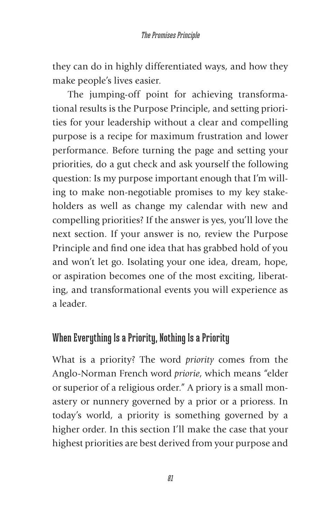they can do in highly differentiated ways, and how they make people's lives easier.

The jumping-off point for achieving transformational results is the Purpose Principle, and setting priorities for your leadership without a clear and compelling purpose is a recipe for maximum frustration and lower performance. Before turning the page and setting your priorities, do a gut check and ask yourself the following question: Is my purpose important enough that I'm willing to make non-negotiable promises to my key stakeholders as well as change my calendar with new and compelling priorities? If the answer is yes, you'll love the next section. If your answer is no, review the Purpose Principle and find one idea that has grabbed hold of you and won't let go. Isolating your one idea, dream, hope, or aspiration becomes one of the most exciting, liberating, and transformational events you will experience as a leader.

# **When Everything Is a Priority, Nothing Is a Priority**

What is a priority? The word *priority* comes from the Anglo-Norman French word *priorie*, which means "elder or superior of a religious order." A priory is a small monastery or nunnery governed by a prior or a prioress. In today's world, a priority is something governed by a higher order. In this section I'll make the case that your highest priorities are best derived from your purpose and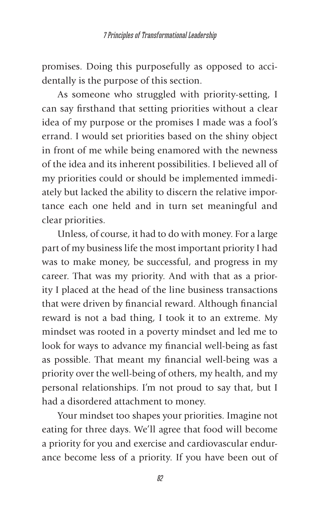promises. Doing this purposefully as opposed to accidentally is the purpose of this section.

As someone who struggled with priority-setting, I can say firsthand that setting priorities without a clear idea of my purpose or the promises I made was a fool's errand. I would set priorities based on the shiny object in front of me while being enamored with the newness of the idea and its inherent possibilities. I believed all of my priorities could or should be implemented immediately but lacked the ability to discern the relative importance each one held and in turn set meaningful and clear priorities.

Unless, of course, it had to do with money. For a large part of my business life the most important priority I had was to make money, be successful, and progress in my career. That was my priority. And with that as a priority I placed at the head of the line business transactions that were driven by financial reward. Although financial reward is not a bad thing, I took it to an extreme. My mindset was rooted in a poverty mindset and led me to look for ways to advance my financial well-being as fast as possible. That meant my financial well-being was a priority over the well-being of others, my health, and my personal relationships. I'm not proud to say that, but I had a disordered attachment to money.

Your mindset too shapes your priorities. Imagine not eating for three days. We'll agree that food will become a priority for you and exercise and cardiovascular endurance become less of a priority. If you have been out of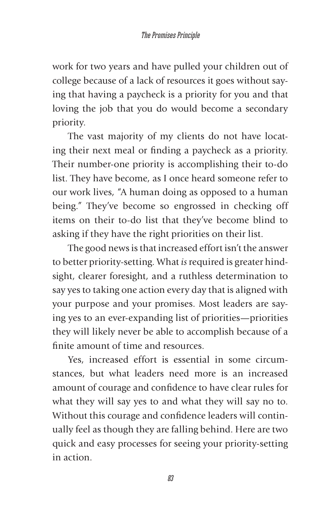work for two years and have pulled your children out of college because of a lack of resources it goes without saying that having a paycheck is a priority for you and that loving the job that you do would become a secondary priority.

The vast majority of my clients do not have locating their next meal or finding a paycheck as a priority. Their number-one priority is accomplishing their to-do list. They have become, as I once heard someone refer to our work lives, "A human doing as opposed to a human being." They've become so engrossed in checking off items on their to-do list that they've become blind to asking if they have the right priorities on their list.

The good news is that increased effort isn't the answer to better priority-setting. What *is* required is greater hindsight, clearer foresight, and a ruthless determination to say yes to taking one action every day that is aligned with your purpose and your promises. Most leaders are saying yes to an ever-expanding list of priorities—priorities they will likely never be able to accomplish because of a finite amount of time and resources.

Yes, increased effort is essential in some circumstances, but what leaders need more is an increased amount of courage and confidence to have clear rules for what they will say yes to and what they will say no to. Without this courage and confidence leaders will continually feel as though they are falling behind. Here are two quick and easy processes for seeing your priority-setting in action.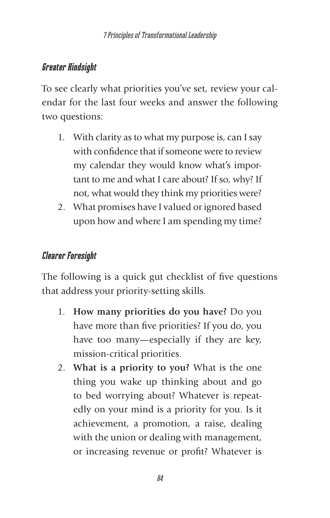## **Greater Hindsight**

To see clearly what priorities you've set, review your calendar for the last four weeks and answer the following two questions:

- 1. With clarity as to what my purpose is, can I say with confidence that if someone were to review my calendar they would know what's important to me and what I care about? If so, why? If not, what would they think my priorities were?
- 2. What promises have I valued or ignored based upon how and where I am spending my time?

# **Clearer Foresight**

The following is a quick gut checklist of five questions that address your priority-setting skills.

- 1. **How many priorities do you have?** Do you have more than five priorities? If you do, you have too many—especially if they are key, mission-critical priorities.
- 2. **What is a priority to you?** What is the one thing you wake up thinking about and go to bed worrying about? Whatever is repeatedly on your mind is a priority for you. Is it achievement, a promotion, a raise, dealing with the union or dealing with management, or increasing revenue or profit? Whatever is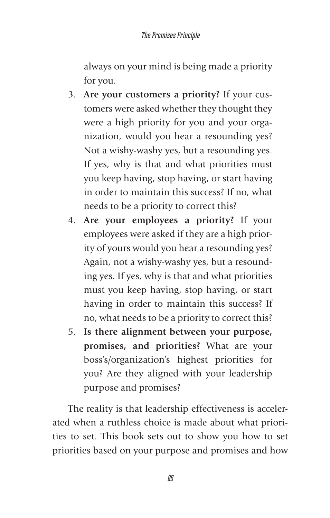#### The Promises Principle

always on your mind is being made a priority for you.

- 3. **Are your customers a priority?** If your customers were asked whether they thought they were a high priority for you and your organization, would you hear a resounding yes? Not a wishy-washy yes, but a resounding yes. If yes, why is that and what priorities must you keep having, stop having, or start having in order to maintain this success? If no, what needs to be a priority to correct this?
- 4. **Are your employees a priority?** If your employees were asked if they are a high priority of yours would you hear a resounding yes? Again, not a wishy-washy yes, but a resounding yes. If yes, why is that and what priorities must you keep having, stop having, or start having in order to maintain this success? If no, what needs to be a priority to correct this?
- 5. **Is there alignment between your purpose, promises, and priorities?** What are your boss's/organization's highest priorities for you? Are they aligned with your leadership purpose and promises?

The reality is that leadership effectiveness is accelerated when a ruthless choice is made about what priorities to set. This book sets out to show you how to set priorities based on your purpose and promises and how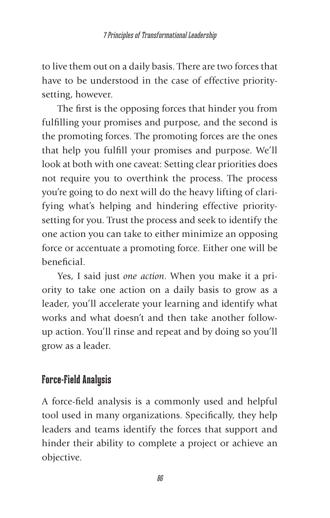to live them out on a daily basis. There are two forces that have to be understood in the case of effective prioritysetting, however.

The first is the opposing forces that hinder you from fulfilling your promises and purpose, and the second is the promoting forces. The promoting forces are the ones that help you fulfill your promises and purpose. We'll look at both with one caveat: Setting clear priorities does not require you to overthink the process. The process you're going to do next will do the heavy lifting of clarifying what's helping and hindering effective prioritysetting for you. Trust the process and seek to identify the one action you can take to either minimize an opposing force or accentuate a promoting force. Either one will be beneficial.

Yes, I said just *one action*. When you make it a priority to take one action on a daily basis to grow as a leader, you'll accelerate your learning and identify what works and what doesn't and then take another followup action. You'll rinse and repeat and by doing so you'll grow as a leader.

# **Force-Field Analysis**

A force-field analysis is a commonly used and helpful tool used in many organizations. Specifically, they help leaders and teams identify the forces that support and hinder their ability to complete a project or achieve an objective.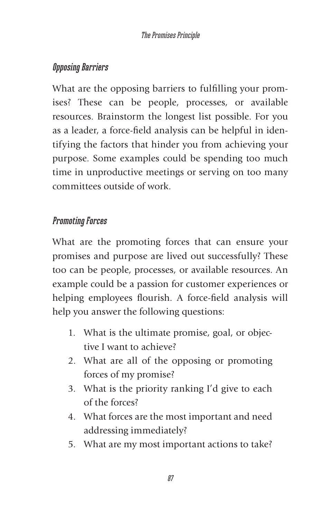# **Opposing Barriers**

What are the opposing barriers to fulfilling your promises? These can be people, processes, or available resources. Brainstorm the longest list possible. For you as a leader, a force-field analysis can be helpful in identifying the factors that hinder you from achieving your purpose. Some examples could be spending too much time in unproductive meetings or serving on too many committees outside of work.

# **Promoting Forces**

What are the promoting forces that can ensure your promises and purpose are lived out successfully? These too can be people, processes, or available resources. An example could be a passion for customer experiences or helping employees flourish. A force-field analysis will help you answer the following questions:

- 1. What is the ultimate promise, goal, or objective I want to achieve?
- 2. What are all of the opposing or promoting forces of my promise?
- 3. What is the priority ranking I'd give to each of the forces?
- 4. What forces are the most important and need addressing immediately?
- 5. What are my most important actions to take?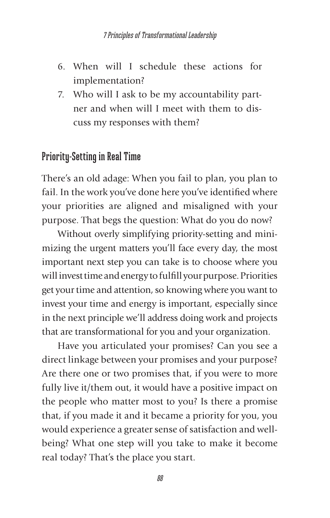- 6. When will I schedule these actions for implementation?
- 7. Who will I ask to be my accountability partner and when will I meet with them to discuss my responses with them?

# **Priority-Setting in Real Time**

There's an old adage: When you fail to plan, you plan to fail. In the work you've done here you've identified where your priorities are aligned and misaligned with your purpose. That begs the question: What do you do now?

Without overly simplifying priority-setting and minimizing the urgent matters you'll face every day, the most important next step you can take is to choose where you will invest time and energy to fulfill your purpose. Priorities get your time and attention, so knowing where you want to invest your time and energy is important, especially since in the next principle we'll address doing work and projects that are transformational for you and your organization.

Have you articulated your promises? Can you see a direct linkage between your promises and your purpose? Are there one or two promises that, if you were to more fully live it/them out, it would have a positive impact on the people who matter most to you? Is there a promise that, if you made it and it became a priority for you, you would experience a greater sense of satisfaction and wellbeing? What one step will you take to make it become real today? That's the place you start.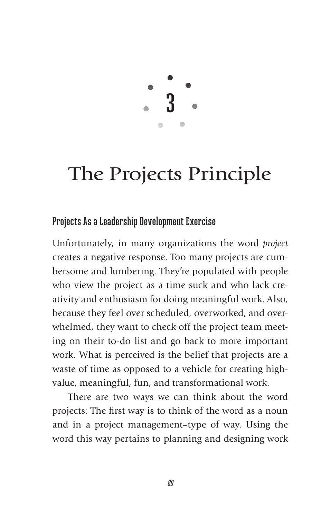**3**

# The Projects Principle

## **Projects As a Leadership Development Exercise**

Unfortunately, in many organizations the word *project* creates a negative response. Too many projects are cumbersome and lumbering. They're populated with people who view the project as a time suck and who lack creativity and enthusiasm for doing meaningful work. Also, because they feel over scheduled, overworked, and overwhelmed, they want to check off the project team meeting on their to-do list and go back to more important work. What is perceived is the belief that projects are a waste of time as opposed to a vehicle for creating highvalue, meaningful, fun, and transformational work.

There are two ways we can think about the word projects: The first way is to think of the word as a noun and in a project management–type of way. Using the word this way pertains to planning and designing work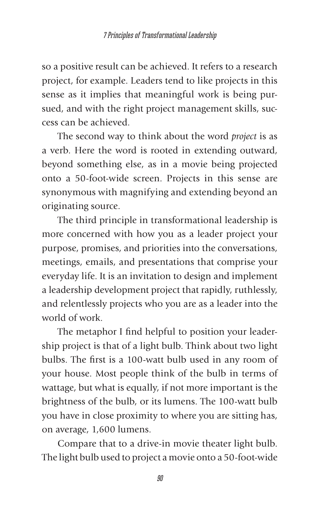so a positive result can be achieved. It refers to a research project, for example. Leaders tend to like projects in this sense as it implies that meaningful work is being pursued, and with the right project management skills, success can be achieved.

The second way to think about the word *project* is as a verb. Here the word is rooted in extending outward, beyond something else, as in a movie being projected onto a 50-foot-wide screen. Projects in this sense are synonymous with magnifying and extending beyond an originating source.

The third principle in transformational leadership is more concerned with how you as a leader project your purpose, promises, and priorities into the conversations, meetings, emails, and presentations that comprise your everyday life. It is an invitation to design and implement a leadership development project that rapidly, ruthlessly, and relentlessly projects who you are as a leader into the world of work.

The metaphor I find helpful to position your leadership project is that of a light bulb. Think about two light bulbs. The first is a 100-watt bulb used in any room of your house. Most people think of the bulb in terms of wattage, but what is equally, if not more important is the brightness of the bulb, or its lumens. The 100-watt bulb you have in close proximity to where you are sitting has, on average, 1,600 lumens.

Compare that to a drive-in movie theater light bulb. The light bulb used to project a movie onto a 50-foot-wide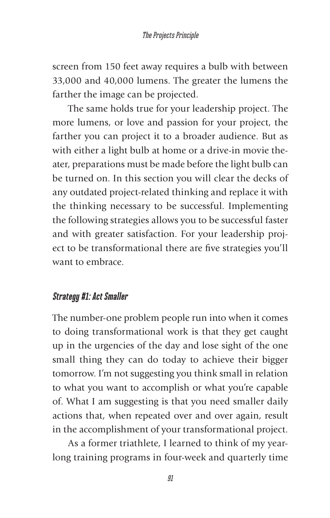screen from 150 feet away requires a bulb with between 33,000 and 40,000 lumens. The greater the lumens the farther the image can be projected.

The same holds true for your leadership project. The more lumens, or love and passion for your project, the farther you can project it to a broader audience. But as with either a light bulb at home or a drive-in movie theater, preparations must be made before the light bulb can be turned on. In this section you will clear the decks of any outdated project-related thinking and replace it with the thinking necessary to be successful. Implementing the following strategies allows you to be successful faster and with greater satisfaction. For your leadership project to be transformational there are five strategies you'll want to embrace.

#### **Strategy #1: Act Smaller**

The number-one problem people run into when it comes to doing transformational work is that they get caught up in the urgencies of the day and lose sight of the one small thing they can do today to achieve their bigger tomorrow. I'm not suggesting you think small in relation to what you want to accomplish or what you're capable of. What I am suggesting is that you need smaller daily actions that, when repeated over and over again, result in the accomplishment of your transformational project.

As a former triathlete, I learned to think of my yearlong training programs in four-week and quarterly time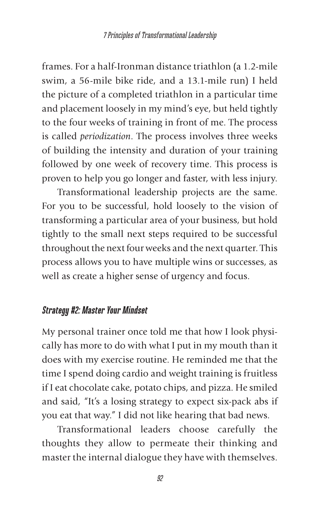frames. For a half-Ironman distance triathlon (a 1.2-mile swim, a 56-mile bike ride, and a 13.1-mile run) I held the picture of a completed triathlon in a particular time and placement loosely in my mind's eye, but held tightly to the four weeks of training in front of me. The process is called *periodization*. The process involves three weeks of building the intensity and duration of your training followed by one week of recovery time. This process is proven to help you go longer and faster, with less injury.

Transformational leadership projects are the same. For you to be successful, hold loosely to the vision of transforming a particular area of your business, but hold tightly to the small next steps required to be successful throughout the next four weeks and the next quarter. This process allows you to have multiple wins or successes, as well as create a higher sense of urgency and focus.

#### **Strategy #2: Master Your Mindset**

My personal trainer once told me that how I look physically has more to do with what I put in my mouth than it does with my exercise routine. He reminded me that the time I spend doing cardio and weight training is fruitless if I eat chocolate cake, potato chips, and pizza. He smiled and said, "It's a losing strategy to expect six-pack abs if you eat that way." I did not like hearing that bad news.

Transformational leaders choose carefully the thoughts they allow to permeate their thinking and master the internal dialogue they have with themselves.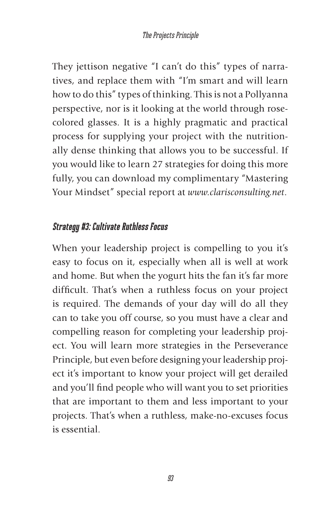They jettison negative "I can't do this" types of narratives, and replace them with "I'm smart and will learn how to do this" types of thinking. This is not a Pollyanna perspective, nor is it looking at the world through rosecolored glasses. It is a highly pragmatic and practical process for supplying your project with the nutritionally dense thinking that allows you to be successful. If you would like to learn 27 strategies for doing this more fully, you can download my complimentary "Mastering Your Mindset" special report at *www.clarisconsulting.net*.

#### **Strategy #3: Cultivate Ruthless Focus**

When your leadership project is compelling to you it's easy to focus on it, especially when all is well at work and home. But when the yogurt hits the fan it's far more difficult. That's when a ruthless focus on your project is required. The demands of your day will do all they can to take you off course, so you must have a clear and compelling reason for completing your leadership project. You will learn more strategies in the Perseverance Principle, but even before designing your leadership project it's important to know your project will get derailed and you'll find people who will want you to set priorities that are important to them and less important to your projects. That's when a ruthless, make-no-excuses focus is essential.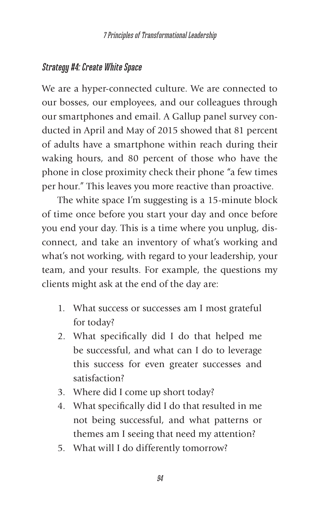#### **Strategy #4: Create White Space**

We are a hyper-connected culture. We are connected to our bosses, our employees, and our colleagues through our smartphones and email. A Gallup panel survey conducted in April and May of 2015 showed that 81 percent of adults have a smartphone within reach during their waking hours, and 80 percent of those who have the phone in close proximity check their phone "a few times per hour." This leaves you more reactive than proactive.

The white space I'm suggesting is a 15-minute block of time once before you start your day and once before you end your day. This is a time where you unplug, disconnect, and take an inventory of what's working and what's not working, with regard to your leadership, your team, and your results. For example, the questions my clients might ask at the end of the day are:

- 1. What success or successes am I most grateful for today?
- 2. What specifically did I do that helped me be successful, and what can I do to leverage this success for even greater successes and satisfaction?
- 3. Where did I come up short today?
- 4. What specifically did I do that resulted in me not being successful, and what patterns or themes am I seeing that need my attention?
- 5. What will I do differently tomorrow?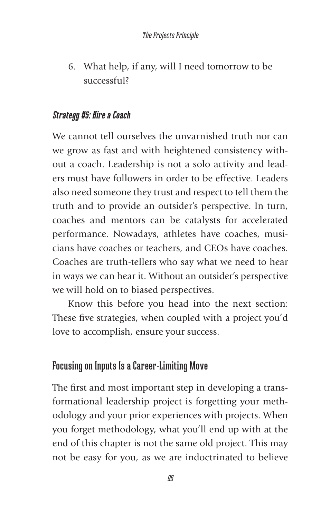6. What help, if any, will I need tomorrow to be successful?

#### **Strategy #5: Hire a Coach**

We cannot tell ourselves the unvarnished truth nor can we grow as fast and with heightened consistency without a coach. Leadership is not a solo activity and leaders must have followers in order to be effective. Leaders also need someone they trust and respect to tell them the truth and to provide an outsider's perspective. In turn, coaches and mentors can be catalysts for accelerated performance. Nowadays, athletes have coaches, musicians have coaches or teachers, and CEOs have coaches. Coaches are truth-tellers who say what we need to hear in ways we can hear it. Without an outsider's perspective we will hold on to biased perspectives.

Know this before you head into the next section: These five strategies, when coupled with a project you'd love to accomplish, ensure your success.

# **Focusing on Inputs Is a Career-Limiting Move**

The first and most important step in developing a transformational leadership project is forgetting your methodology and your prior experiences with projects. When you forget methodology, what you'll end up with at the end of this chapter is not the same old project. This may not be easy for you, as we are indoctrinated to believe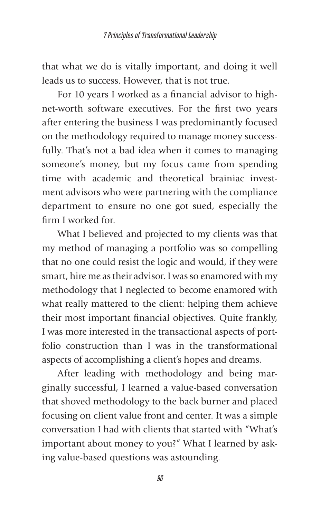that what we do is vitally important, and doing it well leads us to success. However, that is not true.

For 10 years I worked as a financial advisor to highnet-worth software executives. For the first two years after entering the business I was predominantly focused on the methodology required to manage money successfully. That's not a bad idea when it comes to managing someone's money, but my focus came from spending time with academic and theoretical brainiac investment advisors who were partnering with the compliance department to ensure no one got sued, especially the firm I worked for.

What I believed and projected to my clients was that my method of managing a portfolio was so compelling that no one could resist the logic and would, if they were smart, hire me as their advisor. I was so enamored with my methodology that I neglected to become enamored with what really mattered to the client: helping them achieve their most important financial objectives. Quite frankly, I was more interested in the transactional aspects of portfolio construction than I was in the transformational aspects of accomplishing a client's hopes and dreams.

After leading with methodology and being marginally successful, I learned a value-based conversation that shoved methodology to the back burner and placed focusing on client value front and center. It was a simple conversation I had with clients that started with "What's important about money to you?" What I learned by asking value-based questions was astounding.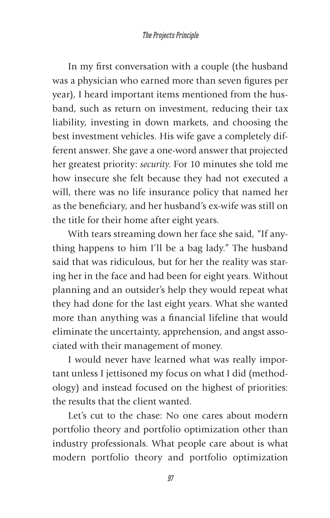#### The Projects Principle

In my first conversation with a couple (the husband was a physician who earned more than seven figures per year), I heard important items mentioned from the husband, such as return on investment, reducing their tax liability, investing in down markets, and choosing the best investment vehicles. His wife gave a completely different answer. She gave a one-word answer that projected her greatest priority: *security*. For 10 minutes she told me how insecure she felt because they had not executed a will, there was no life insurance policy that named her as the beneficiary, and her husband's ex-wife was still on the title for their home after eight years.

With tears streaming down her face she said, "If anything happens to him I'll be a bag lady." The husband said that was ridiculous, but for her the reality was staring her in the face and had been for eight years. Without planning and an outsider's help they would repeat what they had done for the last eight years. What she wanted more than anything was a financial lifeline that would eliminate the uncertainty, apprehension, and angst associated with their management of money.

I would never have learned what was really important unless I jettisoned my focus on what I did (methodology) and instead focused on the highest of priorities: the results that the client wanted.

Let's cut to the chase: No one cares about modern portfolio theory and portfolio optimization other than industry professionals. What people care about is what modern portfolio theory and portfolio optimization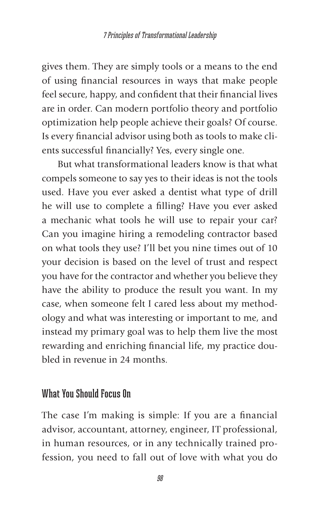gives them. They are simply tools or a means to the end of using financial resources in ways that make people feel secure, happy, and confident that their financial lives are in order. Can modern portfolio theory and portfolio optimization help people achieve their goals? Of course. Is every financial advisor using both as tools to make clients successful financially? Yes, every single one.

But what transformational leaders know is that what compels someone to say yes to their ideas is not the tools used. Have you ever asked a dentist what type of drill he will use to complete a filling? Have you ever asked a mechanic what tools he will use to repair your car? Can you imagine hiring a remodeling contractor based on what tools they use? I'll bet you nine times out of 10 your decision is based on the level of trust and respect you have for the contractor and whether you believe they have the ability to produce the result you want. In my case, when someone felt I cared less about my methodology and what was interesting or important to me, and instead my primary goal was to help them live the most rewarding and enriching financial life, my practice doubled in revenue in 24 months.

#### **What You Should Focus On**

The case I'm making is simple: If you are a financial advisor, accountant, attorney, engineer, IT professional, in human resources, or in any technically trained profession, you need to fall out of love with what you do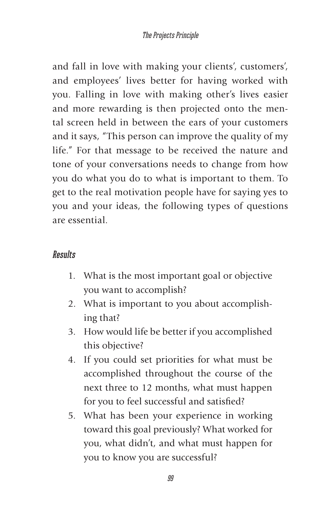and fall in love with making your clients', customers', and employees' lives better for having worked with you. Falling in love with making other's lives easier and more rewarding is then projected onto the mental screen held in between the ears of your customers and it says, "This person can improve the quality of my life." For that message to be received the nature and tone of your conversations needs to change from how you do what you do to what is important to them. To get to the real motivation people have for saying yes to you and your ideas, the following types of questions are essential.

#### **Results**

- 1. What is the most important goal or objective you want to accomplish?
- 2. What is important to you about accomplishing that?
- 3. How would life be better if you accomplished this objective?
- 4. If you could set priorities for what must be accomplished throughout the course of the next three to 12 months, what must happen for you to feel successful and satisfied?
- 5. What has been your experience in working toward this goal previously? What worked for you, what didn't, and what must happen for you to know you are successful?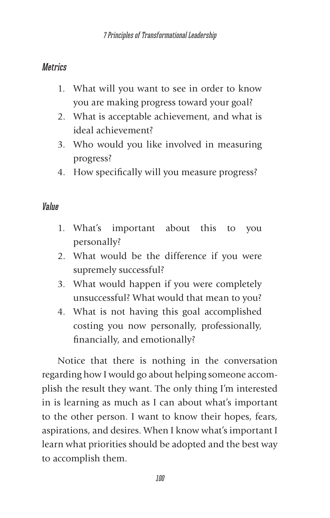## **Metrics**

- 1. What will you want to see in order to know you are making progress toward your goal?
- 2. What is acceptable achievement, and what is ideal achievement?
- 3. Who would you like involved in measuring progress?
- 4. How specifically will you measure progress?

#### **Value**

- 1. What's important about this to you personally?
- 2. What would be the difference if you were supremely successful?
- 3. What would happen if you were completely unsuccessful? What would that mean to you?
- 4. What is not having this goal accomplished costing you now personally, professionally, financially, and emotionally?

Notice that there is nothing in the conversation regarding how I would go about helping someone accomplish the result they want. The only thing I'm interested in is learning as much as I can about what's important to the other person. I want to know their hopes, fears, aspirations, and desires. When I know what's important I learn what priorities should be adopted and the best way to accomplish them.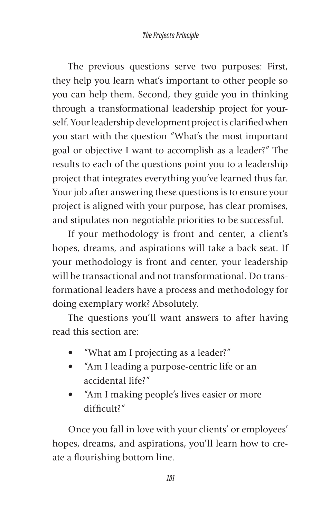The previous questions serve two purposes: First, they help you learn what's important to other people so you can help them. Second, they guide you in thinking through a transformational leadership project for yourself. Your leadership development project is clarified when you start with the question "What's the most important goal or objective I want to accomplish as a leader?" The results to each of the questions point you to a leadership project that integrates everything you've learned thus far. Your job after answering these questions is to ensure your project is aligned with your purpose, has clear promises, and stipulates non-negotiable priorities to be successful.

If your methodology is front and center, a client's hopes, dreams, and aspirations will take a back seat. If your methodology is front and center, your leadership will be transactional and not transformational. Do transformational leaders have a process and methodology for doing exemplary work? Absolutely.

The questions you'll want answers to after having read this section are:

- "What am I projecting as a leader?"
- "Am I leading a purpose-centric life or an accidental life?"
- "Am I making people's lives easier or more difficult?"

Once you fall in love with your clients' or employees' hopes, dreams, and aspirations, you'll learn how to create a flourishing bottom line.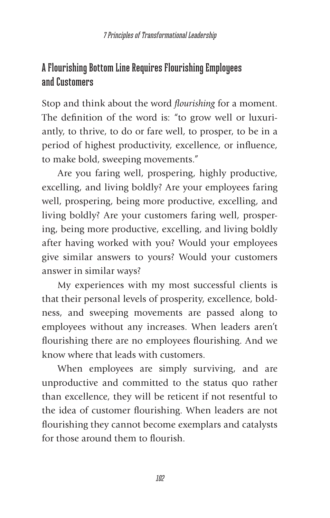# **A Flourishing Bottom Line Requires Flourishing Employees and Customers**

Stop and think about the word *flourishing* for a moment. The definition of the word is: "to grow well or luxuriantly, to thrive, to do or fare well, to prosper, to be in a period of highest productivity, excellence, or influence, to make bold, sweeping movements."

Are you faring well, prospering, highly productive, excelling, and living boldly? Are your employees faring well, prospering, being more productive, excelling, and living boldly? Are your customers faring well, prospering, being more productive, excelling, and living boldly after having worked with you? Would your employees give similar answers to yours? Would your customers answer in similar ways?

My experiences with my most successful clients is that their personal levels of prosperity, excellence, boldness, and sweeping movements are passed along to employees without any increases. When leaders aren't flourishing there are no employees flourishing. And we know where that leads with customers.

When employees are simply surviving, and are unproductive and committed to the status quo rather than excellence, they will be reticent if not resentful to the idea of customer flourishing. When leaders are not flourishing they cannot become exemplars and catalysts for those around them to flourish.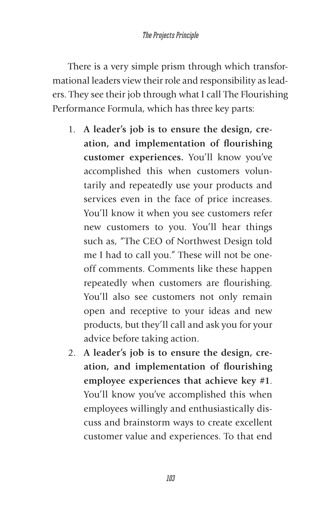There is a very simple prism through which transformational leaders view their role and responsibility as leaders. They see their job through what I call The Flourishing Performance Formula, which has three key parts:

- 1. **A leader's job is to ensure the design, creation, and implementation of flourishing customer experiences.** You'll know you've accomplished this when customers voluntarily and repeatedly use your products and services even in the face of price increases. You'll know it when you see customers refer new customers to you. You'll hear things such as, "The CEO of Northwest Design told me I had to call you." These will not be oneoff comments. Comments like these happen repeatedly when customers are flourishing. You'll also see customers not only remain open and receptive to your ideas and new products, but they'll call and ask you for your advice before taking action.
- 2. **A leader's job is to ensure the design, creation, and implementation of flourishing employee experiences that achieve key #1**. You'll know you've accomplished this when employees willingly and enthusiastically discuss and brainstorm ways to create excellent customer value and experiences. To that end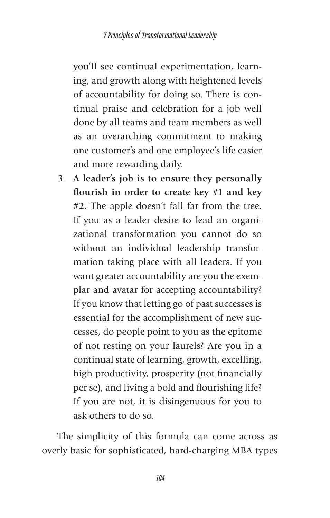you'll see continual experimentation, learning, and growth along with heightened levels of accountability for doing so. There is continual praise and celebration for a job well done by all teams and team members as well as an overarching commitment to making one customer's and one employee's life easier and more rewarding daily.

3. **A leader's job is to ensure they personally flourish in order to create key #1 and key #2.** The apple doesn't fall far from the tree. If you as a leader desire to lead an organizational transformation you cannot do so without an individual leadership transformation taking place with all leaders. If you want greater accountability are you the exemplar and avatar for accepting accountability? If you know that letting go of past successes is essential for the accomplishment of new successes, do people point to you as the epitome of not resting on your laurels? Are you in a continual state of learning, growth, excelling, high productivity, prosperity (not financially per se), and living a bold and flourishing life? If you are not, it is disingenuous for you to ask others to do so.

The simplicity of this formula can come across as overly basic for sophisticated, hard-charging MBA types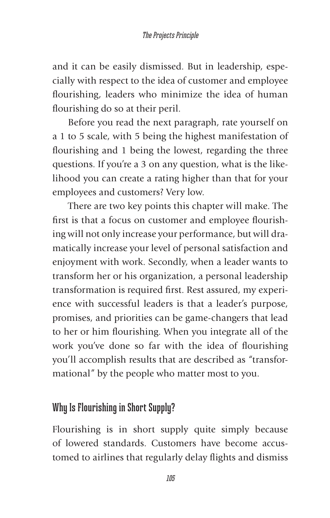and it can be easily dismissed. But in leadership, especially with respect to the idea of customer and employee flourishing, leaders who minimize the idea of human flourishing do so at their peril.

Before you read the next paragraph, rate yourself on a 1 to 5 scale, with 5 being the highest manifestation of flourishing and 1 being the lowest, regarding the three questions. If you're a 3 on any question, what is the likelihood you can create a rating higher than that for your employees and customers? Very low.

There are two key points this chapter will make. The first is that a focus on customer and employee flourishing will not only increase your performance, but will dramatically increase your level of personal satisfaction and enjoyment with work. Secondly, when a leader wants to transform her or his organization, a personal leadership transformation is required first. Rest assured, my experience with successful leaders is that a leader's purpose, promises, and priorities can be game-changers that lead to her or him flourishing. When you integrate all of the work you've done so far with the idea of flourishing you'll accomplish results that are described as "transformational" by the people who matter most to you.

# **Why Is Flourishing in Short Supply?**

Flourishing is in short supply quite simply because of lowered standards. Customers have become accustomed to airlines that regularly delay flights and dismiss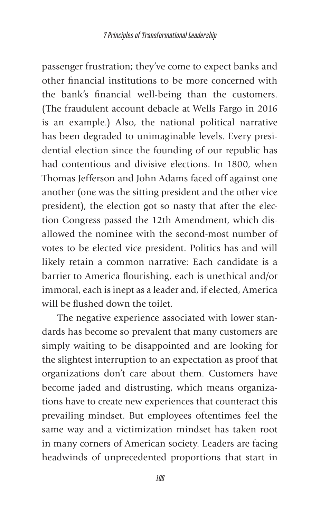passenger frustration; they've come to expect banks and other financial institutions to be more concerned with the bank's financial well-being than the customers. (The fraudulent account debacle at Wells Fargo in 2016 is an example.) Also, the national political narrative has been degraded to unimaginable levels. Every presidential election since the founding of our republic has had contentious and divisive elections. In 1800, when Thomas Jefferson and John Adams faced off against one another (one was the sitting president and the other vice president), the election got so nasty that after the election Congress passed the 12th Amendment, which disallowed the nominee with the second-most number of votes to be elected vice president. Politics has and will likely retain a common narrative: Each candidate is a barrier to America flourishing, each is unethical and/or immoral, each is inept as a leader and, if elected, America will be flushed down the toilet.

The negative experience associated with lower standards has become so prevalent that many customers are simply waiting to be disappointed and are looking for the slightest interruption to an expectation as proof that organizations don't care about them. Customers have become jaded and distrusting, which means organizations have to create new experiences that counteract this prevailing mindset. But employees oftentimes feel the same way and a victimization mindset has taken root in many corners of American society. Leaders are facing headwinds of unprecedented proportions that start in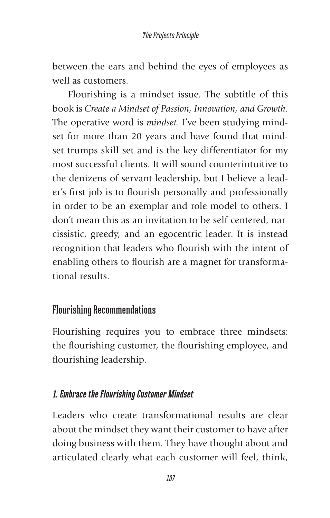between the ears and behind the eyes of employees as well as customers.

Flourishing is a mindset issue. The subtitle of this book is *Create a Mindset of Passion, Innovation, and Growth*. The operative word is *mindset*. I've been studying mindset for more than 20 years and have found that mindset trumps skill set and is the key differentiator for my most successful clients. It will sound counterintuitive to the denizens of servant leadership, but I believe a leader's first job is to flourish personally and professionally in order to be an exemplar and role model to others. I don't mean this as an invitation to be self-centered, narcissistic, greedy, and an egocentric leader. It is instead recognition that leaders who flourish with the intent of enabling others to flourish are a magnet for transformational results.

## **Flourishing Recommendations**

Flourishing requires you to embrace three mindsets: the flourishing customer, the flourishing employee, and flourishing leadership.

#### **1. Embrace the Flourishing Customer Mindset**

Leaders who create transformational results are clear about the mindset they want their customer to have after doing business with them. They have thought about and articulated clearly what each customer will feel, think,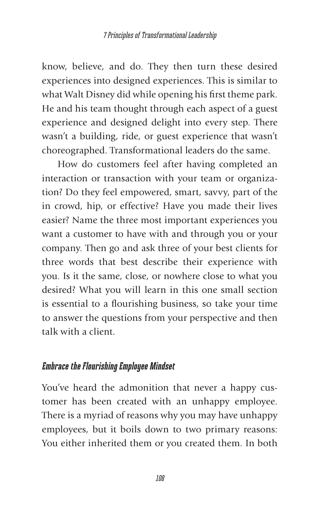know, believe, and do. They then turn these desired experiences into designed experiences. This is similar to what Walt Disney did while opening his first theme park. He and his team thought through each aspect of a guest experience and designed delight into every step. There wasn't a building, ride, or guest experience that wasn't choreographed. Transformational leaders do the same.

How do customers feel after having completed an interaction or transaction with your team or organization? Do they feel empowered, smart, savvy, part of the in crowd, hip, or effective? Have you made their lives easier? Name the three most important experiences you want a customer to have with and through you or your company. Then go and ask three of your best clients for three words that best describe their experience with you. Is it the same, close, or nowhere close to what you desired? What you will learn in this one small section is essential to a flourishing business, so take your time to answer the questions from your perspective and then talk with a client.

#### **Embrace the Flourishing Employee Mindset**

You've heard the admonition that never a happy customer has been created with an unhappy employee. There is a myriad of reasons why you may have unhappy employees, but it boils down to two primary reasons: You either inherited them or you created them. In both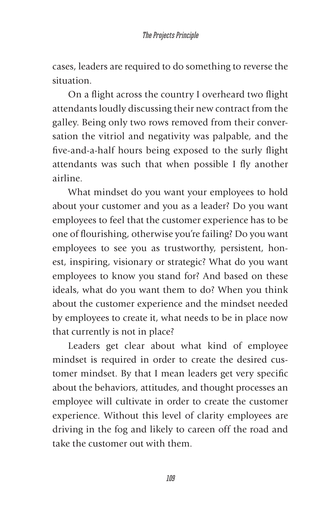cases, leaders are required to do something to reverse the situation.

On a flight across the country I overheard two flight attendants loudly discussing their new contract from the galley. Being only two rows removed from their conversation the vitriol and negativity was palpable, and the five-and-a-half hours being exposed to the surly flight attendants was such that when possible I fly another airline.

What mindset do you want your employees to hold about your customer and you as a leader? Do you want employees to feel that the customer experience has to be one of flourishing, otherwise you're failing? Do you want employees to see you as trustworthy, persistent, honest, inspiring, visionary or strategic? What do you want employees to know you stand for? And based on these ideals, what do you want them to do? When you think about the customer experience and the mindset needed by employees to create it, what needs to be in place now that currently is not in place?

Leaders get clear about what kind of employee mindset is required in order to create the desired customer mindset. By that I mean leaders get very specific about the behaviors, attitudes, and thought processes an employee will cultivate in order to create the customer experience. Without this level of clarity employees are driving in the fog and likely to careen off the road and take the customer out with them.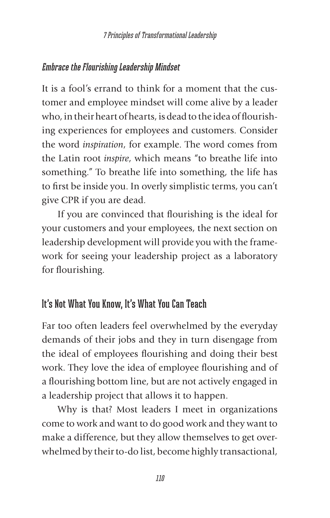# **Embrace the Flourishing Leadership Mindset**

It is a fool's errand to think for a moment that the customer and employee mindset will come alive by a leader who, in their heart of hearts, is dead to the idea of flourishing experiences for employees and customers. Consider the word *inspiration*, for example. The word comes from the Latin root *inspire*, which means "to breathe life into something." To breathe life into something, the life has to first be inside you. In overly simplistic terms, you can't give CPR if you are dead.

If you are convinced that flourishing is the ideal for your customers and your employees, the next section on leadership development will provide you with the framework for seeing your leadership project as a laboratory for flourishing.

# **It's Not What You Know, It's What You Can Teach**

Far too often leaders feel overwhelmed by the everyday demands of their jobs and they in turn disengage from the ideal of employees flourishing and doing their best work. They love the idea of employee flourishing and of a flourishing bottom line, but are not actively engaged in a leadership project that allows it to happen.

Why is that? Most leaders I meet in organizations come to work and want to do good work and they want to make a difference, but they allow themselves to get overwhelmed by their to-do list, become highly transactional,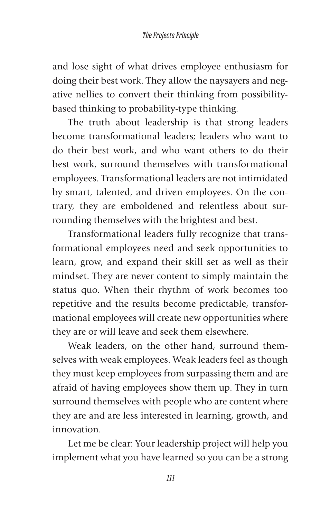and lose sight of what drives employee enthusiasm for doing their best work. They allow the naysayers and negative nellies to convert their thinking from possibilitybased thinking to probability-type thinking.

The truth about leadership is that strong leaders become transformational leaders; leaders who want to do their best work, and who want others to do their best work, surround themselves with transformational employees. Transformational leaders are not intimidated by smart, talented, and driven employees. On the contrary, they are emboldened and relentless about surrounding themselves with the brightest and best.

Transformational leaders fully recognize that transformational employees need and seek opportunities to learn, grow, and expand their skill set as well as their mindset. They are never content to simply maintain the status quo. When their rhythm of work becomes too repetitive and the results become predictable, transformational employees will create new opportunities where they are or will leave and seek them elsewhere.

Weak leaders, on the other hand, surround themselves with weak employees. Weak leaders feel as though they must keep employees from surpassing them and are afraid of having employees show them up. They in turn surround themselves with people who are content where they are and are less interested in learning, growth, and innovation.

Let me be clear: Your leadership project will help you implement what you have learned so you can be a strong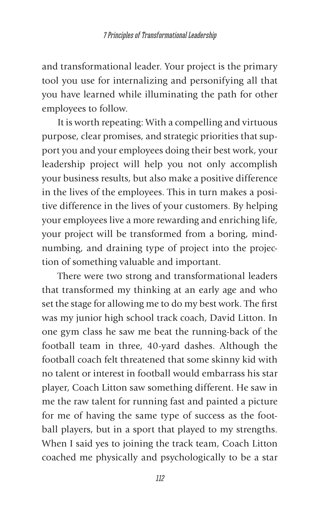and transformational leader. Your project is the primary tool you use for internalizing and personifying all that you have learned while illuminating the path for other employees to follow.

It is worth repeating: With a compelling and virtuous purpose, clear promises, and strategic priorities that support you and your employees doing their best work, your leadership project will help you not only accomplish your business results, but also make a positive difference in the lives of the employees. This in turn makes a positive difference in the lives of your customers. By helping your employees live a more rewarding and enriching life, your project will be transformed from a boring, mindnumbing, and draining type of project into the projection of something valuable and important.

There were two strong and transformational leaders that transformed my thinking at an early age and who set the stage for allowing me to do my best work. The first was my junior high school track coach, David Litton. In one gym class he saw me beat the running-back of the football team in three, 40-yard dashes. Although the football coach felt threatened that some skinny kid with no talent or interest in football would embarrass his star player, Coach Litton saw something different. He saw in me the raw talent for running fast and painted a picture for me of having the same type of success as the football players, but in a sport that played to my strengths. When I said yes to joining the track team, Coach Litton coached me physically and psychologically to be a star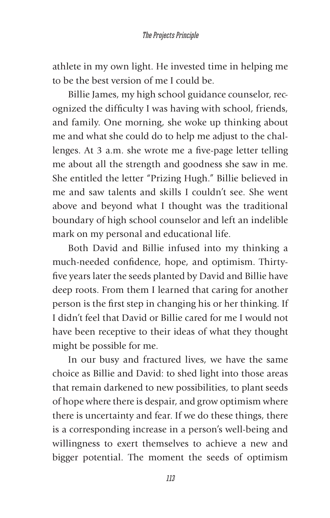athlete in my own light. He invested time in helping me to be the best version of me I could be.

Billie James, my high school guidance counselor, recognized the difficulty I was having with school, friends, and family. One morning, she woke up thinking about me and what she could do to help me adjust to the challenges. At 3 a.m. she wrote me a five-page letter telling me about all the strength and goodness she saw in me. She entitled the letter "Prizing Hugh." Billie believed in me and saw talents and skills I couldn't see. She went above and beyond what I thought was the traditional boundary of high school counselor and left an indelible mark on my personal and educational life.

Both David and Billie infused into my thinking a much-needed confidence, hope, and optimism. Thirtyfive years later the seeds planted by David and Billie have deep roots. From them I learned that caring for another person is the first step in changing his or her thinking. If I didn't feel that David or Billie cared for me I would not have been receptive to their ideas of what they thought might be possible for me.

In our busy and fractured lives, we have the same choice as Billie and David: to shed light into those areas that remain darkened to new possibilities, to plant seeds of hope where there is despair, and grow optimism where there is uncertainty and fear. If we do these things, there is a corresponding increase in a person's well-being and willingness to exert themselves to achieve a new and bigger potential. The moment the seeds of optimism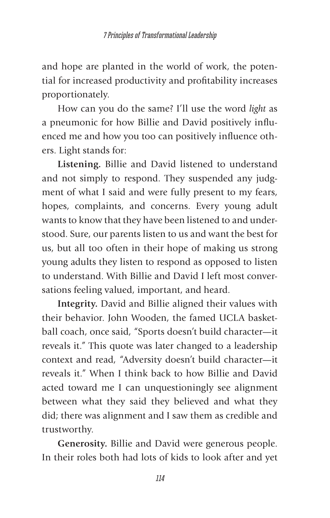and hope are planted in the world of work, the potential for increased productivity and profitability increases proportionately.

How can you do the same? I'll use the word *light* as a pneumonic for how Billie and David positively influenced me and how you too can positively influence others. Light stands for:

**Listening.** Billie and David listened to understand and not simply to respond. They suspended any judgment of what I said and were fully present to my fears, hopes, complaints, and concerns. Every young adult wants to know that they have been listened to and understood. Sure, our parents listen to us and want the best for us, but all too often in their hope of making us strong young adults they listen to respond as opposed to listen to understand. With Billie and David I left most conversations feeling valued, important, and heard.

**Integrity.** David and Billie aligned their values with their behavior. John Wooden, the famed UCLA basketball coach, once said, "Sports doesn't build character—it reveals it." This quote was later changed to a leadership context and read, "Adversity doesn't build character—it reveals it." When I think back to how Billie and David acted toward me I can unquestioningly see alignment between what they said they believed and what they did; there was alignment and I saw them as credible and trustworthy.

**Generosity.** Billie and David were generous people. In their roles both had lots of kids to look after and yet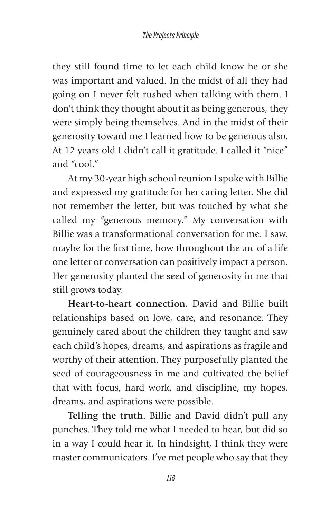they still found time to let each child know he or she was important and valued. In the midst of all they had going on I never felt rushed when talking with them. I don't think they thought about it as being generous, they were simply being themselves. And in the midst of their generosity toward me I learned how to be generous also. At 12 years old I didn't call it gratitude. I called it "nice" and "cool."

At my 30-year high school reunion I spoke with Billie and expressed my gratitude for her caring letter. She did not remember the letter, but was touched by what she called my "generous memory." My conversation with Billie was a transformational conversation for me. I saw, maybe for the first time, how throughout the arc of a life one letter or conversation can positively impact a person. Her generosity planted the seed of generosity in me that still grows today.

**Heart-to-heart connection.** David and Billie built relationships based on love, care, and resonance. They genuinely cared about the children they taught and saw each child's hopes, dreams, and aspirations as fragile and worthy of their attention. They purposefully planted the seed of courageousness in me and cultivated the belief that with focus, hard work, and discipline, my hopes, dreams, and aspirations were possible.

**Telling the truth.** Billie and David didn't pull any punches. They told me what I needed to hear, but did so in a way I could hear it. In hindsight, I think they were master communicators. I've met people who say that they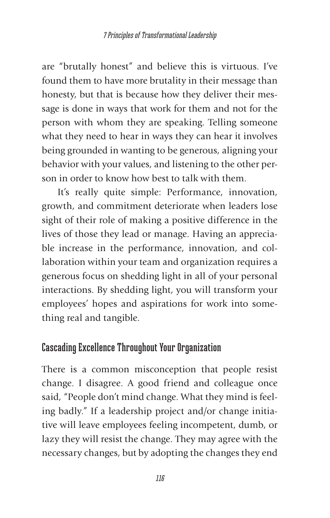are "brutally honest" and believe this is virtuous. I've found them to have more brutality in their message than honesty, but that is because how they deliver their message is done in ways that work for them and not for the person with whom they are speaking. Telling someone what they need to hear in ways they can hear it involves being grounded in wanting to be generous, aligning your behavior with your values, and listening to the other person in order to know how best to talk with them.

It's really quite simple: Performance, innovation, growth, and commitment deteriorate when leaders lose sight of their role of making a positive difference in the lives of those they lead or manage. Having an appreciable increase in the performance, innovation, and collaboration within your team and organization requires a generous focus on shedding light in all of your personal interactions. By shedding light, you will transform your employees' hopes and aspirations for work into something real and tangible.

# **Cascading Excellence Throughout Your Organization**

There is a common misconception that people resist change. I disagree. A good friend and colleague once said, "People don't mind change. What they mind is feeling badly." If a leadership project and/or change initiative will leave employees feeling incompetent, dumb, or lazy they will resist the change. They may agree with the necessary changes, but by adopting the changes they end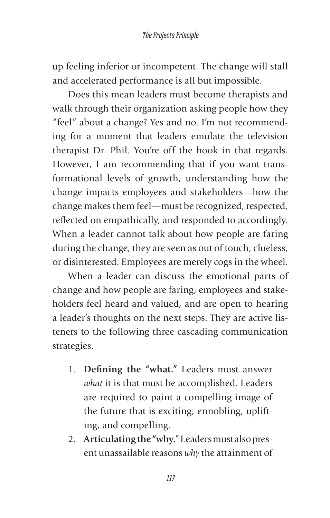up feeling inferior or incompetent. The change will stall and accelerated performance is all but impossible.

Does this mean leaders must become therapists and walk through their organization asking people how they "feel" about a change? Yes and no. I'm not recommending for a moment that leaders emulate the television therapist Dr. Phil. You're off the hook in that regards. However, I am recommending that if you want transformational levels of growth, understanding how the change impacts employees and stakeholders—how the change makes them feel—must be recognized, respected, reflected on empathically, and responded to accordingly. When a leader cannot talk about how people are faring during the change, they are seen as out of touch, clueless, or disinterested. Employees are merely cogs in the wheel.

When a leader can discuss the emotional parts of change and how people are faring, employees and stakeholders feel heard and valued, and are open to hearing a leader's thoughts on the next steps. They are active listeners to the following three cascading communication strategies.

- 1. **Defining the "what."** Leaders must answer *what* it is that must be accomplished. Leaders are required to paint a compelling image of the future that is exciting, ennobling, uplifting, and compelling.
- 2. **Articulating the "why.**" Leaders must also present unassailable reasons *why* the attainment of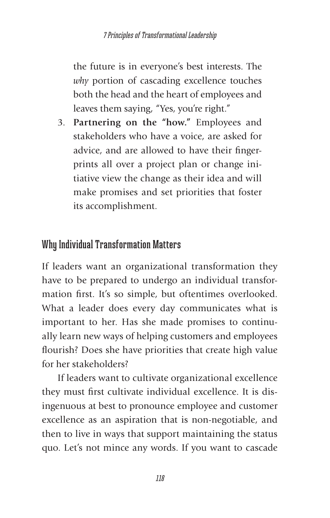the future is in everyone's best interests. The *why* portion of cascading excellence touches both the head and the heart of employees and leaves them saying, "Yes, you're right."

3. **Partnering on the "how."** Employees and stakeholders who have a voice, are asked for advice, and are allowed to have their fingerprints all over a project plan or change initiative view the change as their idea and will make promises and set priorities that foster its accomplishment.

# **Why Individual Transformation Matters**

If leaders want an organizational transformation they have to be prepared to undergo an individual transformation first. It's so simple, but oftentimes overlooked. What a leader does every day communicates what is important to her. Has she made promises to continually learn new ways of helping customers and employees flourish? Does she have priorities that create high value for her stakeholders?

If leaders want to cultivate organizational excellence they must first cultivate individual excellence. It is disingenuous at best to pronounce employee and customer excellence as an aspiration that is non-negotiable, and then to live in ways that support maintaining the status quo. Let's not mince any words. If you want to cascade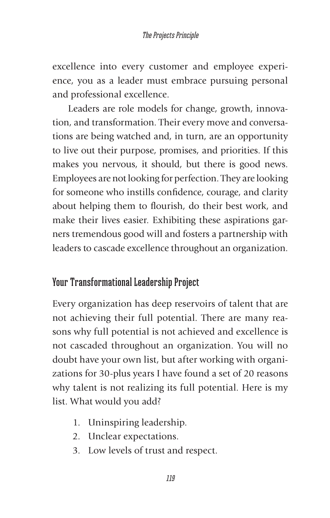excellence into every customer and employee experience, you as a leader must embrace pursuing personal and professional excellence.

Leaders are role models for change, growth, innovation, and transformation. Their every move and conversations are being watched and, in turn, are an opportunity to live out their purpose, promises, and priorities. If this makes you nervous, it should, but there is good news. Employees are not looking for perfection. They are looking for someone who instills confidence, courage, and clarity about helping them to flourish, do their best work, and make their lives easier. Exhibiting these aspirations garners tremendous good will and fosters a partnership with leaders to cascade excellence throughout an organization.

# **Your Transformational Leadership Project**

Every organization has deep reservoirs of talent that are not achieving their full potential. There are many reasons why full potential is not achieved and excellence is not cascaded throughout an organization. You will no doubt have your own list, but after working with organizations for 30-plus years I have found a set of 20 reasons why talent is not realizing its full potential. Here is my list. What would you add?

- 1. Uninspiring leadership.
- 2. Unclear expectations.
- 3. Low levels of trust and respect.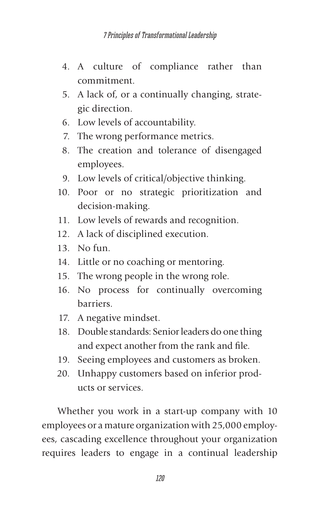- 4. A culture of compliance rather than commitment.
- 5. A lack of, or a continually changing, strategic direction.
- 6. Low levels of accountability.
- 7. The wrong performance metrics.
- 8. The creation and tolerance of disengaged employees.
- 9. Low levels of critical/objective thinking.
- 10. Poor or no strategic prioritization and decision-making.
- 11. Low levels of rewards and recognition.
- 12. A lack of disciplined execution.
- 13. No fun.
- 14. Little or no coaching or mentoring.
- 15. The wrong people in the wrong role.
- 16. No process for continually overcoming barriers.
- 17. A negative mindset.
- 18. Double standards: Senior leaders do one thing and expect another from the rank and file.
- 19. Seeing employees and customers as broken.
- 20. Unhappy customers based on inferior products or services.

Whether you work in a start-up company with 10 employees or a mature organization with 25,000 employees, cascading excellence throughout your organization requires leaders to engage in a continual leadership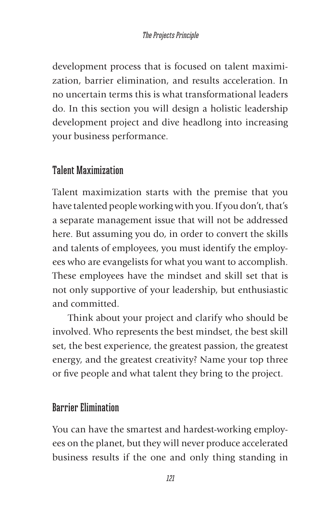development process that is focused on talent maximization, barrier elimination, and results acceleration. In no uncertain terms this is what transformational leaders do. In this section you will design a holistic leadership development project and dive headlong into increasing your business performance.

# **Talent Maximization**

Talent maximization starts with the premise that you have talented people working with you. If you don't, that's a separate management issue that will not be addressed here. But assuming you do, in order to convert the skills and talents of employees, you must identify the employees who are evangelists for what you want to accomplish. These employees have the mindset and skill set that is not only supportive of your leadership, but enthusiastic and committed.

Think about your project and clarify who should be involved. Who represents the best mindset, the best skill set, the best experience, the greatest passion, the greatest energy, and the greatest creativity? Name your top three or five people and what talent they bring to the project.

# **Barrier Elimination**

You can have the smartest and hardest-working employees on the planet, but they will never produce accelerated business results if the one and only thing standing in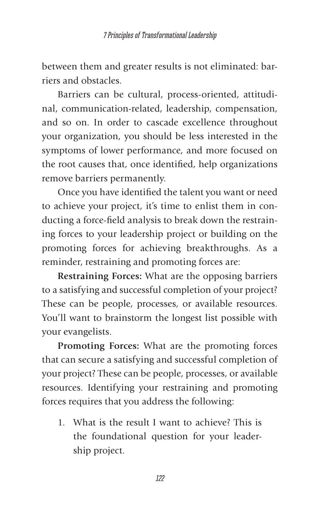between them and greater results is not eliminated: barriers and obstacles.

Barriers can be cultural, process-oriented, attitudinal, communication-related, leadership, compensation, and so on. In order to cascade excellence throughout your organization, you should be less interested in the symptoms of lower performance, and more focused on the root causes that, once identified, help organizations remove barriers permanently.

Once you have identified the talent you want or need to achieve your project, it's time to enlist them in conducting a force-field analysis to break down the restraining forces to your leadership project or building on the promoting forces for achieving breakthroughs. As a reminder, restraining and promoting forces are:

**Restraining Forces:** What are the opposing barriers to a satisfying and successful completion of your project? These can be people, processes, or available resources. You'll want to brainstorm the longest list possible with your evangelists.

**Promoting Forces:** What are the promoting forces that can secure a satisfying and successful completion of your project? These can be people, processes, or available resources. Identifying your restraining and promoting forces requires that you address the following:

1. What is the result I want to achieve? This is the foundational question for your leadership project.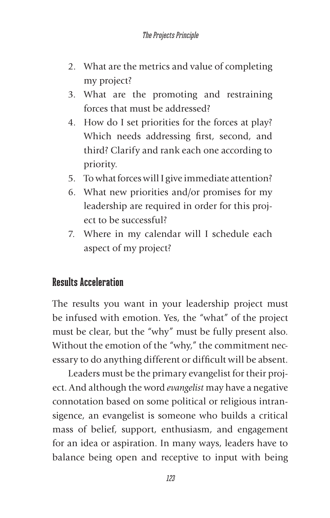- 2. What are the metrics and value of completing my project?
- 3. What are the promoting and restraining forces that must be addressed?
- 4. How do I set priorities for the forces at play? Which needs addressing first, second, and third? Clarify and rank each one according to priority.
- 5. To what forces will I give immediate attention?
- 6. What new priorities and/or promises for my leadership are required in order for this project to be successful?
- 7. Where in my calendar will I schedule each aspect of my project?

# **Results Acceleration**

The results you want in your leadership project must be infused with emotion. Yes, the "what" of the project must be clear, but the "why" must be fully present also. Without the emotion of the "why," the commitment necessary to do anything different or difficult will be absent.

Leaders must be the primary evangelist for their project. And although the word *evangelist* may have a negative connotation based on some political or religious intransigence, an evangelist is someone who builds a critical mass of belief, support, enthusiasm, and engagement for an idea or aspiration. In many ways, leaders have to balance being open and receptive to input with being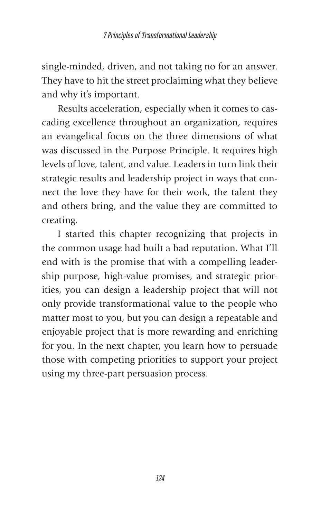single-minded, driven, and not taking no for an answer. They have to hit the street proclaiming what they believe and why it's important.

Results acceleration, especially when it comes to cascading excellence throughout an organization, requires an evangelical focus on the three dimensions of what was discussed in the Purpose Principle. It requires high levels of love, talent, and value. Leaders in turn link their strategic results and leadership project in ways that connect the love they have for their work, the talent they and others bring, and the value they are committed to creating.

I started this chapter recognizing that projects in the common usage had built a bad reputation. What I'll end with is the promise that with a compelling leadership purpose, high-value promises, and strategic priorities, you can design a leadership project that will not only provide transformational value to the people who matter most to you, but you can design a repeatable and enjoyable project that is more rewarding and enriching for you. In the next chapter, you learn how to persuade those with competing priorities to support your project using my three-part persuasion process.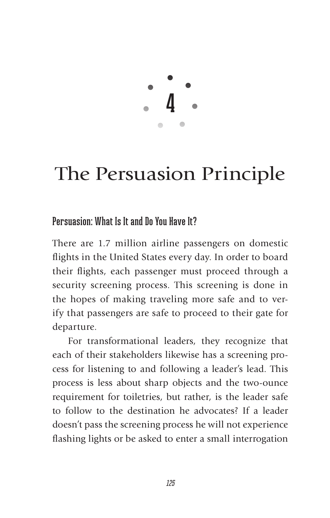**4**

# The Persuasion Principle

## **Persuasion: What Is It and Do You Have It?**

There are 1.7 million airline passengers on domestic flights in the United States every day. In order to board their flights, each passenger must proceed through a security screening process. This screening is done in the hopes of making traveling more safe and to verify that passengers are safe to proceed to their gate for departure.

For transformational leaders, they recognize that each of their stakeholders likewise has a screening process for listening to and following a leader's lead. This process is less about sharp objects and the two-ounce requirement for toiletries, but rather, is the leader safe to follow to the destination he advocates? If a leader doesn't pass the screening process he will not experience flashing lights or be asked to enter a small interrogation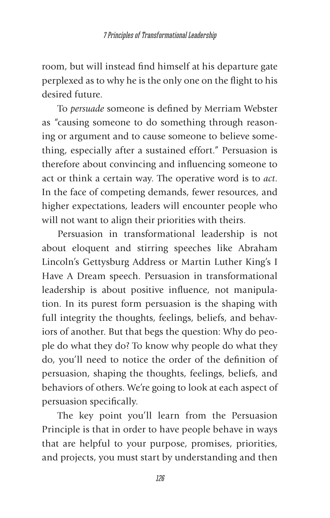room, but will instead find himself at his departure gate perplexed as to why he is the only one on the flight to his desired future.

To *persuade* someone is defined by Merriam Webster as "causing someone to do something through reasoning or argument and to cause someone to believe something, especially after a sustained effort." Persuasion is therefore about convincing and influencing someone to act or think a certain way. The operative word is to *act*. In the face of competing demands, fewer resources, and higher expectations, leaders will encounter people who will not want to align their priorities with theirs.

Persuasion in transformational leadership is not about eloquent and stirring speeches like Abraham Lincoln's Gettysburg Address or Martin Luther King's I Have A Dream speech. Persuasion in transformational leadership is about positive influence, not manipulation. In its purest form persuasion is the shaping with full integrity the thoughts, feelings, beliefs, and behaviors of another. But that begs the question: Why do people do what they do? To know why people do what they do, you'll need to notice the order of the definition of persuasion, shaping the thoughts, feelings, beliefs, and behaviors of others. We're going to look at each aspect of persuasion specifically.

The key point you'll learn from the Persuasion Principle is that in order to have people behave in ways that are helpful to your purpose, promises, priorities, and projects, you must start by understanding and then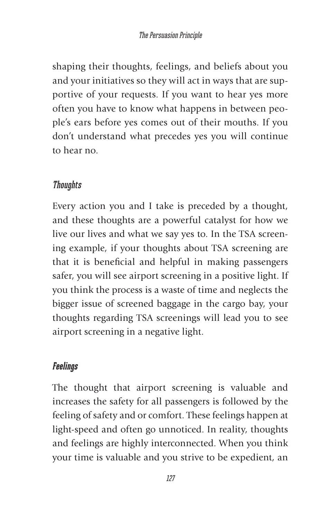shaping their thoughts, feelings, and beliefs about you and your initiatives so they will act in ways that are supportive of your requests. If you want to hear yes more often you have to know what happens in between people's ears before yes comes out of their mouths. If you don't understand what precedes yes you will continue to hear no.

## **Thoughts**

Every action you and I take is preceded by a thought, and these thoughts are a powerful catalyst for how we live our lives and what we say yes to. In the TSA screening example, if your thoughts about TSA screening are that it is beneficial and helpful in making passengers safer, you will see airport screening in a positive light. If you think the process is a waste of time and neglects the bigger issue of screened baggage in the cargo bay, your thoughts regarding TSA screenings will lead you to see airport screening in a negative light.

# **Feelings**

The thought that airport screening is valuable and increases the safety for all passengers is followed by the feeling of safety and or comfort. These feelings happen at light-speed and often go unnoticed. In reality, thoughts and feelings are highly interconnected. When you think your time is valuable and you strive to be expedient, an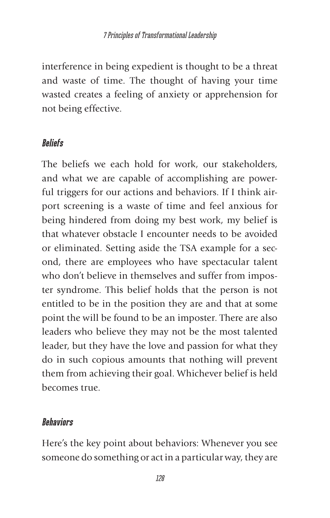interference in being expedient is thought to be a threat and waste of time. The thought of having your time wasted creates a feeling of anxiety or apprehension for not being effective.

#### **Beliefs**

The beliefs we each hold for work, our stakeholders, and what we are capable of accomplishing are powerful triggers for our actions and behaviors. If I think airport screening is a waste of time and feel anxious for being hindered from doing my best work, my belief is that whatever obstacle I encounter needs to be avoided or eliminated. Setting aside the TSA example for a second, there are employees who have spectacular talent who don't believe in themselves and suffer from imposter syndrome. This belief holds that the person is not entitled to be in the position they are and that at some point the will be found to be an imposter. There are also leaders who believe they may not be the most talented leader, but they have the love and passion for what they do in such copious amounts that nothing will prevent them from achieving their goal. Whichever belief is held becomes true.

#### **Behaviors**

Here's the key point about behaviors: Whenever you see someone do something or act in a particular way, they are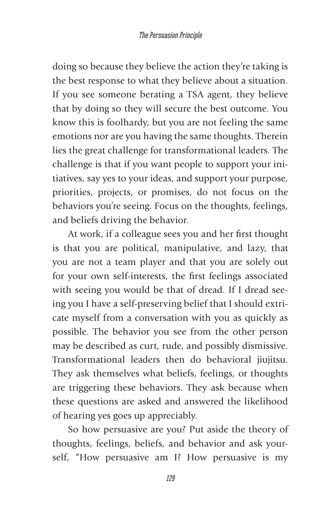doing so because they believe the action they're taking is the best response to what they believe about a situation. If you see someone berating a TSA agent, they believe that by doing so they will secure the best outcome. You know this is foolhardy, but you are not feeling the same emotions nor are you having the same thoughts. Therein lies the great challenge for transformational leaders. The challenge is that if you want people to support your initiatives, say yes to your ideas, and support your purpose, priorities, projects, or promises, do not focus on the behaviors you're seeing. Focus on the thoughts, feelings, and beliefs driving the behavior.

At work, if a colleague sees you and her first thought is that you are political, manipulative, and lazy, that you are not a team player and that you are solely out for your own self-interests, the first feelings associated with seeing you would be that of dread. If I dread seeing you I have a self-preserving belief that I should extricate myself from a conversation with you as quickly as possible. The behavior you see from the other person may be described as curt, rude, and possibly dismissive. Transformational leaders then do behavioral jiujitsu. They ask themselves what beliefs, feelings, or thoughts are triggering these behaviors. They ask because when these questions are asked and answered the likelihood of hearing yes goes up appreciably.

So how persuasive are you? Put aside the theory of thoughts, feelings, beliefs, and behavior and ask yourself, "How persuasive am I? How persuasive is my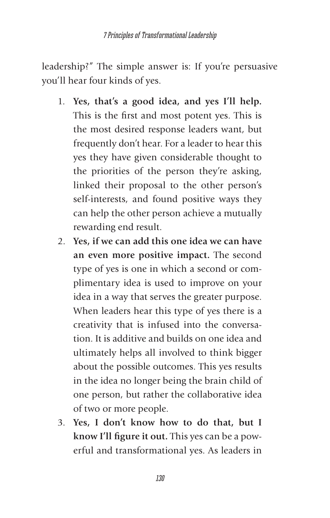leadership?" The simple answer is: If you're persuasive you'll hear four kinds of yes.

- 1. **Yes, that's a good idea, and yes I'll help.**  This is the first and most potent yes. This is the most desired response leaders want, but frequently don't hear. For a leader to hear this yes they have given considerable thought to the priorities of the person they're asking, linked their proposal to the other person's self-interests, and found positive ways they can help the other person achieve a mutually rewarding end result.
- 2. **Yes, if we can add this one idea we can have an even more positive impact.** The second type of yes is one in which a second or complimentary idea is used to improve on your idea in a way that serves the greater purpose. When leaders hear this type of yes there is a creativity that is infused into the conversation. It is additive and builds on one idea and ultimately helps all involved to think bigger about the possible outcomes. This yes results in the idea no longer being the brain child of one person, but rather the collaborative idea of two or more people.
- 3. **Yes, I don't know how to do that, but I know I'll figure it out.** This yes can be a powerful and transformational yes. As leaders in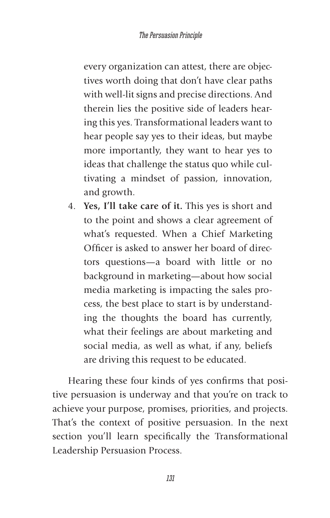every organization can attest, there are objectives worth doing that don't have clear paths with well-lit signs and precise directions. And therein lies the positive side of leaders hearing this yes. Transformational leaders want to hear people say yes to their ideas, but maybe more importantly, they want to hear yes to ideas that challenge the status quo while cultivating a mindset of passion, innovation, and growth.

4. **Yes, I'll take care of it.** This yes is short and to the point and shows a clear agreement of what's requested. When a Chief Marketing Officer is asked to answer her board of directors questions—a board with little or no background in marketing—about how social media marketing is impacting the sales process, the best place to start is by understanding the thoughts the board has currently, what their feelings are about marketing and social media, as well as what, if any, beliefs are driving this request to be educated.

Hearing these four kinds of yes confirms that positive persuasion is underway and that you're on track to achieve your purpose, promises, priorities, and projects. That's the context of positive persuasion. In the next section you'll learn specifically the Transformational Leadership Persuasion Process.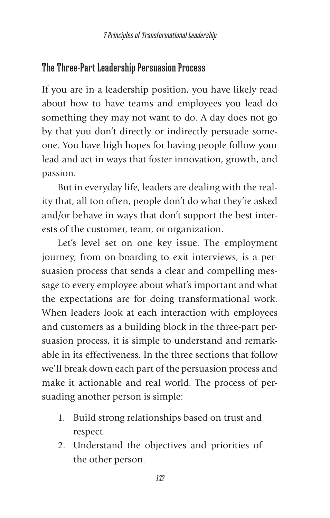# **The Three-Part Leadership Persuasion Process**

If you are in a leadership position, you have likely read about how to have teams and employees you lead do something they may not want to do. A day does not go by that you don't directly or indirectly persuade someone. You have high hopes for having people follow your lead and act in ways that foster innovation, growth, and passion.

But in everyday life, leaders are dealing with the reality that, all too often, people don't do what they're asked and/or behave in ways that don't support the best interests of the customer, team, or organization.

Let's level set on one key issue. The employment journey, from on-boarding to exit interviews, is a persuasion process that sends a clear and compelling message to every employee about what's important and what the expectations are for doing transformational work. When leaders look at each interaction with employees and customers as a building block in the three-part persuasion process, it is simple to understand and remarkable in its effectiveness. In the three sections that follow we'll break down each part of the persuasion process and make it actionable and real world. The process of persuading another person is simple:

- 1. Build strong relationships based on trust and respect.
- 2. Understand the objectives and priorities of the other person.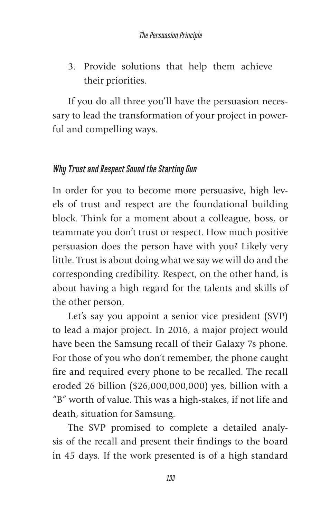3. Provide solutions that help them achieve their priorities.

If you do all three you'll have the persuasion necessary to lead the transformation of your project in powerful and compelling ways.

# **Why Trust and Respect Sound the Starting Gun**

In order for you to become more persuasive, high levels of trust and respect are the foundational building block. Think for a moment about a colleague, boss, or teammate you don't trust or respect. How much positive persuasion does the person have with you? Likely very little. Trust is about doing what we say we will do and the corresponding credibility. Respect, on the other hand, is about having a high regard for the talents and skills of the other person.

Let's say you appoint a senior vice president (SVP) to lead a major project. In 2016, a major project would have been the Samsung recall of their Galaxy 7s phone. For those of you who don't remember, the phone caught fire and required every phone to be recalled. The recall eroded 26 billion (\$26,000,000,000) yes, billion with a "B" worth of value. This was a high-stakes, if not life and death, situation for Samsung.

The SVP promised to complete a detailed analysis of the recall and present their findings to the board in 45 days. If the work presented is of a high standard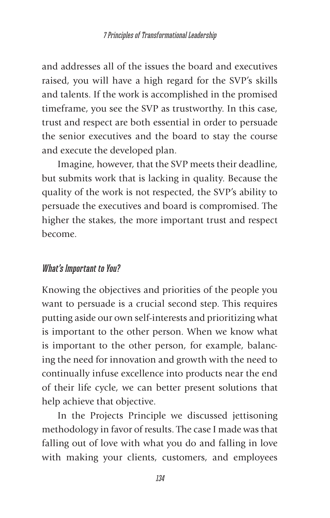and addresses all of the issues the board and executives raised, you will have a high regard for the SVP's skills and talents. If the work is accomplished in the promised timeframe, you see the SVP as trustworthy. In this case, trust and respect are both essential in order to persuade the senior executives and the board to stay the course and execute the developed plan.

Imagine, however, that the SVP meets their deadline, but submits work that is lacking in quality. Because the quality of the work is not respected, the SVP's ability to persuade the executives and board is compromised. The higher the stakes, the more important trust and respect become.

#### **What's Important to You?**

Knowing the objectives and priorities of the people you want to persuade is a crucial second step. This requires putting aside our own self-interests and prioritizing what is important to the other person. When we know what is important to the other person, for example, balancing the need for innovation and growth with the need to continually infuse excellence into products near the end of their life cycle, we can better present solutions that help achieve that objective.

In the Projects Principle we discussed jettisoning methodology in favor of results. The case I made was that falling out of love with what you do and falling in love with making your clients, customers, and employees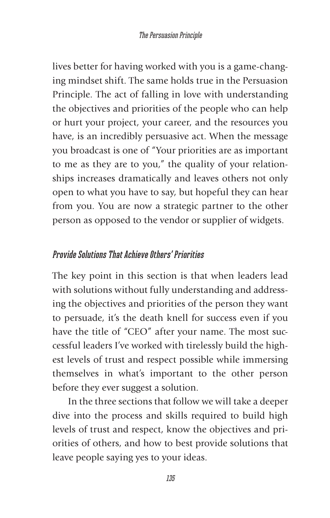lives better for having worked with you is a game-changing mindset shift. The same holds true in the Persuasion Principle. The act of falling in love with understanding the objectives and priorities of the people who can help or hurt your project, your career, and the resources you have, is an incredibly persuasive act. When the message you broadcast is one of "Your priorities are as important to me as they are to you," the quality of your relationships increases dramatically and leaves others not only open to what you have to say, but hopeful they can hear from you. You are now a strategic partner to the other person as opposed to the vendor or supplier of widgets.

## **Provide Solutions That Achieve Others' Priorities**

The key point in this section is that when leaders lead with solutions without fully understanding and addressing the objectives and priorities of the person they want to persuade, it's the death knell for success even if you have the title of "CEO" after your name. The most successful leaders I've worked with tirelessly build the highest levels of trust and respect possible while immersing themselves in what's important to the other person before they ever suggest a solution.

In the three sections that follow we will take a deeper dive into the process and skills required to build high levels of trust and respect, know the objectives and priorities of others, and how to best provide solutions that leave people saying yes to your ideas.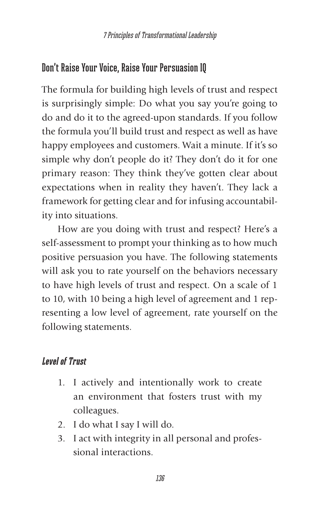# **Don't Raise Your Voice, Raise Your Persuasion IQ**

The formula for building high levels of trust and respect is surprisingly simple: Do what you say you're going to do and do it to the agreed-upon standards. If you follow the formula you'll build trust and respect as well as have happy employees and customers. Wait a minute. If it's so simple why don't people do it? They don't do it for one primary reason: They think they've gotten clear about expectations when in reality they haven't. They lack a framework for getting clear and for infusing accountability into situations.

How are you doing with trust and respect? Here's a self-assessment to prompt your thinking as to how much positive persuasion you have. The following statements will ask you to rate yourself on the behaviors necessary to have high levels of trust and respect. On a scale of 1 to 10, with 10 being a high level of agreement and 1 representing a low level of agreement, rate yourself on the following statements.

## **Level of Trust**

- 1. I actively and intentionally work to create an environment that fosters trust with my colleagues.
- 2. I do what I say I will do.
- 3. I act with integrity in all personal and professional interactions.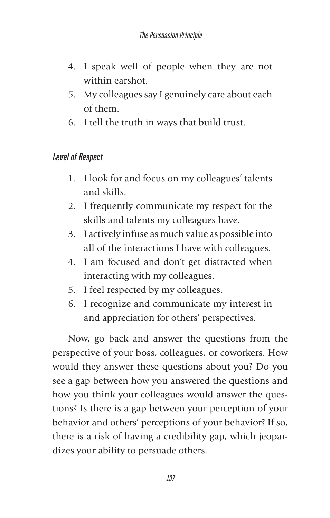- 4. I speak well of people when they are not within earshot.
- 5. My colleagues say I genuinely care about each of them.
- 6. I tell the truth in ways that build trust.

## **Level of Respect**

- 1. I look for and focus on my colleagues' talents and skills.
- 2. I frequently communicate my respect for the skills and talents my colleagues have.
- 3. I actively infuse as much value as possible into all of the interactions I have with colleagues.
- 4. I am focused and don't get distracted when interacting with my colleagues.
- 5. I feel respected by my colleagues.
- 6. I recognize and communicate my interest in and appreciation for others' perspectives.

Now, go back and answer the questions from the perspective of your boss, colleagues, or coworkers. How would they answer these questions about you? Do you see a gap between how you answered the questions and how you think your colleagues would answer the questions? Is there is a gap between your perception of your behavior and others' perceptions of your behavior? If so, there is a risk of having a credibility gap, which jeopardizes your ability to persuade others.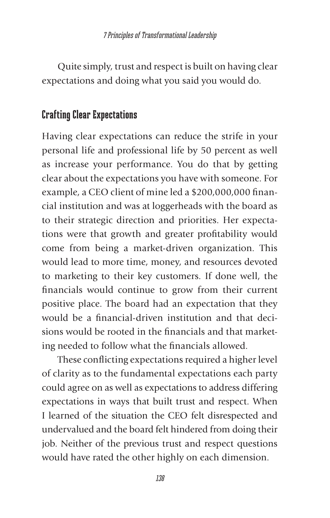Quite simply, trust and respect is built on having clear expectations and doing what you said you would do.

# **Crafting Clear Expectations**

Having clear expectations can reduce the strife in your personal life and professional life by 50 percent as well as increase your performance. You do that by getting clear about the expectations you have with someone. For example, a CEO client of mine led a \$200,000,000 financial institution and was at loggerheads with the board as to their strategic direction and priorities. Her expectations were that growth and greater profitability would come from being a market-driven organization. This would lead to more time, money, and resources devoted to marketing to their key customers. If done well, the financials would continue to grow from their current positive place. The board had an expectation that they would be a financial-driven institution and that decisions would be rooted in the financials and that marketing needed to follow what the financials allowed.

These conflicting expectations required a higher level of clarity as to the fundamental expectations each party could agree on as well as expectations to address differing expectations in ways that built trust and respect. When I learned of the situation the CEO felt disrespected and undervalued and the board felt hindered from doing their job. Neither of the previous trust and respect questions would have rated the other highly on each dimension.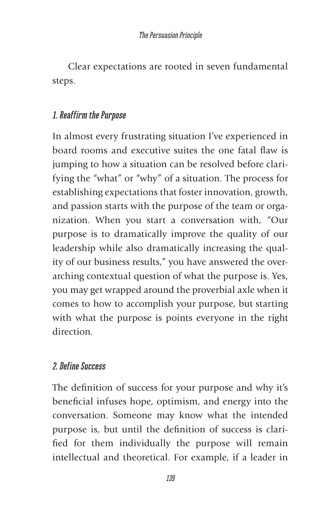Clear expectations are rooted in seven fundamental steps.

## **1. Reaffirm the Purpose**

In almost every frustrating situation I've experienced in board rooms and executive suites the one fatal flaw is jumping to how a situation can be resolved before clarifying the "what" or "why" of a situation. The process for establishing expectations that foster innovation, growth, and passion starts with the purpose of the team or organization. When you start a conversation with, "Our purpose is to dramatically improve the quality of our leadership while also dramatically increasing the quality of our business results," you have answered the overarching contextual question of what the purpose is. Yes, you may get wrapped around the proverbial axle when it comes to how to accomplish your purpose, but starting with what the purpose is points everyone in the right direction.

# **2. Define Success**

The definition of success for your purpose and why it's beneficial infuses hope, optimism, and energy into the conversation. Someone may know what the intended purpose is, but until the definition of success is clarified for them individually the purpose will remain intellectual and theoretical. For example, if a leader in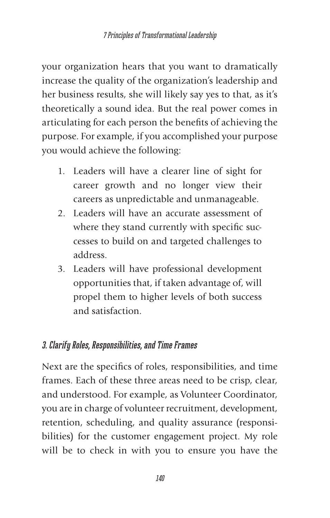your organization hears that you want to dramatically increase the quality of the organization's leadership and her business results, she will likely say yes to that, as it's theoretically a sound idea. But the real power comes in articulating for each person the benefits of achieving the purpose. For example, if you accomplished your purpose you would achieve the following:

- 1. Leaders will have a clearer line of sight for career growth and no longer view their careers as unpredictable and unmanageable.
- 2. Leaders will have an accurate assessment of where they stand currently with specific successes to build on and targeted challenges to address.
- 3. Leaders will have professional development opportunities that, if taken advantage of, will propel them to higher levels of both success and satisfaction.

# **3. Clarify Roles, Responsibilities, and Time Frames**

Next are the specifics of roles, responsibilities, and time frames. Each of these three areas need to be crisp, clear, and understood. For example, as Volunteer Coordinator, you are in charge of volunteer recruitment, development, retention, scheduling, and quality assurance (responsibilities) for the customer engagement project. My role will be to check in with you to ensure you have the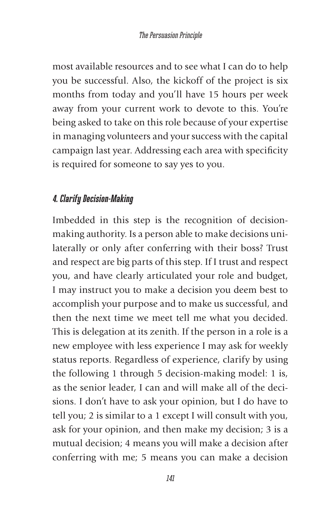most available resources and to see what I can do to help you be successful. Also, the kickoff of the project is six months from today and you'll have 15 hours per week away from your current work to devote to this. You're being asked to take on this role because of your expertise in managing volunteers and your success with the capital campaign last year. Addressing each area with specificity is required for someone to say yes to you.

#### **4. Clarify Decision-Making**

Imbedded in this step is the recognition of decisionmaking authority. Is a person able to make decisions unilaterally or only after conferring with their boss? Trust and respect are big parts of this step. If I trust and respect you, and have clearly articulated your role and budget, I may instruct you to make a decision you deem best to accomplish your purpose and to make us successful, and then the next time we meet tell me what you decided. This is delegation at its zenith. If the person in a role is a new employee with less experience I may ask for weekly status reports. Regardless of experience, clarify by using the following 1 through 5 decision-making model: 1 is, as the senior leader, I can and will make all of the decisions. I don't have to ask your opinion, but I do have to tell you; 2 is similar to a 1 except I will consult with you, ask for your opinion, and then make my decision; 3 is a mutual decision; 4 means you will make a decision after conferring with me; 5 means you can make a decision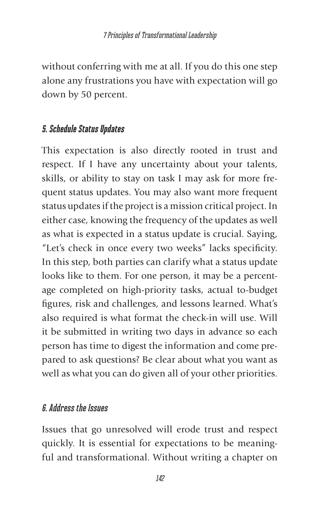without conferring with me at all. If you do this one step alone any frustrations you have with expectation will go down by 50 percent.

#### **5. Schedule Status Updates**

This expectation is also directly rooted in trust and respect. If I have any uncertainty about your talents, skills, or ability to stay on task I may ask for more frequent status updates. You may also want more frequent status updates if the project is a mission critical project. In either case, knowing the frequency of the updates as well as what is expected in a status update is crucial. Saying, "Let's check in once every two weeks" lacks specificity. In this step, both parties can clarify what a status update looks like to them. For one person, it may be a percentage completed on high-priority tasks, actual to-budget figures, risk and challenges, and lessons learned. What's also required is what format the check-in will use. Will it be submitted in writing two days in advance so each person has time to digest the information and come prepared to ask questions? Be clear about what you want as well as what you can do given all of your other priorities.

## **6. Address the Issues**

Issues that go unresolved will erode trust and respect quickly. It is essential for expectations to be meaningful and transformational. Without writing a chapter on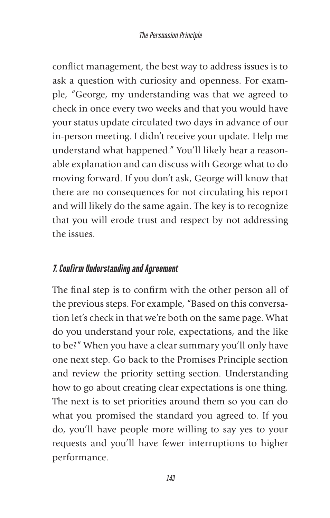conflict management, the best way to address issues is to ask a question with curiosity and openness. For example, "George, my understanding was that we agreed to check in once every two weeks and that you would have your status update circulated two days in advance of our in-person meeting. I didn't receive your update. Help me understand what happened." You'll likely hear a reasonable explanation and can discuss with George what to do moving forward. If you don't ask, George will know that there are no consequences for not circulating his report and will likely do the same again. The key is to recognize that you will erode trust and respect by not addressing the issues.

#### **7. Confirm Understanding and Agreement**

The final step is to confirm with the other person all of the previous steps. For example, "Based on this conversation let's check in that we're both on the same page. What do you understand your role, expectations, and the like to be?" When you have a clear summary you'll only have one next step. Go back to the Promises Principle section and review the priority setting section. Understanding how to go about creating clear expectations is one thing. The next is to set priorities around them so you can do what you promised the standard you agreed to. If you do, you'll have people more willing to say yes to your requests and you'll have fewer interruptions to higher performance.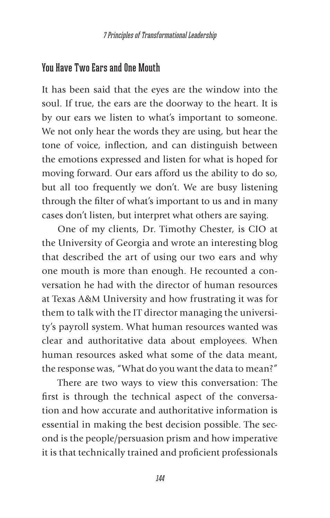# **You Have Two Ears and One Mouth**

It has been said that the eyes are the window into the soul. If true, the ears are the doorway to the heart. It is by our ears we listen to what's important to someone. We not only hear the words they are using, but hear the tone of voice, inflection, and can distinguish between the emotions expressed and listen for what is hoped for moving forward. Our ears afford us the ability to do so, but all too frequently we don't. We are busy listening through the filter of what's important to us and in many cases don't listen, but interpret what others are saying.

One of my clients, Dr. Timothy Chester, is CIO at the University of Georgia and wrote an interesting blog that described the art of using our two ears and why one mouth is more than enough. He recounted a conversation he had with the director of human resources at Texas A&M University and how frustrating it was for them to talk with the IT director managing the university's payroll system. What human resources wanted was clear and authoritative data about employees. When human resources asked what some of the data meant, the response was, "What do you want the data to mean?"

There are two ways to view this conversation: The first is through the technical aspect of the conversation and how accurate and authoritative information is essential in making the best decision possible. The second is the people/persuasion prism and how imperative it is that technically trained and proficient professionals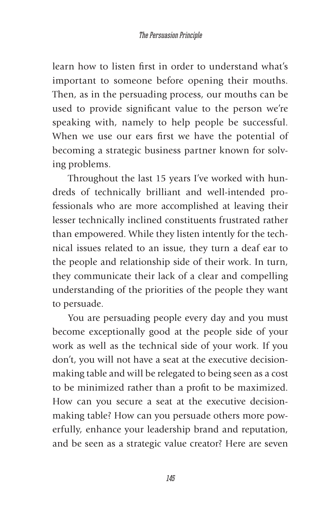learn how to listen first in order to understand what's important to someone before opening their mouths. Then, as in the persuading process, our mouths can be used to provide significant value to the person we're speaking with, namely to help people be successful. When we use our ears first we have the potential of becoming a strategic business partner known for solving problems.

Throughout the last 15 years I've worked with hundreds of technically brilliant and well-intended professionals who are more accomplished at leaving their lesser technically inclined constituents frustrated rather than empowered. While they listen intently for the technical issues related to an issue, they turn a deaf ear to the people and relationship side of their work. In turn, they communicate their lack of a clear and compelling understanding of the priorities of the people they want to persuade.

You are persuading people every day and you must become exceptionally good at the people side of your work as well as the technical side of your work. If you don't, you will not have a seat at the executive decisionmaking table and will be relegated to being seen as a cost to be minimized rather than a profit to be maximized. How can you secure a seat at the executive decisionmaking table? How can you persuade others more powerfully, enhance your leadership brand and reputation, and be seen as a strategic value creator? Here are seven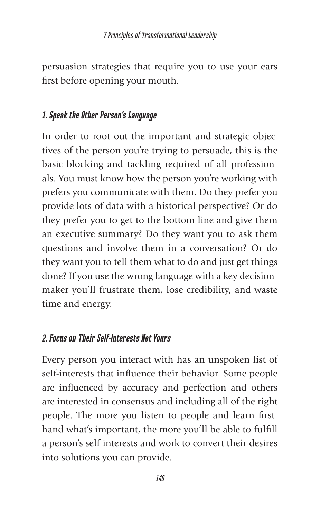persuasion strategies that require you to use your ears first before opening your mouth.

#### **1. Speak the Other Person's Language**

In order to root out the important and strategic objectives of the person you're trying to persuade, this is the basic blocking and tackling required of all professionals. You must know how the person you're working with prefers you communicate with them. Do they prefer you provide lots of data with a historical perspective? Or do they prefer you to get to the bottom line and give them an executive summary? Do they want you to ask them questions and involve them in a conversation? Or do they want you to tell them what to do and just get things done? If you use the wrong language with a key decisionmaker you'll frustrate them, lose credibility, and waste time and energy.

#### **2. Focus on Their Self-Interests Not Yours**

Every person you interact with has an unspoken list of self-interests that influence their behavior. Some people are influenced by accuracy and perfection and others are interested in consensus and including all of the right people. The more you listen to people and learn firsthand what's important, the more you'll be able to fulfill a person's self-interests and work to convert their desires into solutions you can provide.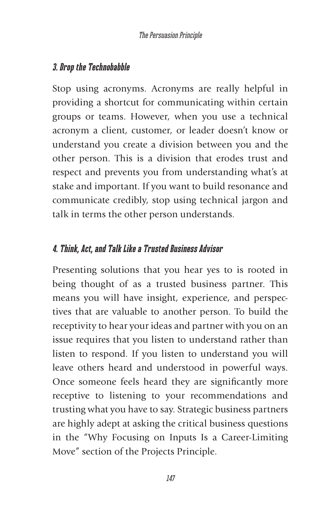# **3. Drop the Technobabble**

Stop using acronyms. Acronyms are really helpful in providing a shortcut for communicating within certain groups or teams. However, when you use a technical acronym a client, customer, or leader doesn't know or understand you create a division between you and the other person. This is a division that erodes trust and respect and prevents you from understanding what's at stake and important. If you want to build resonance and communicate credibly, stop using technical jargon and talk in terms the other person understands.

# **4. Think, Act, and Talk Like a Trusted Business Advisor**

Presenting solutions that you hear yes to is rooted in being thought of as a trusted business partner. This means you will have insight, experience, and perspectives that are valuable to another person. To build the receptivity to hear your ideas and partner with you on an issue requires that you listen to understand rather than listen to respond. If you listen to understand you will leave others heard and understood in powerful ways. Once someone feels heard they are significantly more receptive to listening to your recommendations and trusting what you have to say. Strategic business partners are highly adept at asking the critical business questions in the "Why Focusing on Inputs Is a Career-Limiting Move" section of the Projects Principle.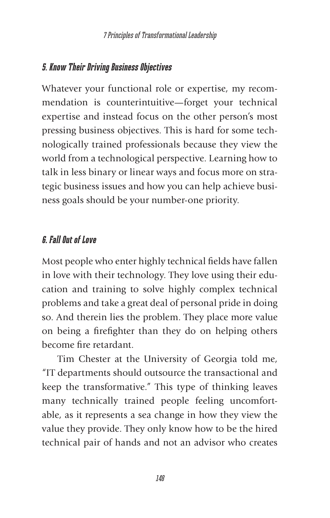#### **5. Know Their Driving Business Objectives**

Whatever your functional role or expertise, my recommendation is counterintuitive—forget your technical expertise and instead focus on the other person's most pressing business objectives. This is hard for some technologically trained professionals because they view the world from a technological perspective. Learning how to talk in less binary or linear ways and focus more on strategic business issues and how you can help achieve business goals should be your number-one priority.

# **6. Fall Out of Love**

Most people who enter highly technical fields have fallen in love with their technology. They love using their education and training to solve highly complex technical problems and take a great deal of personal pride in doing so. And therein lies the problem. They place more value on being a firefighter than they do on helping others become fire retardant.

Tim Chester at the University of Georgia told me, "IT departments should outsource the transactional and keep the transformative." This type of thinking leaves many technically trained people feeling uncomfortable, as it represents a sea change in how they view the value they provide. They only know how to be the hired technical pair of hands and not an advisor who creates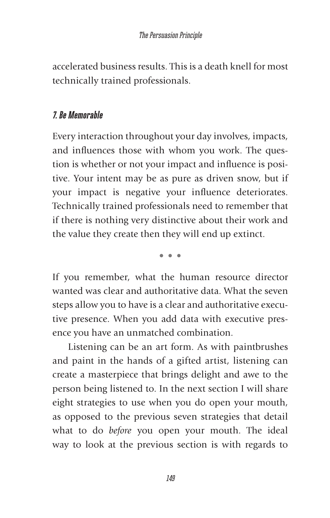accelerated business results. This is a death knell for most technically trained professionals.

#### **7. Be Memorable**

Every interaction throughout your day involves, impacts, and influences those with whom you work. The question is whether or not your impact and influence is positive. Your intent may be as pure as driven snow, but if your impact is negative your influence deteriorates. Technically trained professionals need to remember that if there is nothing very distinctive about their work and the value they create then they will end up extinct.

 $\sim$   $\sim$   $\sim$ 

If you remember, what the human resource director wanted was clear and authoritative data. What the seven steps allow you to have is a clear and authoritative executive presence. When you add data with executive presence you have an unmatched combination.

Listening can be an art form. As with paintbrushes and paint in the hands of a gifted artist, listening can create a masterpiece that brings delight and awe to the person being listened to. In the next section I will share eight strategies to use when you do open your mouth, as opposed to the previous seven strategies that detail what to do *before* you open your mouth. The ideal way to look at the previous section is with regards to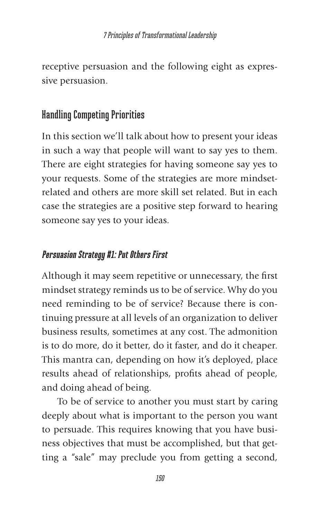receptive persuasion and the following eight as expressive persuasion.

# **Handling Competing Priorities**

In this section we'll talk about how to present your ideas in such a way that people will want to say yes to them. There are eight strategies for having someone say yes to your requests. Some of the strategies are more mindsetrelated and others are more skill set related. But in each case the strategies are a positive step forward to hearing someone say yes to your ideas.

# **Persuasion Strategy #1: Put Others First**

Although it may seem repetitive or unnecessary, the first mindset strategy reminds us to be of service. Why do you need reminding to be of service? Because there is continuing pressure at all levels of an organization to deliver business results, sometimes at any cost. The admonition is to do more, do it better, do it faster, and do it cheaper. This mantra can, depending on how it's deployed, place results ahead of relationships, profits ahead of people, and doing ahead of being.

To be of service to another you must start by caring deeply about what is important to the person you want to persuade. This requires knowing that you have business objectives that must be accomplished, but that getting a "sale" may preclude you from getting a second,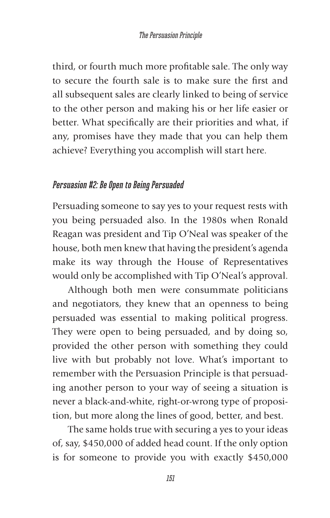third, or fourth much more profitable sale. The only way to secure the fourth sale is to make sure the first and all subsequent sales are clearly linked to being of service to the other person and making his or her life easier or better. What specifically are their priorities and what, if any, promises have they made that you can help them achieve? Everything you accomplish will start here.

#### **Persuasion #2: Be Open to Being Persuaded**

Persuading someone to say yes to your request rests with you being persuaded also. In the 1980s when Ronald Reagan was president and Tip O'Neal was speaker of the house, both men knew that having the president's agenda make its way through the House of Representatives would only be accomplished with Tip O'Neal's approval.

Although both men were consummate politicians and negotiators, they knew that an openness to being persuaded was essential to making political progress. They were open to being persuaded, and by doing so, provided the other person with something they could live with but probably not love. What's important to remember with the Persuasion Principle is that persuading another person to your way of seeing a situation is never a black-and-white, right-or-wrong type of proposition, but more along the lines of good, better, and best.

The same holds true with securing a yes to your ideas of, say, \$450,000 of added head count. If the only option is for someone to provide you with exactly \$450,000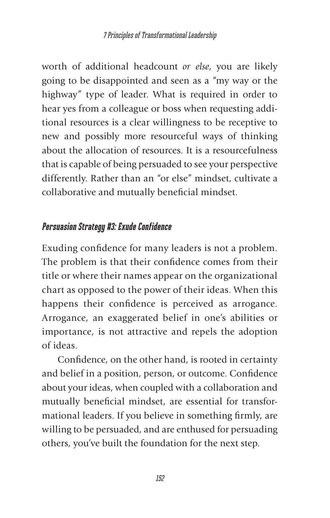worth of additional headcount *or else*, you are likely going to be disappointed and seen as a "my way or the highway" type of leader. What is required in order to hear yes from a colleague or boss when requesting additional resources is a clear willingness to be receptive to new and possibly more resourceful ways of thinking about the allocation of resources. It is a resourcefulness that is capable of being persuaded to see your perspective differently. Rather than an "or else" mindset, cultivate a collaborative and mutually beneficial mindset.

### **Persuasion Strategy #3: Exude Confidence**

Exuding confidence for many leaders is not a problem. The problem is that their confidence comes from their title or where their names appear on the organizational chart as opposed to the power of their ideas. When this happens their confidence is perceived as arrogance. Arrogance, an exaggerated belief in one's abilities or importance, is not attractive and repels the adoption of ideas.

Confidence, on the other hand, is rooted in certainty and belief in a position, person, or outcome. Confidence about your ideas, when coupled with a collaboration and mutually beneficial mindset, are essential for transformational leaders. If you believe in something firmly, are willing to be persuaded, and are enthused for persuading others, you've built the foundation for the next step.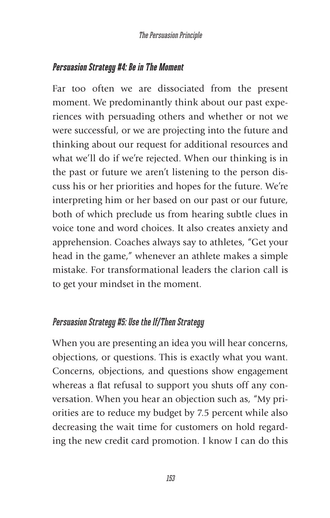#### **Persuasion Strategy #4: Be in The Moment**

Far too often we are dissociated from the present moment. We predominantly think about our past experiences with persuading others and whether or not we were successful, or we are projecting into the future and thinking about our request for additional resources and what we'll do if we're rejected. When our thinking is in the past or future we aren't listening to the person discuss his or her priorities and hopes for the future. We're interpreting him or her based on our past or our future, both of which preclude us from hearing subtle clues in voice tone and word choices. It also creates anxiety and apprehension. Coaches always say to athletes, "Get your head in the game," whenever an athlete makes a simple mistake. For transformational leaders the clarion call is to get your mindset in the moment.

# **Persuasion Strategy #5: Use the If/Then Strategy**

When you are presenting an idea you will hear concerns, objections, or questions. This is exactly what you want. Concerns, objections, and questions show engagement whereas a flat refusal to support you shuts off any conversation. When you hear an objection such as, "My priorities are to reduce my budget by 7.5 percent while also decreasing the wait time for customers on hold regarding the new credit card promotion. I know I can do this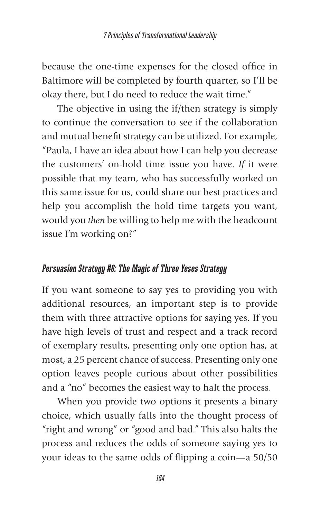because the one-time expenses for the closed office in Baltimore will be completed by fourth quarter, so I'll be okay there, but I do need to reduce the wait time."

The objective in using the if/then strategy is simply to continue the conversation to see if the collaboration and mutual benefit strategy can be utilized. For example, "Paula, I have an idea about how I can help you decrease the customers' on-hold time issue you have. *If* it were possible that my team, who has successfully worked on this same issue for us, could share our best practices and help you accomplish the hold time targets you want, would you *then* be willing to help me with the headcount issue I'm working on?"

#### **Persuasion Strategy #6: The Magic of Three Yeses Strategy**

If you want someone to say yes to providing you with additional resources, an important step is to provide them with three attractive options for saying yes. If you have high levels of trust and respect and a track record of exemplary results, presenting only one option has, at most, a 25 percent chance of success. Presenting only one option leaves people curious about other possibilities and a "no" becomes the easiest way to halt the process.

When you provide two options it presents a binary choice, which usually falls into the thought process of "right and wrong" or "good and bad." This also halts the process and reduces the odds of someone saying yes to your ideas to the same odds of flipping a coin—a 50/50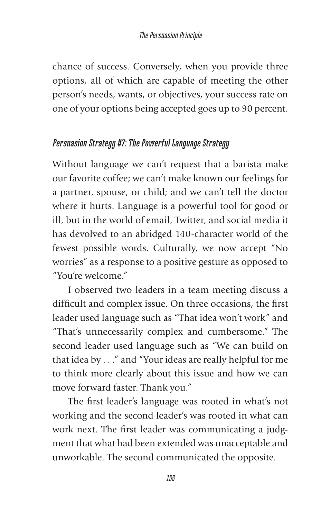chance of success. Conversely, when you provide three options, all of which are capable of meeting the other person's needs, wants, or objectives, your success rate on one of your options being accepted goes up to 90 percent.

# **Persuasion Strategy #7: The Powerful Language Strategy**

Without language we can't request that a barista make our favorite coffee; we can't make known our feelings for a partner, spouse, or child; and we can't tell the doctor where it hurts. Language is a powerful tool for good or ill, but in the world of email, Twitter, and social media it has devolved to an abridged 140-character world of the fewest possible words. Culturally, we now accept "No worries" as a response to a positive gesture as opposed to "You're welcome."

I observed two leaders in a team meeting discuss a difficult and complex issue. On three occasions, the first leader used language such as "That idea won't work" and "That's unnecessarily complex and cumbersome." The second leader used language such as "We can build on that idea by . . ." and "Your ideas are really helpful for me to think more clearly about this issue and how we can move forward faster. Thank you."

The first leader's language was rooted in what's not working and the second leader's was rooted in what can work next. The first leader was communicating a judgment that what had been extended was unacceptable and unworkable. The second communicated the opposite.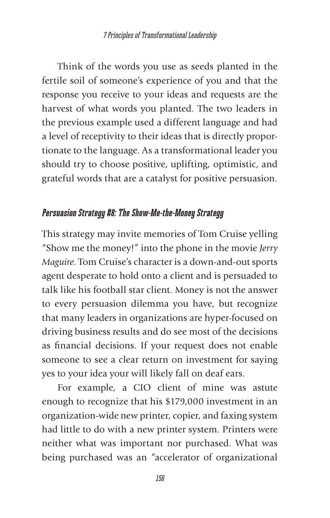Think of the words you use as seeds planted in the fertile soil of someone's experience of you and that the response you receive to your ideas and requests are the harvest of what words you planted. The two leaders in the previous example used a different language and had a level of receptivity to their ideas that is directly proportionate to the language. As a transformational leader you should try to choose positive, uplifting, optimistic, and grateful words that are a catalyst for positive persuasion.

#### **Persuasion Strategy #8: The Show-Me-the-Money Strategy**

This strategy may invite memories of Tom Cruise yelling "Show me the money!" into the phone in the movie *Jerry Maguire*. Tom Cruise's character is a down-and-out sports agent desperate to hold onto a client and is persuaded to talk like his football star client. Money is not the answer to every persuasion dilemma you have, but recognize that many leaders in organizations are hyper-focused on driving business results and do see most of the decisions as financial decisions. If your request does not enable someone to see a clear return on investment for saying yes to your idea your will likely fall on deaf ears.

For example, a CIO client of mine was astute enough to recognize that his \$179,000 investment in an organization-wide new printer, copier, and faxing system had little to do with a new printer system. Printers were neither what was important nor purchased. What was being purchased was an "accelerator of organizational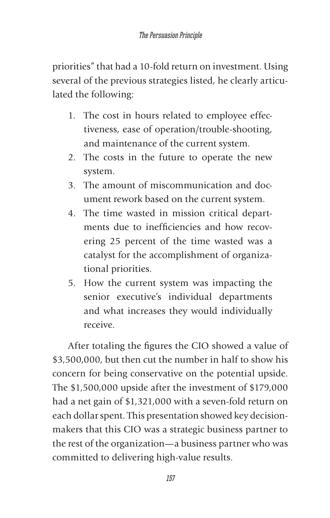priorities" that had a 10-fold return on investment. Using several of the previous strategies listed, he clearly articulated the following:

- 1. The cost in hours related to employee effectiveness, ease of operation/trouble-shooting, and maintenance of the current system.
- 2. The costs in the future to operate the new system.
- 3. The amount of miscommunication and document rework based on the current system.
- 4. The time wasted in mission critical departments due to inefficiencies and how recovering 25 percent of the time wasted was a catalyst for the accomplishment of organizational priorities.
- 5. How the current system was impacting the senior executive's individual departments and what increases they would individually receive.

After totaling the figures the CIO showed a value of \$3,500,000, but then cut the number in half to show his concern for being conservative on the potential upside. The \$1,500,000 upside after the investment of \$179,000 had a net gain of \$1,321,000 with a seven-fold return on each dollar spent. This presentation showed key decisionmakers that this CIO was a strategic business partner to the rest of the organization—a business partner who was committed to delivering high-value results.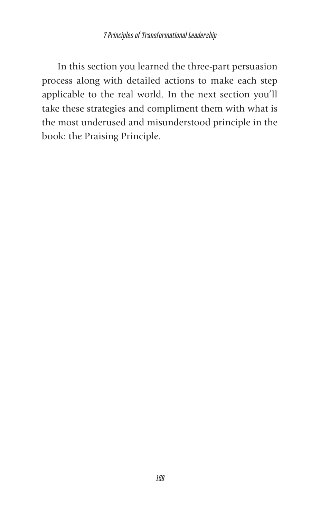In this section you learned the three-part persuasion process along with detailed actions to make each step applicable to the real world. In the next section you'll take these strategies and compliment them with what is the most underused and misunderstood principle in the book: the Praising Principle.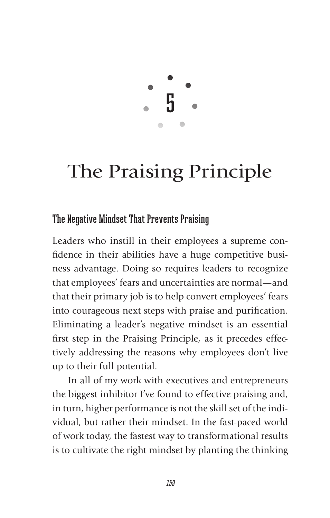**5**

# The Praising Principle

## **The Negative Mindset That Prevents Praising**

Leaders who instill in their employees a supreme confidence in their abilities have a huge competitive business advantage. Doing so requires leaders to recognize that employees' fears and uncertainties are normal—and that their primary job is to help convert employees' fears into courageous next steps with praise and purification. Eliminating a leader's negative mindset is an essential first step in the Praising Principle, as it precedes effectively addressing the reasons why employees don't live up to their full potential.

In all of my work with executives and entrepreneurs the biggest inhibitor I've found to effective praising and, in turn, higher performance is not the skill set of the individual, but rather their mindset. In the fast-paced world of work today, the fastest way to transformational results is to cultivate the right mindset by planting the thinking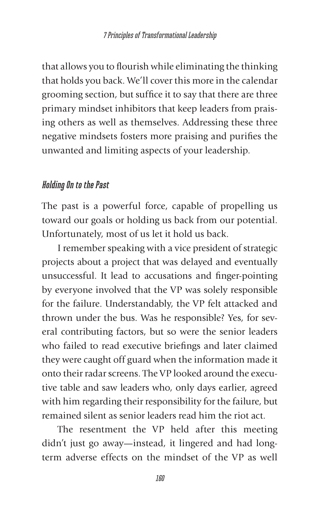that allows you to flourish while eliminating the thinking that holds you back. We'll cover this more in the calendar grooming section, but suffice it to say that there are three primary mindset inhibitors that keep leaders from praising others as well as themselves. Addressing these three negative mindsets fosters more praising and purifies the unwanted and limiting aspects of your leadership.

#### **Holding On to the Past**

The past is a powerful force, capable of propelling us toward our goals or holding us back from our potential. Unfortunately, most of us let it hold us back.

I remember speaking with a vice president of strategic projects about a project that was delayed and eventually unsuccessful. It lead to accusations and finger-pointing by everyone involved that the VP was solely responsible for the failure. Understandably, the VP felt attacked and thrown under the bus. Was he responsible? Yes, for several contributing factors, but so were the senior leaders who failed to read executive briefings and later claimed they were caught off guard when the information made it onto their radar screens. The VP looked around the executive table and saw leaders who, only days earlier, agreed with him regarding their responsibility for the failure, but remained silent as senior leaders read him the riot act.

The resentment the VP held after this meeting didn't just go away—instead, it lingered and had longterm adverse effects on the mindset of the VP as well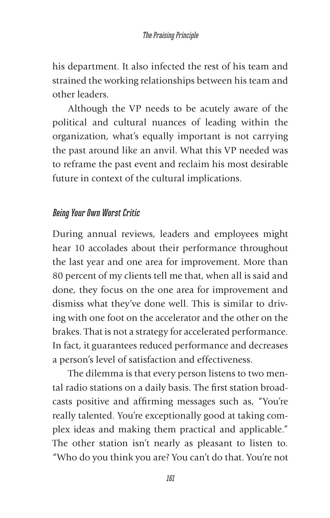his department. It also infected the rest of his team and strained the working relationships between his team and other leaders.

Although the VP needs to be acutely aware of the political and cultural nuances of leading within the organization, what's equally important is not carrying the past around like an anvil. What this VP needed was to reframe the past event and reclaim his most desirable future in context of the cultural implications.

# **Being Your Own Worst Critic**

During annual reviews, leaders and employees might hear 10 accolades about their performance throughout the last year and one area for improvement. More than 80 percent of my clients tell me that, when all is said and done, they focus on the one area for improvement and dismiss what they've done well. This is similar to driving with one foot on the accelerator and the other on the brakes. That is not a strategy for accelerated performance. In fact, it guarantees reduced performance and decreases a person's level of satisfaction and effectiveness.

The dilemma is that every person listens to two mental radio stations on a daily basis. The first station broadcasts positive and affirming messages such as, "You're really talented. You're exceptionally good at taking complex ideas and making them practical and applicable." The other station isn't nearly as pleasant to listen to. "Who do you think you are? You can't do that. You're not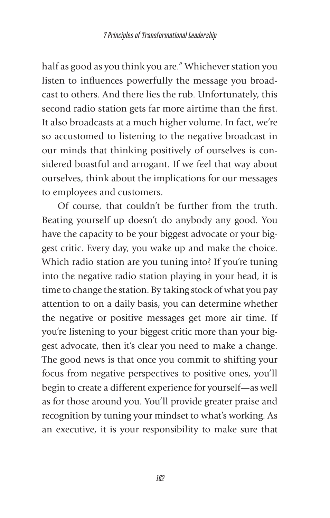half as good as you think you are." Whichever station you listen to influences powerfully the message you broadcast to others. And there lies the rub. Unfortunately, this second radio station gets far more airtime than the first. It also broadcasts at a much higher volume. In fact, we're so accustomed to listening to the negative broadcast in our minds that thinking positively of ourselves is considered boastful and arrogant. If we feel that way about ourselves, think about the implications for our messages to employees and customers.

Of course, that couldn't be further from the truth. Beating yourself up doesn't do anybody any good. You have the capacity to be your biggest advocate or your biggest critic. Every day, you wake up and make the choice. Which radio station are you tuning into? If you're tuning into the negative radio station playing in your head, it is time to change the station. By taking stock of what you pay attention to on a daily basis, you can determine whether the negative or positive messages get more air time. If you're listening to your biggest critic more than your biggest advocate, then it's clear you need to make a change. The good news is that once you commit to shifting your focus from negative perspectives to positive ones, you'll begin to create a different experience for yourself—as well as for those around you. You'll provide greater praise and recognition by tuning your mindset to what's working. As an executive, it is your responsibility to make sure that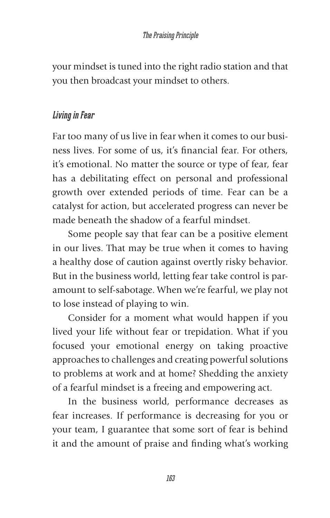your mindset is tuned into the right radio station and that you then broadcast your mindset to others.

## **Living in Fear**

Far too many of us live in fear when it comes to our business lives. For some of us, it's financial fear. For others, it's emotional. No matter the source or type of fear, fear has a debilitating effect on personal and professional growth over extended periods of time. Fear can be a catalyst for action, but accelerated progress can never be made beneath the shadow of a fearful mindset.

Some people say that fear can be a positive element in our lives. That may be true when it comes to having a healthy dose of caution against overtly risky behavior. But in the business world, letting fear take control is paramount to self-sabotage. When we're fearful, we play not to lose instead of playing to win.

Consider for a moment what would happen if you lived your life without fear or trepidation. What if you focused your emotional energy on taking proactive approaches to challenges and creating powerful solutions to problems at work and at home? Shedding the anxiety of a fearful mindset is a freeing and empowering act.

In the business world, performance decreases as fear increases. If performance is decreasing for you or your team, I guarantee that some sort of fear is behind it and the amount of praise and finding what's working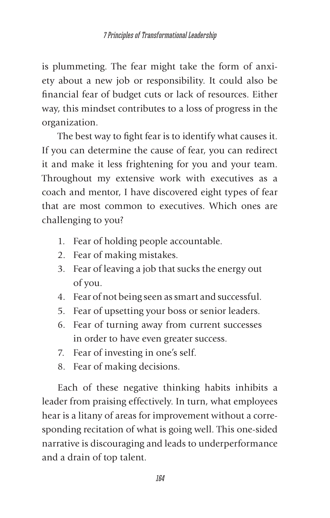is plummeting. The fear might take the form of anxiety about a new job or responsibility. It could also be financial fear of budget cuts or lack of resources. Either way, this mindset contributes to a loss of progress in the organization.

The best way to fight fear is to identify what causes it. If you can determine the cause of fear, you can redirect it and make it less frightening for you and your team. Throughout my extensive work with executives as a coach and mentor, I have discovered eight types of fear that are most common to executives. Which ones are challenging to you?

- 1. Fear of holding people accountable.
- 2. Fear of making mistakes.
- 3. Fear of leaving a job that sucks the energy out of you.
- 4. Fear of not being seen as smart and successful.
- 5. Fear of upsetting your boss or senior leaders.
- 6. Fear of turning away from current successes in order to have even greater success.
- 7. Fear of investing in one's self.
- 8. Fear of making decisions.

Each of these negative thinking habits inhibits a leader from praising effectively. In turn, what employees hear is a litany of areas for improvement without a corresponding recitation of what is going well. This one-sided narrative is discouraging and leads to underperformance and a drain of top talent.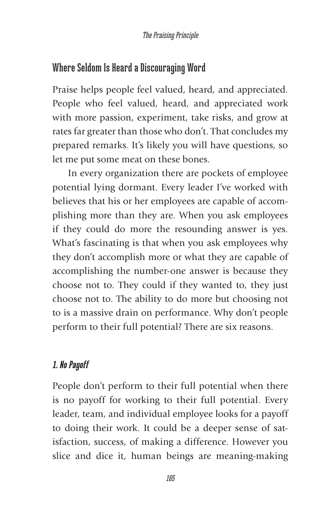# **Where Seldom Is Heard a Discouraging Word**

Praise helps people feel valued, heard, and appreciated. People who feel valued, heard, and appreciated work with more passion, experiment, take risks, and grow at rates far greater than those who don't. That concludes my prepared remarks. It's likely you will have questions, so let me put some meat on these bones.

In every organization there are pockets of employee potential lying dormant. Every leader I've worked with believes that his or her employees are capable of accomplishing more than they are. When you ask employees if they could do more the resounding answer is yes. What's fascinating is that when you ask employees why they don't accomplish more or what they are capable of accomplishing the number-one answer is because they choose not to. They could if they wanted to, they just choose not to. The ability to do more but choosing not to is a massive drain on performance. Why don't people perform to their full potential? There are six reasons.

# **1. No Payoff**

People don't perform to their full potential when there is no payoff for working to their full potential. Every leader, team, and individual employee looks for a payoff to doing their work. It could be a deeper sense of satisfaction, success, of making a difference. However you slice and dice it, human beings are meaning-making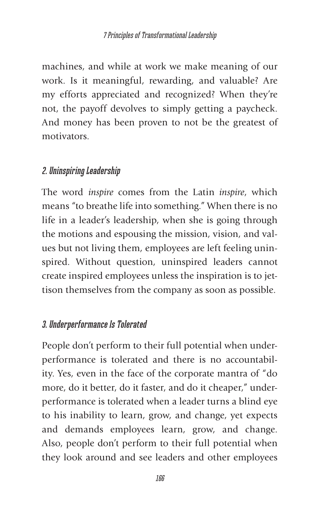machines, and while at work we make meaning of our work. Is it meaningful, rewarding, and valuable? Are my efforts appreciated and recognized? When they're not, the payoff devolves to simply getting a paycheck. And money has been proven to not be the greatest of motivators.

### **2. Uninspiring Leadership**

The word *inspire* comes from the Latin *inspire*, which means "to breathe life into something." When there is no life in a leader's leadership, when she is going through the motions and espousing the mission, vision, and values but not living them, employees are left feeling uninspired. Without question, uninspired leaders cannot create inspired employees unless the inspiration is to jettison themselves from the company as soon as possible.

# **3. Underperformance Is Tolerated**

People don't perform to their full potential when underperformance is tolerated and there is no accountability. Yes, even in the face of the corporate mantra of "do more, do it better, do it faster, and do it cheaper," underperformance is tolerated when a leader turns a blind eye to his inability to learn, grow, and change, yet expects and demands employees learn, grow, and change. Also, people don't perform to their full potential when they look around and see leaders and other employees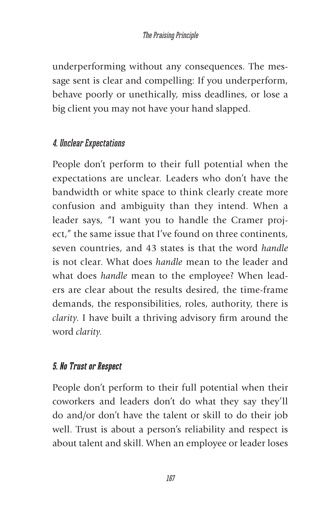underperforming without any consequences. The message sent is clear and compelling: If you underperform, behave poorly or unethically, miss deadlines, or lose a big client you may not have your hand slapped.

### **4. Unclear Expectations**

People don't perform to their full potential when the expectations are unclear. Leaders who don't have the bandwidth or white space to think clearly create more confusion and ambiguity than they intend. When a leader says, "I want you to handle the Cramer project," the same issue that I've found on three continents, seven countries, and 43 states is that the word *handle* is not clear. What does *handle* mean to the leader and what does *handle* mean to the employee? When leaders are clear about the results desired, the time-frame demands, the responsibilities, roles, authority, there is *clarity*. I have built a thriving advisory firm around the word *clarity*.

#### **5. No Trust or Respect**

People don't perform to their full potential when their coworkers and leaders don't do what they say they'll do and/or don't have the talent or skill to do their job well. Trust is about a person's reliability and respect is about talent and skill. When an employee or leader loses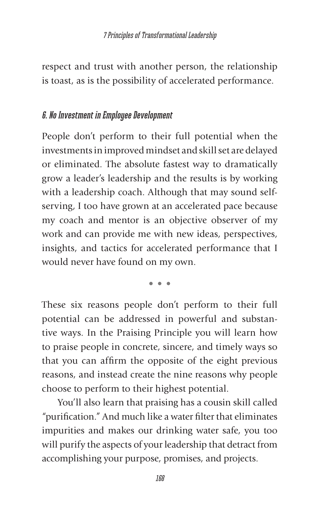respect and trust with another person, the relationship is toast, as is the possibility of accelerated performance.

#### **6. No Investment in Employee Development**

People don't perform to their full potential when the investments in improved mindset and skill set are delayed or eliminated. The absolute fastest way to dramatically grow a leader's leadership and the results is by working with a leadership coach. Although that may sound selfserving, I too have grown at an accelerated pace because my coach and mentor is an objective observer of my work and can provide me with new ideas, perspectives, insights, and tactics for accelerated performance that I would never have found on my own.

 $\sim$   $\sim$   $\sim$ 

These six reasons people don't perform to their full potential can be addressed in powerful and substantive ways. In the Praising Principle you will learn how to praise people in concrete, sincere, and timely ways so that you can affirm the opposite of the eight previous reasons, and instead create the nine reasons why people choose to perform to their highest potential.

You'll also learn that praising has a cousin skill called "purification." And much like a water filter that eliminates impurities and makes our drinking water safe, you too will purify the aspects of your leadership that detract from accomplishing your purpose, promises, and projects.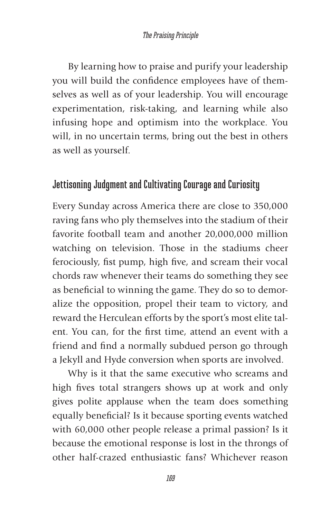By learning how to praise and purify your leadership you will build the confidence employees have of themselves as well as of your leadership. You will encourage experimentation, risk-taking, and learning while also infusing hope and optimism into the workplace. You will, in no uncertain terms, bring out the best in others as well as yourself.

# **Jettisoning Judgment and Cultivating Courage and Curiosity**

Every Sunday across America there are close to 350,000 raving fans who ply themselves into the stadium of their favorite football team and another 20,000,000 million watching on television. Those in the stadiums cheer ferociously, fist pump, high five, and scream their vocal chords raw whenever their teams do something they see as beneficial to winning the game. They do so to demoralize the opposition, propel their team to victory, and reward the Herculean efforts by the sport's most elite talent. You can, for the first time, attend an event with a friend and find a normally subdued person go through a Jekyll and Hyde conversion when sports are involved.

Why is it that the same executive who screams and high fives total strangers shows up at work and only gives polite applause when the team does something equally beneficial? Is it because sporting events watched with 60,000 other people release a primal passion? Is it because the emotional response is lost in the throngs of other half-crazed enthusiastic fans? Whichever reason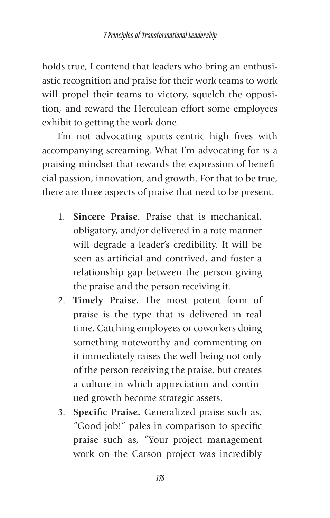holds true, I contend that leaders who bring an enthusiastic recognition and praise for their work teams to work will propel their teams to victory, squelch the opposition, and reward the Herculean effort some employees exhibit to getting the work done.

I'm not advocating sports-centric high fives with accompanying screaming. What I'm advocating for is a praising mindset that rewards the expression of beneficial passion, innovation, and growth. For that to be true, there are three aspects of praise that need to be present.

- 1. **Sincere Praise.** Praise that is mechanical, obligatory, and/or delivered in a rote manner will degrade a leader's credibility. It will be seen as artificial and contrived, and foster a relationship gap between the person giving the praise and the person receiving it.
- 2. **Timely Praise.** The most potent form of praise is the type that is delivered in real time. Catching employees or coworkers doing something noteworthy and commenting on it immediately raises the well-being not only of the person receiving the praise, but creates a culture in which appreciation and continued growth become strategic assets.
- 3. **Specific Praise.** Generalized praise such as, "Good job!" pales in comparison to specific praise such as, "Your project management work on the Carson project was incredibly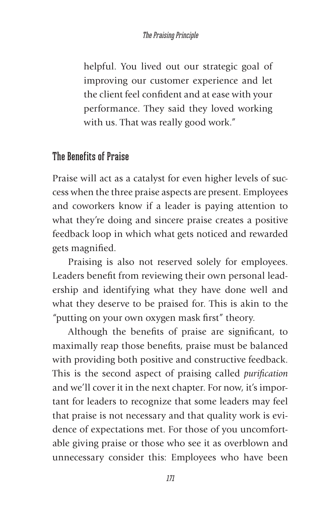helpful. You lived out our strategic goal of improving our customer experience and let the client feel confident and at ease with your performance. They said they loved working with us. That was really good work."

# **The Benefits of Praise**

Praise will act as a catalyst for even higher levels of success when the three praise aspects are present. Employees and coworkers know if a leader is paying attention to what they're doing and sincere praise creates a positive feedback loop in which what gets noticed and rewarded gets magnified.

Praising is also not reserved solely for employees. Leaders benefit from reviewing their own personal leadership and identifying what they have done well and what they deserve to be praised for. This is akin to the "putting on your own oxygen mask first" theory.

Although the benefits of praise are significant, to maximally reap those benefits, praise must be balanced with providing both positive and constructive feedback. This is the second aspect of praising called *purification* and we'll cover it in the next chapter. For now, it's important for leaders to recognize that some leaders may feel that praise is not necessary and that quality work is evidence of expectations met. For those of you uncomfortable giving praise or those who see it as overblown and unnecessary consider this: Employees who have been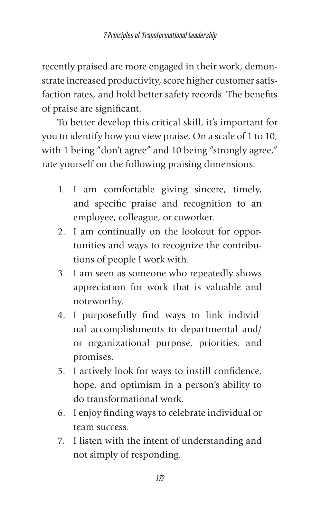recently praised are more engaged in their work, demonstrate increased productivity, score higher customer satisfaction rates, and hold better safety records. The benefits of praise are significant.

To better develop this critical skill, it's important for you to identify how you view praise. On a scale of 1 to 10, with 1 being "don't agree" and 10 being "strongly agree," rate yourself on the following praising dimensions:

- 1. I am comfortable giving sincere, timely, and specific praise and recognition to an employee, colleague, or coworker.
- 2. I am continually on the lookout for opportunities and ways to recognize the contributions of people I work with.
- 3. I am seen as someone who repeatedly shows appreciation for work that is valuable and noteworthy.
- 4. I purposefully find ways to link individual accomplishments to departmental and/ or organizational purpose, priorities, and promises.
- 5. I actively look for ways to instill confidence, hope, and optimism in a person's ability to do transformational work.
- 6. I enjoy finding ways to celebrate individual or team success.
- 7. I listen with the intent of understanding and not simply of responding.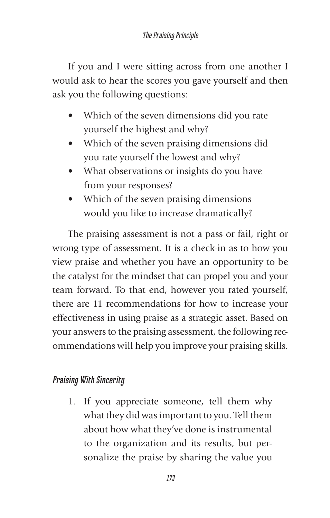If you and I were sitting across from one another I would ask to hear the scores you gave yourself and then ask you the following questions:

- Which of the seven dimensions did you rate yourself the highest and why?
- Which of the seven praising dimensions did you rate yourself the lowest and why?
- What observations or insights do you have from your responses?
- Which of the seven praising dimensions would you like to increase dramatically?

The praising assessment is not a pass or fail, right or wrong type of assessment. It is a check-in as to how you view praise and whether you have an opportunity to be the catalyst for the mindset that can propel you and your team forward. To that end, however you rated yourself, there are 11 recommendations for how to increase your effectiveness in using praise as a strategic asset. Based on your answers to the praising assessment, the following recommendations will help you improve your praising skills.

# **Praising With Sincerity**

1. If you appreciate someone, tell them why what they did was important to you. Tell them about how what they've done is instrumental to the organization and its results, but personalize the praise by sharing the value you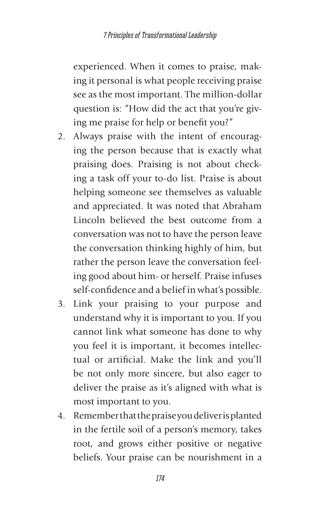experienced. When it comes to praise, making it personal is what people receiving praise see as the most important. The million-dollar question is: "How did the act that you're giving me praise for help or benefit you?"

- 2. Always praise with the intent of encouraging the person because that is exactly what praising does. Praising is not about checking a task off your to-do list. Praise is about helping someone see themselves as valuable and appreciated. It was noted that Abraham Lincoln believed the best outcome from a conversation was not to have the person leave the conversation thinking highly of him, but rather the person leave the conversation feeling good about him- or herself. Praise infuses self-confidence and a belief in what's possible.
- 3. Link your praising to your purpose and understand why it is important to you. If you cannot link what someone has done to why you feel it is important, it becomes intellectual or artificial. Make the link and you'll be not only more sincere, but also eager to deliver the praise as it's aligned with what is most important to you.
- 4. Remember that the praise you deliver is planted in the fertile soil of a person's memory, takes root, and grows either positive or negative beliefs. Your praise can be nourishment in a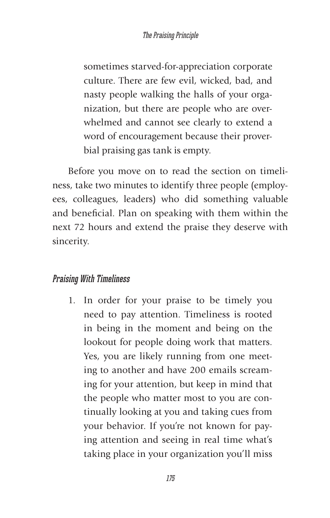sometimes starved-for-appreciation corporate culture. There are few evil, wicked, bad, and nasty people walking the halls of your organization, but there are people who are overwhelmed and cannot see clearly to extend a word of encouragement because their proverbial praising gas tank is empty.

Before you move on to read the section on timeliness, take two minutes to identify three people (employees, colleagues, leaders) who did something valuable and beneficial. Plan on speaking with them within the next 72 hours and extend the praise they deserve with sincerity.

#### **Praising With Timeliness**

1. In order for your praise to be timely you need to pay attention. Timeliness is rooted in being in the moment and being on the lookout for people doing work that matters. Yes, you are likely running from one meeting to another and have 200 emails screaming for your attention, but keep in mind that the people who matter most to you are continually looking at you and taking cues from your behavior. If you're not known for paying attention and seeing in real time what's taking place in your organization you'll miss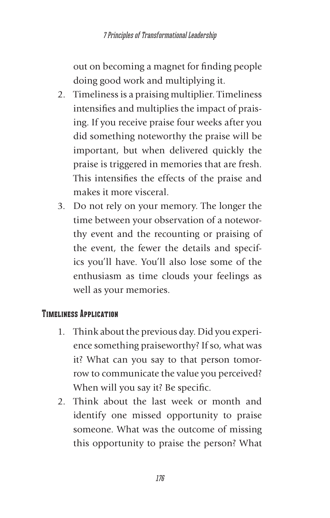out on becoming a magnet for finding people doing good work and multiplying it.

- 2. Timeliness is a praising multiplier. Timeliness intensifies and multiplies the impact of praising. If you receive praise four weeks after you did something noteworthy the praise will be important, but when delivered quickly the praise is triggered in memories that are fresh. This intensifies the effects of the praise and makes it more visceral.
- 3. Do not rely on your memory. The longer the time between your observation of a noteworthy event and the recounting or praising of the event, the fewer the details and specifics you'll have. You'll also lose some of the enthusiasm as time clouds your feelings as well as your memories.

#### **Timeliness Application**

- 1. Think about the previous day. Did you experience something praiseworthy? If so, what was it? What can you say to that person tomorrow to communicate the value you perceived? When will you say it? Be specific.
- 2. Think about the last week or month and identify one missed opportunity to praise someone. What was the outcome of missing this opportunity to praise the person? What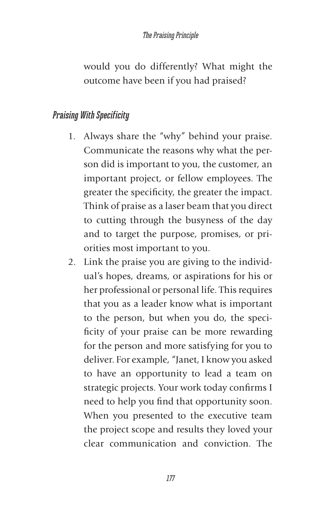#### The Praising Principle

would you do differently? What might the outcome have been if you had praised?

#### **Praising With Specificity**

- 1. Always share the "why" behind your praise. Communicate the reasons why what the person did is important to you, the customer, an important project, or fellow employees. The greater the specificity, the greater the impact. Think of praise as a laser beam that you direct to cutting through the busyness of the day and to target the purpose, promises, or priorities most important to you.
- 2. Link the praise you are giving to the individual's hopes, dreams, or aspirations for his or her professional or personal life. This requires that you as a leader know what is important to the person, but when you do, the specificity of your praise can be more rewarding for the person and more satisfying for you to deliver. For example, "Janet, I know you asked to have an opportunity to lead a team on strategic projects. Your work today confirms I need to help you find that opportunity soon. When you presented to the executive team the project scope and results they loved your clear communication and conviction. The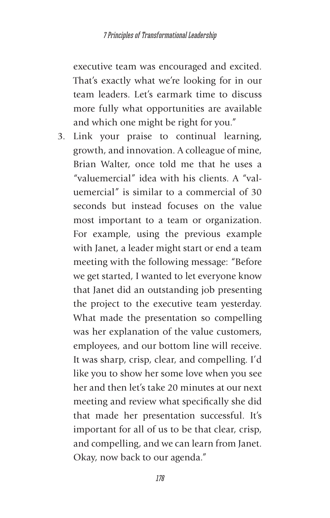executive team was encouraged and excited. That's exactly what we're looking for in our team leaders. Let's earmark time to discuss more fully what opportunities are available and which one might be right for you."

3. Link your praise to continual learning, growth, and innovation. A colleague of mine, Brian Walter, once told me that he uses a "valuemercial" idea with his clients. A "valuemercial" is similar to a commercial of 30 seconds but instead focuses on the value most important to a team or organization. For example, using the previous example with Janet, a leader might start or end a team meeting with the following message: "Before we get started, I wanted to let everyone know that Janet did an outstanding job presenting the project to the executive team yesterday. What made the presentation so compelling was her explanation of the value customers, employees, and our bottom line will receive. It was sharp, crisp, clear, and compelling. I'd like you to show her some love when you see her and then let's take 20 minutes at our next meeting and review what specifically she did that made her presentation successful. It's important for all of us to be that clear, crisp, and compelling, and we can learn from Janet. Okay, now back to our agenda."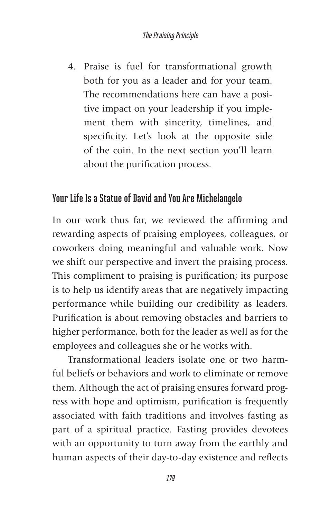4. Praise is fuel for transformational growth both for you as a leader and for your team. The recommendations here can have a positive impact on your leadership if you implement them with sincerity, timelines, and specificity. Let's look at the opposite side of the coin. In the next section you'll learn about the purification process.

# **Your Life Is a Statue of David and You Are Michelangelo**

In our work thus far, we reviewed the affirming and rewarding aspects of praising employees, colleagues, or coworkers doing meaningful and valuable work. Now we shift our perspective and invert the praising process. This compliment to praising is purification; its purpose is to help us identify areas that are negatively impacting performance while building our credibility as leaders. Purification is about removing obstacles and barriers to higher performance, both for the leader as well as for the employees and colleagues she or he works with.

Transformational leaders isolate one or two harmful beliefs or behaviors and work to eliminate or remove them. Although the act of praising ensures forward progress with hope and optimism, purification is frequently associated with faith traditions and involves fasting as part of a spiritual practice. Fasting provides devotees with an opportunity to turn away from the earthly and human aspects of their day-to-day existence and reflects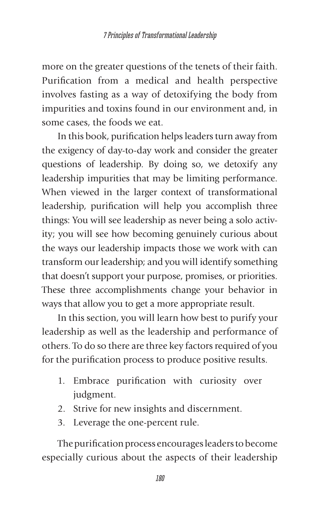more on the greater questions of the tenets of their faith. Purification from a medical and health perspective involves fasting as a way of detoxifying the body from impurities and toxins found in our environment and, in some cases, the foods we eat.

In this book, purification helps leaders turn away from the exigency of day-to-day work and consider the greater questions of leadership. By doing so, we detoxify any leadership impurities that may be limiting performance. When viewed in the larger context of transformational leadership, purification will help you accomplish three things: You will see leadership as never being a solo activity; you will see how becoming genuinely curious about the ways our leadership impacts those we work with can transform our leadership; and you will identify something that doesn't support your purpose, promises, or priorities. These three accomplishments change your behavior in ways that allow you to get a more appropriate result.

In this section, you will learn how best to purify your leadership as well as the leadership and performance of others. To do so there are three key factors required of you for the purification process to produce positive results.

- 1. Embrace purification with curiosity over judgment.
- 2. Strive for new insights and discernment.
- 3. Leverage the one-percent rule.

The purification process encourages leaders to become especially curious about the aspects of their leadership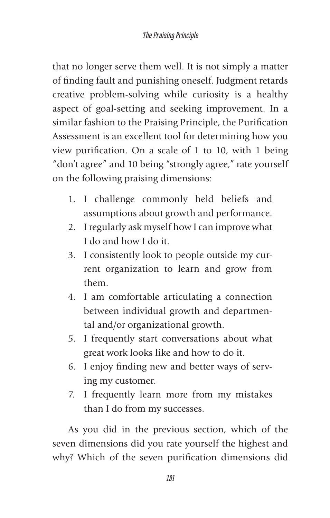that no longer serve them well. It is not simply a matter of finding fault and punishing oneself. Judgment retards creative problem-solving while curiosity is a healthy aspect of goal-setting and seeking improvement. In a similar fashion to the Praising Principle, the Purification Assessment is an excellent tool for determining how you view purification. On a scale of 1 to 10, with 1 being "don't agree" and 10 being "strongly agree," rate yourself on the following praising dimensions:

- 1. I challenge commonly held beliefs and assumptions about growth and performance.
- 2. I regularly ask myself how I can improve what I do and how I do it.
- 3. I consistently look to people outside my current organization to learn and grow from them.
- 4. I am comfortable articulating a connection between individual growth and departmental and/or organizational growth.
- 5. I frequently start conversations about what great work looks like and how to do it.
- 6. I enjoy finding new and better ways of serving my customer.
- 7. I frequently learn more from my mistakes than I do from my successes.

As you did in the previous section, which of the seven dimensions did you rate yourself the highest and why? Which of the seven purification dimensions did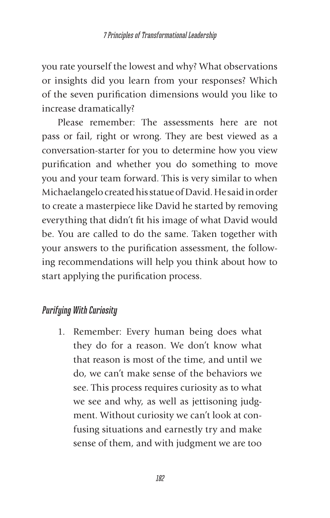you rate yourself the lowest and why? What observations or insights did you learn from your responses? Which of the seven purification dimensions would you like to increase dramatically?

Please remember: The assessments here are not pass or fail, right or wrong. They are best viewed as a conversation-starter for you to determine how you view purification and whether you do something to move you and your team forward. This is very similar to when Michaelangelo created his statue of David. He said in order to create a masterpiece like David he started by removing everything that didn't fit his image of what David would be. You are called to do the same. Taken together with your answers to the purification assessment, the following recommendations will help you think about how to start applying the purification process.

## **Purifying With Curiosity**

1. Remember: Every human being does what they do for a reason. We don't know what that reason is most of the time, and until we do, we can't make sense of the behaviors we see. This process requires curiosity as to what we see and why, as well as jettisoning judgment. Without curiosity we can't look at confusing situations and earnestly try and make sense of them, and with judgment we are too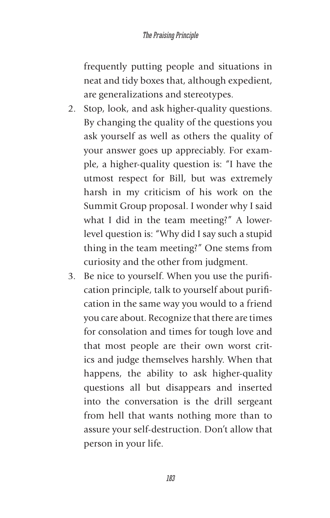#### The Praising Principle

frequently putting people and situations in neat and tidy boxes that, although expedient, are generalizations and stereotypes.

- 2. Stop, look, and ask higher-quality questions. By changing the quality of the questions you ask yourself as well as others the quality of your answer goes up appreciably. For example, a higher-quality question is: "I have the utmost respect for Bill, but was extremely harsh in my criticism of his work on the Summit Group proposal. I wonder why I said what I did in the team meeting?" A lowerlevel question is: "Why did I say such a stupid thing in the team meeting?" One stems from curiosity and the other from judgment.
- 3. Be nice to yourself. When you use the purification principle, talk to yourself about purification in the same way you would to a friend you care about. Recognize that there are times for consolation and times for tough love and that most people are their own worst critics and judge themselves harshly. When that happens, the ability to ask higher-quality questions all but disappears and inserted into the conversation is the drill sergeant from hell that wants nothing more than to assure your self-destruction. Don't allow that person in your life.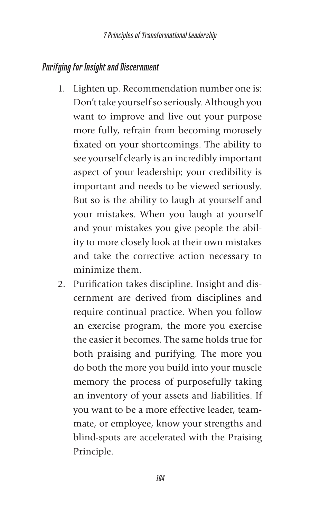# **Purifying for Insight and Discernment**

- 1. Lighten up. Recommendation number one is: Don't take yourself so seriously. Although you want to improve and live out your purpose more fully, refrain from becoming morosely fixated on your shortcomings. The ability to see yourself clearly is an incredibly important aspect of your leadership; your credibility is important and needs to be viewed seriously. But so is the ability to laugh at yourself and your mistakes. When you laugh at yourself and your mistakes you give people the ability to more closely look at their own mistakes and take the corrective action necessary to minimize them.
- 2. Purification takes discipline. Insight and discernment are derived from disciplines and require continual practice. When you follow an exercise program, the more you exercise the easier it becomes. The same holds true for both praising and purifying. The more you do both the more you build into your muscle memory the process of purposefully taking an inventory of your assets and liabilities. If you want to be a more effective leader, teammate, or employee, know your strengths and blind-spots are accelerated with the Praising Principle.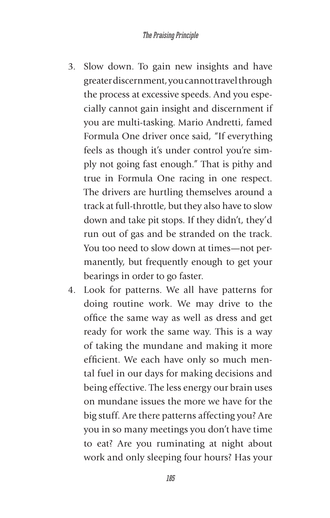- 3. Slow down. To gain new insights and have greater discernment, you cannot travel through the process at excessive speeds. And you especially cannot gain insight and discernment if you are multi-tasking. Mario Andretti, famed Formula One driver once said, "If everything feels as though it's under control you're simply not going fast enough." That is pithy and true in Formula One racing in one respect. The drivers are hurtling themselves around a track at full-throttle, but they also have to slow down and take pit stops. If they didn't, they'd run out of gas and be stranded on the track. You too need to slow down at times—not permanently, but frequently enough to get your bearings in order to go faster.
- 4. Look for patterns. We all have patterns for doing routine work. We may drive to the office the same way as well as dress and get ready for work the same way. This is a way of taking the mundane and making it more efficient. We each have only so much mental fuel in our days for making decisions and being effective. The less energy our brain uses on mundane issues the more we have for the big stuff. Are there patterns affecting you? Are you in so many meetings you don't have time to eat? Are you ruminating at night about work and only sleeping four hours? Has your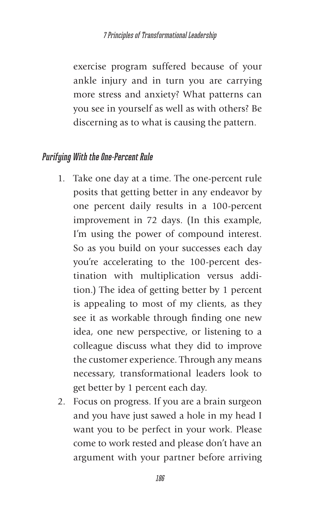exercise program suffered because of your ankle injury and in turn you are carrying more stress and anxiety? What patterns can you see in yourself as well as with others? Be discerning as to what is causing the pattern.

#### **Purifying With the One-Percent Rule**

- 1. Take one day at a time. The one-percent rule posits that getting better in any endeavor by one percent daily results in a 100-percent improvement in 72 days. (In this example, I'm using the power of compound interest. So as you build on your successes each day you're accelerating to the 100-percent destination with multiplication versus addition.) The idea of getting better by 1 percent is appealing to most of my clients, as they see it as workable through finding one new idea, one new perspective, or listening to a colleague discuss what they did to improve the customer experience. Through any means necessary, transformational leaders look to get better by 1 percent each day.
- 2. Focus on progress. If you are a brain surgeon and you have just sawed a hole in my head I want you to be perfect in your work. Please come to work rested and please don't have an argument with your partner before arriving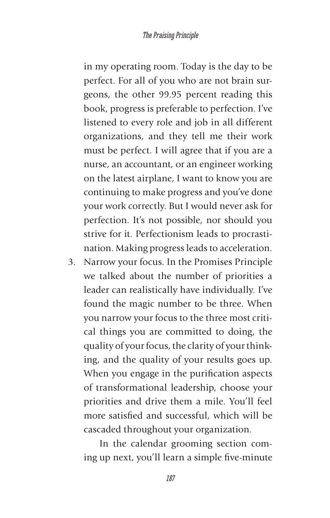in my operating room. Today is the day to be perfect. For all of you who are not brain surgeons, the other 99.95 percent reading this book, progress is preferable to perfection. I've listened to every role and job in all different organizations, and they tell me their work must be perfect. I will agree that if you are a nurse, an accountant, or an engineer working on the latest airplane, I want to know you are continuing to make progress and you've done your work correctly. But I would never ask for perfection. It's not possible, nor should you strive for it. Perfectionism leads to procrastination. Making progress leads to acceleration.

3. Narrow your focus. In the Promises Principle we talked about the number of priorities a leader can realistically have individually. I've found the magic number to be three. When you narrow your focus to the three most critical things you are committed to doing, the quality of your focus, the clarity of your thinking, and the quality of your results goes up. When you engage in the purification aspects of transformational leadership, choose your priorities and drive them a mile. You'll feel more satisfied and successful, which will be cascaded throughout your organization.

In the calendar grooming section coming up next, you'll learn a simple five-minute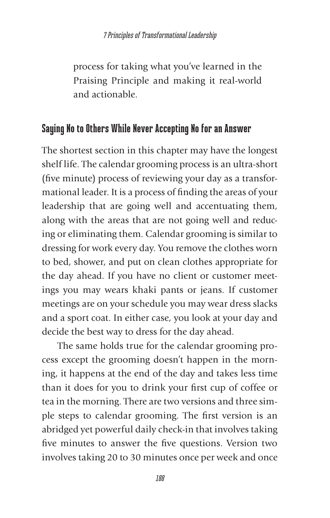process for taking what you've learned in the Praising Principle and making it real-world and actionable.

## **Saying No to Others While Never Accepting No for an Answer**

The shortest section in this chapter may have the longest shelf life. The calendar grooming process is an ultra-short (five minute) process of reviewing your day as a transformational leader. It is a process of finding the areas of your leadership that are going well and accentuating them, along with the areas that are not going well and reducing or eliminating them. Calendar grooming is similar to dressing for work every day. You remove the clothes worn to bed, shower, and put on clean clothes appropriate for the day ahead. If you have no client or customer meetings you may wears khaki pants or jeans. If customer meetings are on your schedule you may wear dress slacks and a sport coat. In either case, you look at your day and decide the best way to dress for the day ahead.

The same holds true for the calendar grooming process except the grooming doesn't happen in the morning, it happens at the end of the day and takes less time than it does for you to drink your first cup of coffee or tea in the morning. There are two versions and three simple steps to calendar grooming. The first version is an abridged yet powerful daily check-in that involves taking five minutes to answer the five questions. Version two involves taking 20 to 30 minutes once per week and once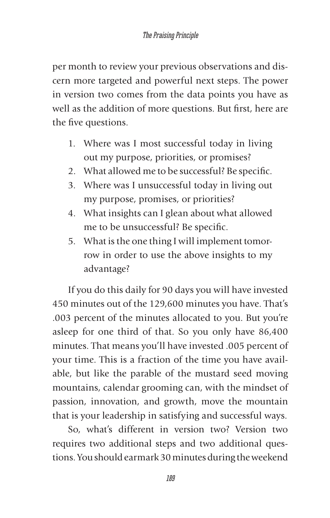per month to review your previous observations and discern more targeted and powerful next steps. The power in version two comes from the data points you have as well as the addition of more questions. But first, here are the five questions.

- 1. Where was I most successful today in living out my purpose, priorities, or promises?
- 2. What allowed me to be successful? Be specific.
- 3. Where was I unsuccessful today in living out my purpose, promises, or priorities?
- 4. What insights can I glean about what allowed me to be unsuccessful? Be specific.
- 5. What is the one thing I will implement tomorrow in order to use the above insights to my advantage?

If you do this daily for 90 days you will have invested 450 minutes out of the 129,600 minutes you have. That's .003 percent of the minutes allocated to you. But you're asleep for one third of that. So you only have 86,400 minutes. That means you'll have invested .005 percent of your time. This is a fraction of the time you have available, but like the parable of the mustard seed moving mountains, calendar grooming can, with the mindset of passion, innovation, and growth, move the mountain that is your leadership in satisfying and successful ways.

So, what's different in version two? Version two requires two additional steps and two additional questions. You should earmark 30 minutes during the weekend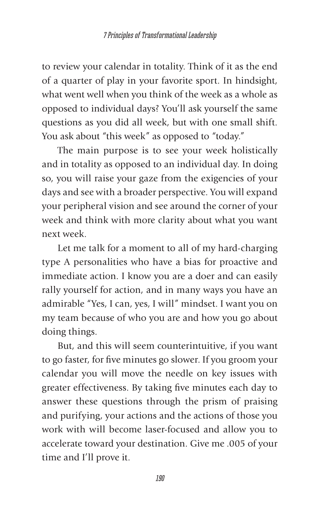to review your calendar in totality. Think of it as the end of a quarter of play in your favorite sport. In hindsight, what went well when you think of the week as a whole as opposed to individual days? You'll ask yourself the same questions as you did all week, but with one small shift. You ask about "this week" as opposed to "today."

The main purpose is to see your week holistically and in totality as opposed to an individual day. In doing so, you will raise your gaze from the exigencies of your days and see with a broader perspective. You will expand your peripheral vision and see around the corner of your week and think with more clarity about what you want next week.

Let me talk for a moment to all of my hard-charging type A personalities who have a bias for proactive and immediate action. I know you are a doer and can easily rally yourself for action, and in many ways you have an admirable "Yes, I can, yes, I will" mindset. I want you on my team because of who you are and how you go about doing things.

But, and this will seem counterintuitive, if you want to go faster, for five minutes go slower. If you groom your calendar you will move the needle on key issues with greater effectiveness. By taking five minutes each day to answer these questions through the prism of praising and purifying, your actions and the actions of those you work with will become laser-focused and allow you to accelerate toward your destination. Give me .005 of your time and I'll prove it.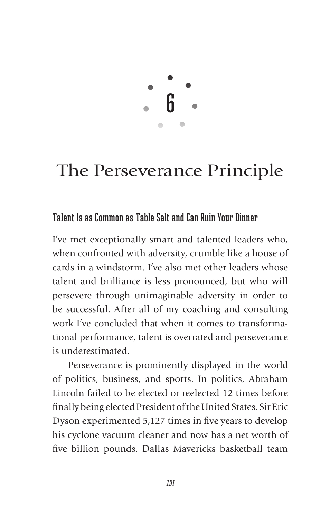**6** ó

# The Perseverance Principle

## **Talent Is as Common as Table Salt and Can Ruin Your Dinner**

I've met exceptionally smart and talented leaders who, when confronted with adversity, crumble like a house of cards in a windstorm. I've also met other leaders whose talent and brilliance is less pronounced, but who will persevere through unimaginable adversity in order to be successful. After all of my coaching and consulting work I've concluded that when it comes to transformational performance, talent is overrated and perseverance is underestimated.

Perseverance is prominently displayed in the world of politics, business, and sports. In politics, Abraham Lincoln failed to be elected or reelected 12 times before finally being elected President of the United States. Sir Eric Dyson experimented 5,127 times in five years to develop his cyclone vacuum cleaner and now has a net worth of five billion pounds. Dallas Mavericks basketball team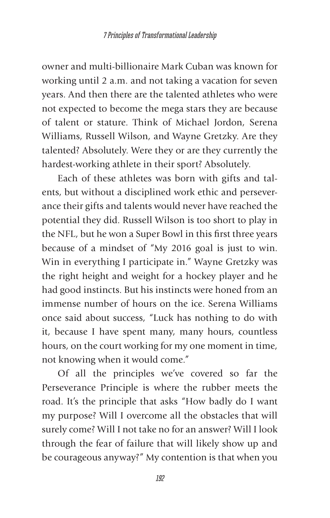owner and multi-billionaire Mark Cuban was known for working until 2 a.m. and not taking a vacation for seven years. And then there are the talented athletes who were not expected to become the mega stars they are because of talent or stature. Think of Michael Jordon, Serena Williams, Russell Wilson, and Wayne Gretzky. Are they talented? Absolutely. Were they or are they currently the hardest-working athlete in their sport? Absolutely.

Each of these athletes was born with gifts and talents, but without a disciplined work ethic and perseverance their gifts and talents would never have reached the potential they did. Russell Wilson is too short to play in the NFL, but he won a Super Bowl in this first three years because of a mindset of "My 2016 goal is just to win. Win in everything I participate in." Wayne Gretzky was the right height and weight for a hockey player and he had good instincts. But his instincts were honed from an immense number of hours on the ice. Serena Williams once said about success, "Luck has nothing to do with it, because I have spent many, many hours, countless hours, on the court working for my one moment in time, not knowing when it would come."

Of all the principles we've covered so far the Perseverance Principle is where the rubber meets the road. It's the principle that asks "How badly do I want my purpose? Will I overcome all the obstacles that will surely come? Will I not take no for an answer? Will I look through the fear of failure that will likely show up and be courageous anyway?" My contention is that when you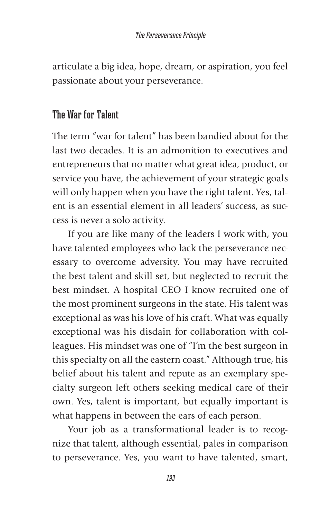articulate a big idea, hope, dream, or aspiration, you feel passionate about your perseverance.

# **The War for Talent**

The term "war for talent" has been bandied about for the last two decades. It is an admonition to executives and entrepreneurs that no matter what great idea, product, or service you have, the achievement of your strategic goals will only happen when you have the right talent. Yes, talent is an essential element in all leaders' success, as success is never a solo activity.

If you are like many of the leaders I work with, you have talented employees who lack the perseverance necessary to overcome adversity. You may have recruited the best talent and skill set, but neglected to recruit the best mindset. A hospital CEO I know recruited one of the most prominent surgeons in the state. His talent was exceptional as was his love of his craft. What was equally exceptional was his disdain for collaboration with colleagues. His mindset was one of "I'm the best surgeon in this specialty on all the eastern coast." Although true, his belief about his talent and repute as an exemplary specialty surgeon left others seeking medical care of their own. Yes, talent is important, but equally important is what happens in between the ears of each person.

Your job as a transformational leader is to recognize that talent, although essential, pales in comparison to perseverance. Yes, you want to have talented, smart,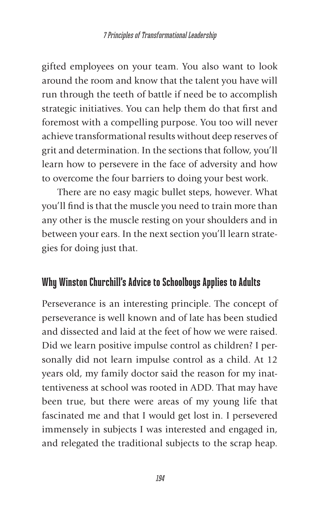gifted employees on your team. You also want to look around the room and know that the talent you have will run through the teeth of battle if need be to accomplish strategic initiatives. You can help them do that first and foremost with a compelling purpose. You too will never achieve transformational results without deep reserves of grit and determination. In the sections that follow, you'll learn how to persevere in the face of adversity and how to overcome the four barriers to doing your best work.

There are no easy magic bullet steps, however. What you'll find is that the muscle you need to train more than any other is the muscle resting on your shoulders and in between your ears. In the next section you'll learn strategies for doing just that.

# **Why Winston Churchill's Advice to Schoolboys Applies to Adults**

Perseverance is an interesting principle. The concept of perseverance is well known and of late has been studied and dissected and laid at the feet of how we were raised. Did we learn positive impulse control as children? I personally did not learn impulse control as a child. At 12 years old, my family doctor said the reason for my inattentiveness at school was rooted in ADD. That may have been true, but there were areas of my young life that fascinated me and that I would get lost in. I persevered immensely in subjects I was interested and engaged in, and relegated the traditional subjects to the scrap heap.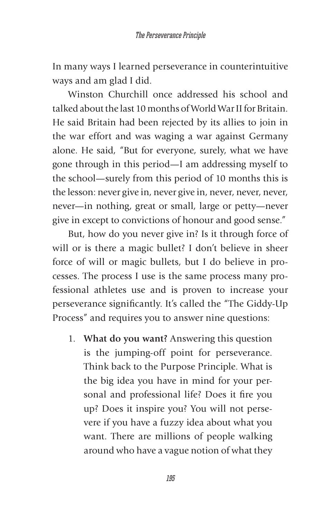In many ways I learned perseverance in counterintuitive ways and am glad I did.

Winston Churchill once addressed his school and talked about the last 10 months of World War II for Britain. He said Britain had been rejected by its allies to join in the war effort and was waging a war against Germany alone. He said, "But for everyone, surely, what we have gone through in this period—I am addressing myself to the school—surely from this period of 10 months this is the lesson: never give in, never give in, never, never, never, never—in nothing, great or small, large or petty—never give in except to convictions of honour and good sense."

But, how do you never give in? Is it through force of will or is there a magic bullet? I don't believe in sheer force of will or magic bullets, but I do believe in processes. The process I use is the same process many professional athletes use and is proven to increase your perseverance significantly. It's called the "The Giddy-Up Process" and requires you to answer nine questions:

1. **What do you want?** Answering this question is the jumping-off point for perseverance. Think back to the Purpose Principle. What is the big idea you have in mind for your personal and professional life? Does it fire you up? Does it inspire you? You will not persevere if you have a fuzzy idea about what you want. There are millions of people walking around who have a vague notion of what they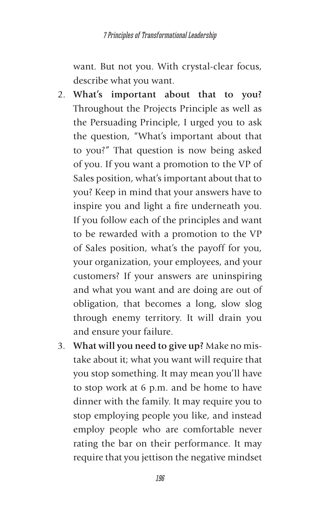want. But not you. With crystal-clear focus, describe what you want.

- 2. **What's important about that to you?**  Throughout the Projects Principle as well as the Persuading Principle, I urged you to ask the question, "What's important about that to you?" That question is now being asked of you. If you want a promotion to the VP of Sales position, what's important about that to you? Keep in mind that your answers have to inspire you and light a fire underneath you. If you follow each of the principles and want to be rewarded with a promotion to the VP of Sales position, what's the payoff for you, your organization, your employees, and your customers? If your answers are uninspiring and what you want and are doing are out of obligation, that becomes a long, slow slog through enemy territory. It will drain you and ensure your failure.
- 3. **What will you need to give up?** Make no mistake about it; what you want will require that you stop something. It may mean you'll have to stop work at 6 p.m. and be home to have dinner with the family. It may require you to stop employing people you like, and instead employ people who are comfortable never rating the bar on their performance. It may require that you jettison the negative mindset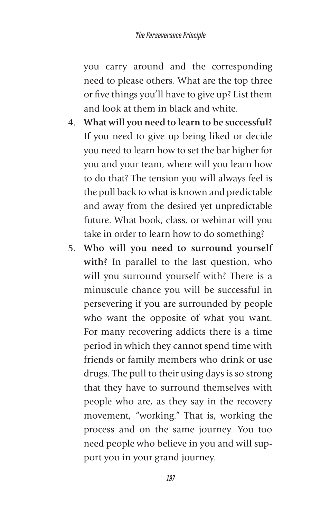you carry around and the corresponding need to please others. What are the top three or five things you'll have to give up? List them and look at them in black and white.

- 4. **What will you need to learn to be successful?**  If you need to give up being liked or decide you need to learn how to set the bar higher for you and your team, where will you learn how to do that? The tension you will always feel is the pull back to what is known and predictable and away from the desired yet unpredictable future. What book, class, or webinar will you take in order to learn how to do something?
- 5. **Who will you need to surround yourself with?** In parallel to the last question, who will you surround yourself with? There is a minuscule chance you will be successful in persevering if you are surrounded by people who want the opposite of what you want. For many recovering addicts there is a time period in which they cannot spend time with friends or family members who drink or use drugs. The pull to their using days is so strong that they have to surround themselves with people who are, as they say in the recovery movement, "working." That is, working the process and on the same journey. You too need people who believe in you and will support you in your grand journey.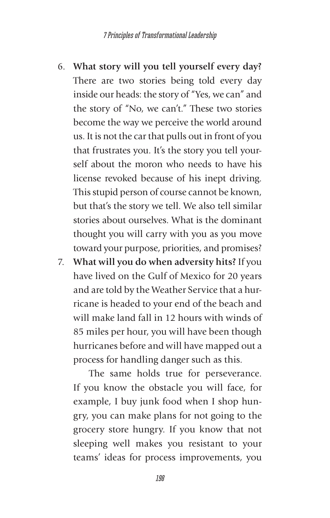- 6. **What story will you tell yourself every day?**  There are two stories being told every day inside our heads: the story of "Yes, we can" and the story of "No, we can't." These two stories become the way we perceive the world around us. It is not the car that pulls out in front of you that frustrates you. It's the story you tell yourself about the moron who needs to have his license revoked because of his inept driving. This stupid person of course cannot be known, but that's the story we tell. We also tell similar stories about ourselves. What is the dominant thought you will carry with you as you move toward your purpose, priorities, and promises?
- 7. **What will you do when adversity hits?** If you have lived on the Gulf of Mexico for 20 years and are told by the Weather Service that a hurricane is headed to your end of the beach and will make land fall in 12 hours with winds of 85 miles per hour, you will have been though hurricanes before and will have mapped out a process for handling danger such as this.

The same holds true for perseverance. If you know the obstacle you will face, for example, I buy junk food when I shop hungry, you can make plans for not going to the grocery store hungry. If you know that not sleeping well makes you resistant to your teams' ideas for process improvements, you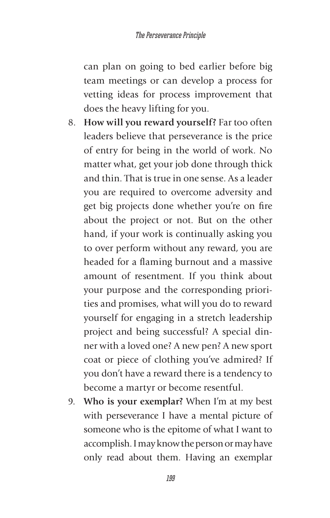can plan on going to bed earlier before big team meetings or can develop a process for vetting ideas for process improvement that does the heavy lifting for you.

- 8. **How will you reward yourself?** Far too often leaders believe that perseverance is the price of entry for being in the world of work. No matter what, get your job done through thick and thin. That is true in one sense. As a leader you are required to overcome adversity and get big projects done whether you're on fire about the project or not. But on the other hand, if your work is continually asking you to over perform without any reward, you are headed for a flaming burnout and a massive amount of resentment. If you think about your purpose and the corresponding priorities and promises, what will you do to reward yourself for engaging in a stretch leadership project and being successful? A special dinner with a loved one? A new pen? A new sport coat or piece of clothing you've admired? If you don't have a reward there is a tendency to become a martyr or become resentful.
- 9. **Who is your exemplar?** When I'm at my best with perseverance I have a mental picture of someone who is the epitome of what I want to accomplish. I may know the person or may have only read about them. Having an exemplar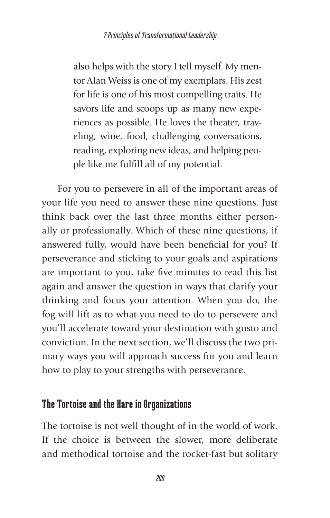also helps with the story I tell myself. My mentor Alan Weiss is one of my exemplars. His zest for life is one of his most compelling traits. He savors life and scoops up as many new experiences as possible. He loves the theater, traveling, wine, food, challenging conversations, reading, exploring new ideas, and helping people like me fulfill all of my potential.

For you to persevere in all of the important areas of your life you need to answer these nine questions. Just think back over the last three months either personally or professionally. Which of these nine questions, if answered fully, would have been beneficial for you? If perseverance and sticking to your goals and aspirations are important to you, take five minutes to read this list again and answer the question in ways that clarify your thinking and focus your attention. When you do, the fog will lift as to what you need to do to persevere and you'll accelerate toward your destination with gusto and conviction. In the next section, we'll discuss the two primary ways you will approach success for you and learn how to play to your strengths with perseverance.

## **The Tortoise and the Hare in Organizations**

The tortoise is not well thought of in the world of work. If the choice is between the slower, more deliberate and methodical tortoise and the rocket-fast but solitary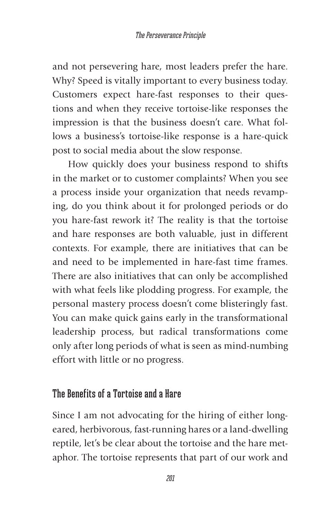and not persevering hare, most leaders prefer the hare. Why? Speed is vitally important to every business today. Customers expect hare-fast responses to their questions and when they receive tortoise-like responses the impression is that the business doesn't care. What follows a business's tortoise-like response is a hare-quick post to social media about the slow response.

How quickly does your business respond to shifts in the market or to customer complaints? When you see a process inside your organization that needs revamping, do you think about it for prolonged periods or do you hare-fast rework it? The reality is that the tortoise and hare responses are both valuable, just in different contexts. For example, there are initiatives that can be and need to be implemented in hare-fast time frames. There are also initiatives that can only be accomplished with what feels like plodding progress. For example, the personal mastery process doesn't come blisteringly fast. You can make quick gains early in the transformational leadership process, but radical transformations come only after long periods of what is seen as mind-numbing effort with little or no progress.

# **The Benefits of a Tortoise and a Hare**

Since I am not advocating for the hiring of either longeared, herbivorous, fast-running hares or a land-dwelling reptile, let's be clear about the tortoise and the hare metaphor. The tortoise represents that part of our work and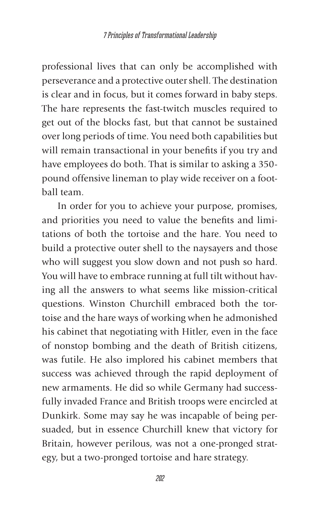professional lives that can only be accomplished with perseverance and a protective outer shell. The destination is clear and in focus, but it comes forward in baby steps. The hare represents the fast-twitch muscles required to get out of the blocks fast, but that cannot be sustained over long periods of time. You need both capabilities but will remain transactional in your benefits if you try and have employees do both. That is similar to asking a 350 pound offensive lineman to play wide receiver on a football team.

In order for you to achieve your purpose, promises, and priorities you need to value the benefits and limitations of both the tortoise and the hare. You need to build a protective outer shell to the naysayers and those who will suggest you slow down and not push so hard. You will have to embrace running at full tilt without having all the answers to what seems like mission-critical questions. Winston Churchill embraced both the tortoise and the hare ways of working when he admonished his cabinet that negotiating with Hitler, even in the face of nonstop bombing and the death of British citizens, was futile. He also implored his cabinet members that success was achieved through the rapid deployment of new armaments. He did so while Germany had successfully invaded France and British troops were encircled at Dunkirk. Some may say he was incapable of being persuaded, but in essence Churchill knew that victory for Britain, however perilous, was not a one-pronged strategy, but a two-pronged tortoise and hare strategy.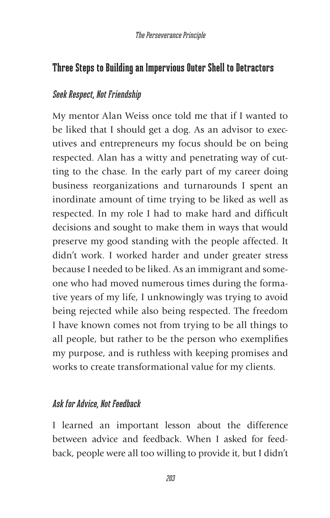# **Three Steps to Building an Impervious Outer Shell to Detractors**

# **Seek Respect, Not Friendship**

My mentor Alan Weiss once told me that if I wanted to be liked that I should get a dog. As an advisor to executives and entrepreneurs my focus should be on being respected. Alan has a witty and penetrating way of cutting to the chase. In the early part of my career doing business reorganizations and turnarounds I spent an inordinate amount of time trying to be liked as well as respected. In my role I had to make hard and difficult decisions and sought to make them in ways that would preserve my good standing with the people affected. It didn't work. I worked harder and under greater stress because I needed to be liked. As an immigrant and someone who had moved numerous times during the formative years of my life, I unknowingly was trying to avoid being rejected while also being respected. The freedom I have known comes not from trying to be all things to all people, but rather to be the person who exemplifies my purpose, and is ruthless with keeping promises and works to create transformational value for my clients.

# **Ask for Advice, Not Feedback**

I learned an important lesson about the difference between advice and feedback. When I asked for feedback, people were all too willing to provide it, but I didn't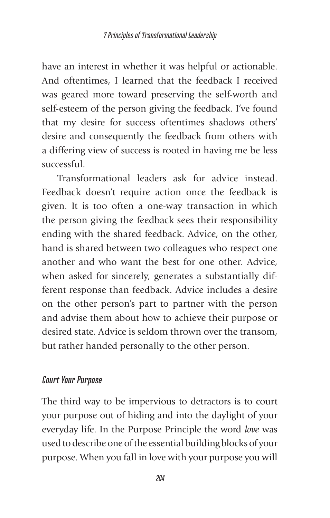have an interest in whether it was helpful or actionable. And oftentimes, I learned that the feedback I received was geared more toward preserving the self-worth and self-esteem of the person giving the feedback. I've found that my desire for success oftentimes shadows others' desire and consequently the feedback from others with a differing view of success is rooted in having me be less successful.

Transformational leaders ask for advice instead. Feedback doesn't require action once the feedback is given. It is too often a one-way transaction in which the person giving the feedback sees their responsibility ending with the shared feedback. Advice, on the other, hand is shared between two colleagues who respect one another and who want the best for one other. Advice, when asked for sincerely, generates a substantially different response than feedback. Advice includes a desire on the other person's part to partner with the person and advise them about how to achieve their purpose or desired state. Advice is seldom thrown over the transom, but rather handed personally to the other person.

#### **Court Your Purpose**

The third way to be impervious to detractors is to court your purpose out of hiding and into the daylight of your everyday life. In the Purpose Principle the word *love* was used to describe one of the essential building blocks of your purpose. When you fall in love with your purpose you will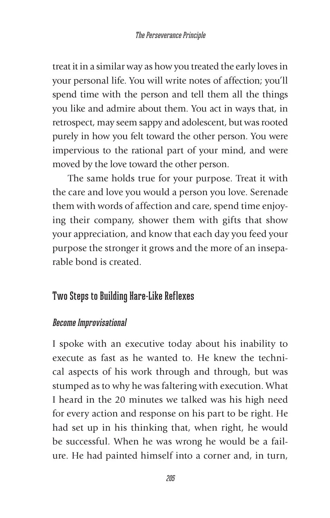treat it in a similar way as how you treated the early loves in your personal life. You will write notes of affection; you'll spend time with the person and tell them all the things you like and admire about them. You act in ways that, in retrospect, may seem sappy and adolescent, but was rooted purely in how you felt toward the other person. You were impervious to the rational part of your mind, and were moved by the love toward the other person.

The same holds true for your purpose. Treat it with the care and love you would a person you love. Serenade them with words of affection and care, spend time enjoying their company, shower them with gifts that show your appreciation, and know that each day you feed your purpose the stronger it grows and the more of an inseparable bond is created.

# **Two Steps to Building Hare-Like Reflexes**

#### **Become Improvisational**

I spoke with an executive today about his inability to execute as fast as he wanted to. He knew the technical aspects of his work through and through, but was stumped as to why he was faltering with execution. What I heard in the 20 minutes we talked was his high need for every action and response on his part to be right. He had set up in his thinking that, when right, he would be successful. When he was wrong he would be a failure. He had painted himself into a corner and, in turn,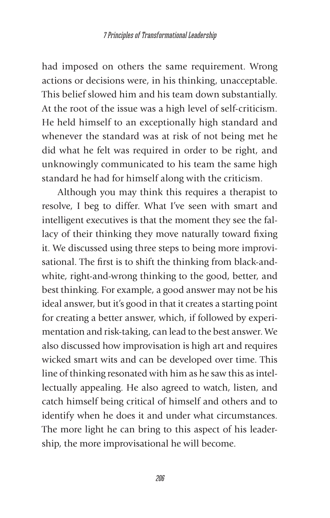had imposed on others the same requirement. Wrong actions or decisions were, in his thinking, unacceptable. This belief slowed him and his team down substantially. At the root of the issue was a high level of self-criticism. He held himself to an exceptionally high standard and whenever the standard was at risk of not being met he did what he felt was required in order to be right, and unknowingly communicated to his team the same high standard he had for himself along with the criticism.

Although you may think this requires a therapist to resolve, I beg to differ. What I've seen with smart and intelligent executives is that the moment they see the fallacy of their thinking they move naturally toward fixing it. We discussed using three steps to being more improvisational. The first is to shift the thinking from black-andwhite, right-and-wrong thinking to the good, better, and best thinking. For example, a good answer may not be his ideal answer, but it's good in that it creates a starting point for creating a better answer, which, if followed by experimentation and risk-taking, can lead to the best answer. We also discussed how improvisation is high art and requires wicked smart wits and can be developed over time. This line of thinking resonated with him as he saw this as intellectually appealing. He also agreed to watch, listen, and catch himself being critical of himself and others and to identify when he does it and under what circumstances. The more light he can bring to this aspect of his leadership, the more improvisational he will become.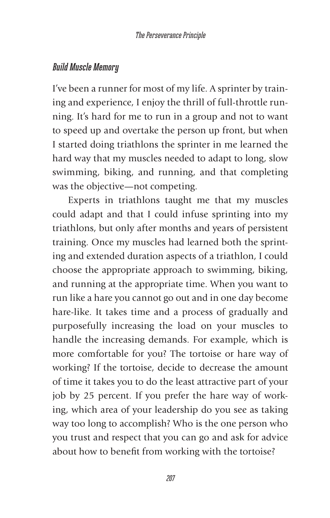## **Build Muscle Memory**

I've been a runner for most of my life. A sprinter by training and experience, I enjoy the thrill of full-throttle running. It's hard for me to run in a group and not to want to speed up and overtake the person up front, but when I started doing triathlons the sprinter in me learned the hard way that my muscles needed to adapt to long, slow swimming, biking, and running, and that completing was the objective—not competing.

Experts in triathlons taught me that my muscles could adapt and that I could infuse sprinting into my triathlons, but only after months and years of persistent training. Once my muscles had learned both the sprinting and extended duration aspects of a triathlon, I could choose the appropriate approach to swimming, biking, and running at the appropriate time. When you want to run like a hare you cannot go out and in one day become hare-like. It takes time and a process of gradually and purposefully increasing the load on your muscles to handle the increasing demands. For example, which is more comfortable for you? The tortoise or hare way of working? If the tortoise, decide to decrease the amount of time it takes you to do the least attractive part of your job by 25 percent. If you prefer the hare way of working, which area of your leadership do you see as taking way too long to accomplish? Who is the one person who you trust and respect that you can go and ask for advice about how to benefit from working with the tortoise?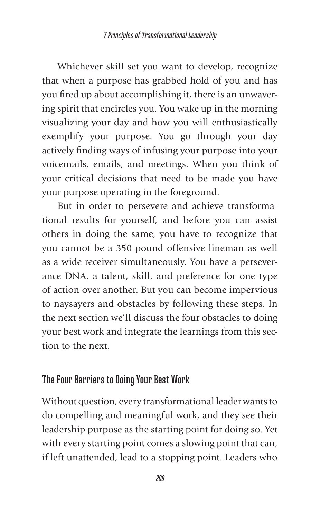Whichever skill set you want to develop, recognize that when a purpose has grabbed hold of you and has you fired up about accomplishing it, there is an unwavering spirit that encircles you. You wake up in the morning visualizing your day and how you will enthusiastically exemplify your purpose. You go through your day actively finding ways of infusing your purpose into your voicemails, emails, and meetings. When you think of your critical decisions that need to be made you have your purpose operating in the foreground.

But in order to persevere and achieve transformational results for yourself, and before you can assist others in doing the same, you have to recognize that you cannot be a 350-pound offensive lineman as well as a wide receiver simultaneously. You have a perseverance DNA, a talent, skill, and preference for one type of action over another. But you can become impervious to naysayers and obstacles by following these steps. In the next section we'll discuss the four obstacles to doing your best work and integrate the learnings from this section to the next.

# **The Four Barriers to Doing Your Best Work**

Without question, every transformational leader wants to do compelling and meaningful work, and they see their leadership purpose as the starting point for doing so. Yet with every starting point comes a slowing point that can, if left unattended, lead to a stopping point. Leaders who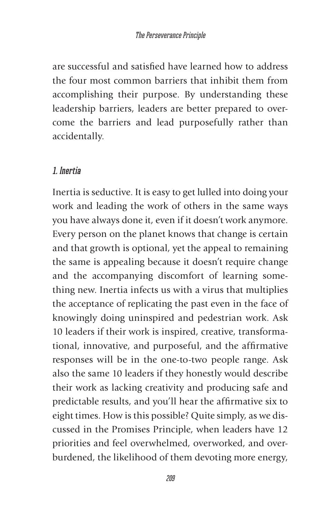are successful and satisfied have learned how to address the four most common barriers that inhibit them from accomplishing their purpose. By understanding these leadership barriers, leaders are better prepared to overcome the barriers and lead purposefully rather than accidentally.

#### **1. Inertia**

Inertia is seductive. It is easy to get lulled into doing your work and leading the work of others in the same ways you have always done it, even if it doesn't work anymore. Every person on the planet knows that change is certain and that growth is optional, yet the appeal to remaining the same is appealing because it doesn't require change and the accompanying discomfort of learning something new. Inertia infects us with a virus that multiplies the acceptance of replicating the past even in the face of knowingly doing uninspired and pedestrian work. Ask 10 leaders if their work is inspired, creative, transformational, innovative, and purposeful, and the affirmative responses will be in the one-to-two people range. Ask also the same 10 leaders if they honestly would describe their work as lacking creativity and producing safe and predictable results, and you'll hear the affirmative six to eight times. How is this possible? Quite simply, as we discussed in the Promises Principle, when leaders have 12 priorities and feel overwhelmed, overworked, and overburdened, the likelihood of them devoting more energy,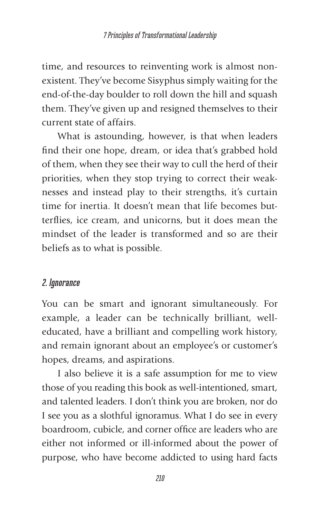time, and resources to reinventing work is almost nonexistent. They've become Sisyphus simply waiting for the end-of-the-day boulder to roll down the hill and squash them. They've given up and resigned themselves to their current state of affairs.

What is astounding, however, is that when leaders find their one hope, dream, or idea that's grabbed hold of them, when they see their way to cull the herd of their priorities, when they stop trying to correct their weaknesses and instead play to their strengths, it's curtain time for inertia. It doesn't mean that life becomes butterflies, ice cream, and unicorns, but it does mean the mindset of the leader is transformed and so are their beliefs as to what is possible.

#### **2. Ignorance**

You can be smart and ignorant simultaneously. For example, a leader can be technically brilliant, welleducated, have a brilliant and compelling work history, and remain ignorant about an employee's or customer's hopes, dreams, and aspirations.

I also believe it is a safe assumption for me to view those of you reading this book as well-intentioned, smart, and talented leaders. I don't think you are broken, nor do I see you as a slothful ignoramus. What I do see in every boardroom, cubicle, and corner office are leaders who are either not informed or ill-informed about the power of purpose, who have become addicted to using hard facts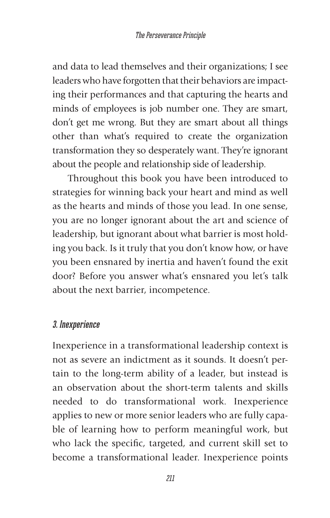and data to lead themselves and their organizations; I see leaders who have forgotten that their behaviors are impacting their performances and that capturing the hearts and minds of employees is job number one. They are smart, don't get me wrong. But they are smart about all things other than what's required to create the organization transformation they so desperately want. They're ignorant about the people and relationship side of leadership.

Throughout this book you have been introduced to strategies for winning back your heart and mind as well as the hearts and minds of those you lead. In one sense, you are no longer ignorant about the art and science of leadership, but ignorant about what barrier is most holding you back. Is it truly that you don't know how, or have you been ensnared by inertia and haven't found the exit door? Before you answer what's ensnared you let's talk about the next barrier, incompetence.

#### **3. Inexperience**

Inexperience in a transformational leadership context is not as severe an indictment as it sounds. It doesn't pertain to the long-term ability of a leader, but instead is an observation about the short-term talents and skills needed to do transformational work. Inexperience applies to new or more senior leaders who are fully capable of learning how to perform meaningful work, but who lack the specific, targeted, and current skill set to become a transformational leader. Inexperience points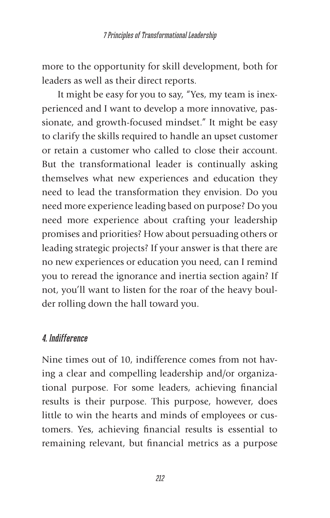more to the opportunity for skill development, both for leaders as well as their direct reports.

It might be easy for you to say, "Yes, my team is inexperienced and I want to develop a more innovative, passionate, and growth-focused mindset." It might be easy to clarify the skills required to handle an upset customer or retain a customer who called to close their account. But the transformational leader is continually asking themselves what new experiences and education they need to lead the transformation they envision. Do you need more experience leading based on purpose? Do you need more experience about crafting your leadership promises and priorities? How about persuading others or leading strategic projects? If your answer is that there are no new experiences or education you need, can I remind you to reread the ignorance and inertia section again? If not, you'll want to listen for the roar of the heavy boulder rolling down the hall toward you.

#### **4. Indifference**

Nine times out of 10, indifference comes from not having a clear and compelling leadership and/or organizational purpose. For some leaders, achieving financial results is their purpose. This purpose, however, does little to win the hearts and minds of employees or customers. Yes, achieving financial results is essential to remaining relevant, but financial metrics as a purpose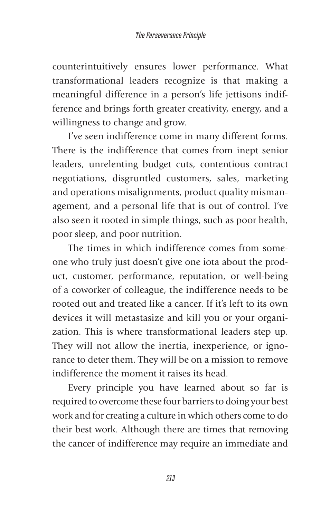counterintuitively ensures lower performance. What transformational leaders recognize is that making a meaningful difference in a person's life jettisons indifference and brings forth greater creativity, energy, and a willingness to change and grow.

I've seen indifference come in many different forms. There is the indifference that comes from inept senior leaders, unrelenting budget cuts, contentious contract negotiations, disgruntled customers, sales, marketing and operations misalignments, product quality mismanagement, and a personal life that is out of control. I've also seen it rooted in simple things, such as poor health, poor sleep, and poor nutrition.

The times in which indifference comes from someone who truly just doesn't give one iota about the product, customer, performance, reputation, or well-being of a coworker of colleague, the indifference needs to be rooted out and treated like a cancer. If it's left to its own devices it will metastasize and kill you or your organization. This is where transformational leaders step up. They will not allow the inertia, inexperience, or ignorance to deter them. They will be on a mission to remove indifference the moment it raises its head.

Every principle you have learned about so far is required to overcome these four barriers to doing your best work and for creating a culture in which others come to do their best work. Although there are times that removing the cancer of indifference may require an immediate and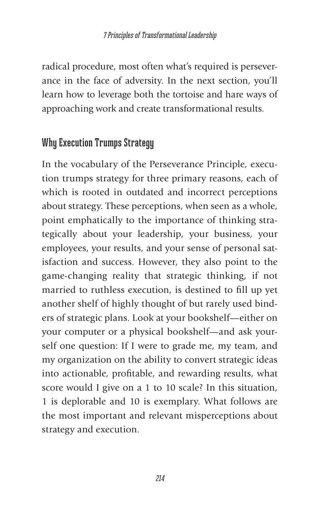radical procedure, most often what's required is perseverance in the face of adversity. In the next section, you'll learn how to leverage both the tortoise and hare ways of approaching work and create transformational results.

# **Why Execution Trumps Strategy**

In the vocabulary of the Perseverance Principle, execution trumps strategy for three primary reasons, each of which is rooted in outdated and incorrect perceptions about strategy. These perceptions, when seen as a whole, point emphatically to the importance of thinking strategically about your leadership, your business, your employees, your results, and your sense of personal satisfaction and success. However, they also point to the game-changing reality that strategic thinking, if not married to ruthless execution, is destined to fill up yet another shelf of highly thought of but rarely used binders of strategic plans. Look at your bookshelf—either on your computer or a physical bookshelf—and ask yourself one question: If I were to grade me, my team, and my organization on the ability to convert strategic ideas into actionable, profitable, and rewarding results, what score would I give on a 1 to 10 scale? In this situation, 1 is deplorable and 10 is exemplary. What follows are the most important and relevant misperceptions about strategy and execution.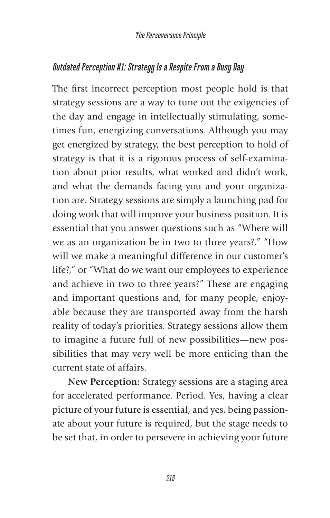# **Outdated Perception #1: Strategy Is a Respite From a Busy Day**

The first incorrect perception most people hold is that strategy sessions are a way to tune out the exigencies of the day and engage in intellectually stimulating, sometimes fun, energizing conversations. Although you may get energized by strategy, the best perception to hold of strategy is that it is a rigorous process of self-examination about prior results, what worked and didn't work, and what the demands facing you and your organization are. Strategy sessions are simply a launching pad for doing work that will improve your business position. It is essential that you answer questions such as "Where will we as an organization be in two to three years?," "How will we make a meaningful difference in our customer's life?," or "What do we want our employees to experience and achieve in two to three years?" These are engaging and important questions and, for many people, enjoyable because they are transported away from the harsh reality of today's priorities. Strategy sessions allow them to imagine a future full of new possibilities—new possibilities that may very well be more enticing than the current state of affairs.

**New Perception:** Strategy sessions are a staging area for accelerated performance. Period. Yes, having a clear picture of your future is essential, and yes, being passionate about your future is required, but the stage needs to be set that, in order to persevere in achieving your future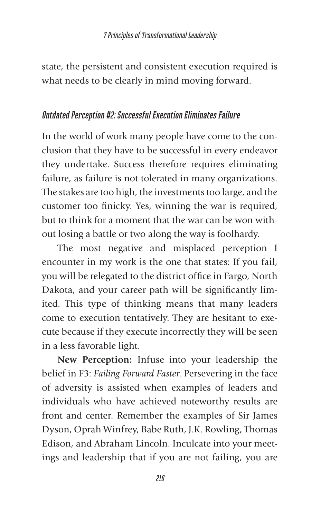state, the persistent and consistent execution required is what needs to be clearly in mind moving forward.

#### **Outdated Perception #2: Successful Execution Eliminates Failure**

In the world of work many people have come to the conclusion that they have to be successful in every endeavor they undertake. Success therefore requires eliminating failure, as failure is not tolerated in many organizations. The stakes are too high, the investments too large, and the customer too finicky. Yes, winning the war is required, but to think for a moment that the war can be won without losing a battle or two along the way is foolhardy.

The most negative and misplaced perception I encounter in my work is the one that states: If you fail, you will be relegated to the district office in Fargo, North Dakota, and your career path will be significantly limited. This type of thinking means that many leaders come to execution tentatively. They are hesitant to execute because if they execute incorrectly they will be seen in a less favorable light.

**New Perception:** Infuse into your leadership the belief in F3: *Failing Forward Faster*. Persevering in the face of adversity is assisted when examples of leaders and individuals who have achieved noteworthy results are front and center. Remember the examples of Sir James Dyson, Oprah Winfrey, Babe Ruth, J.K. Rowling, Thomas Edison, and Abraham Lincoln. Inculcate into your meetings and leadership that if you are not failing, you are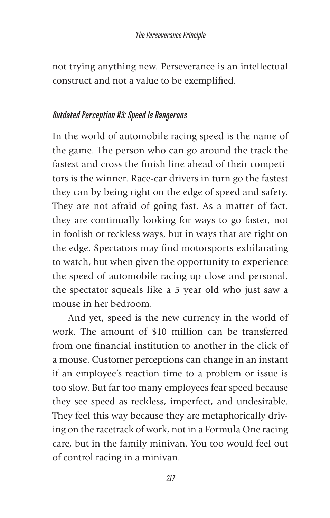not trying anything new. Perseverance is an intellectual construct and not a value to be exemplified.

#### **Outdated Perception #3: Speed Is Dangerous**

In the world of automobile racing speed is the name of the game. The person who can go around the track the fastest and cross the finish line ahead of their competitors is the winner. Race-car drivers in turn go the fastest they can by being right on the edge of speed and safety. They are not afraid of going fast. As a matter of fact, they are continually looking for ways to go faster, not in foolish or reckless ways, but in ways that are right on the edge. Spectators may find motorsports exhilarating to watch, but when given the opportunity to experience the speed of automobile racing up close and personal, the spectator squeals like a 5 year old who just saw a mouse in her bedroom.

And yet, speed is the new currency in the world of work. The amount of \$10 million can be transferred from one financial institution to another in the click of a mouse. Customer perceptions can change in an instant if an employee's reaction time to a problem or issue is too slow. But far too many employees fear speed because they see speed as reckless, imperfect, and undesirable. They feel this way because they are metaphorically driving on the racetrack of work, not in a Formula One racing care, but in the family minivan. You too would feel out of control racing in a minivan.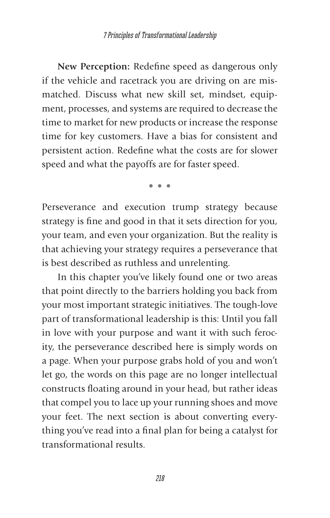**New Perception:** Redefine speed as dangerous only if the vehicle and racetrack you are driving on are mismatched. Discuss what new skill set, mindset, equipment, processes, and systems are required to decrease the time to market for new products or increase the response time for key customers. Have a bias for consistent and persistent action. Redefine what the costs are for slower speed and what the payoffs are for faster speed.

 $\sim$   $\sim$   $\sim$ 

Perseverance and execution trump strategy because strategy is fine and good in that it sets direction for you, your team, and even your organization. But the reality is that achieving your strategy requires a perseverance that is best described as ruthless and unrelenting.

In this chapter you've likely found one or two areas that point directly to the barriers holding you back from your most important strategic initiatives. The tough-love part of transformational leadership is this: Until you fall in love with your purpose and want it with such ferocity, the perseverance described here is simply words on a page. When your purpose grabs hold of you and won't let go, the words on this page are no longer intellectual constructs floating around in your head, but rather ideas that compel you to lace up your running shoes and move your feet. The next section is about converting everything you've read into a final plan for being a catalyst for transformational results.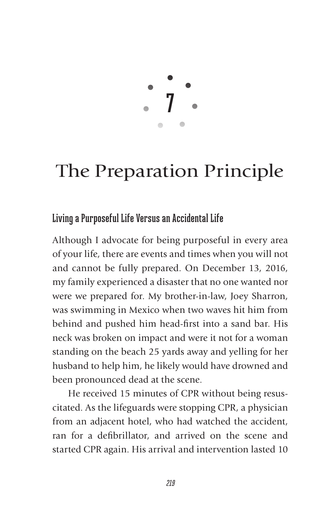**7**  $\blacksquare$ 

# The Preparation Principle

#### **Living a Purposeful Life Versus an Accidental Life**

Although I advocate for being purposeful in every area of your life, there are events and times when you will not and cannot be fully prepared. On December 13, 2016, my family experienced a disaster that no one wanted nor were we prepared for. My brother-in-law, Joey Sharron, was swimming in Mexico when two waves hit him from behind and pushed him head-first into a sand bar. His neck was broken on impact and were it not for a woman standing on the beach 25 yards away and yelling for her husband to help him, he likely would have drowned and been pronounced dead at the scene.

He received 15 minutes of CPR without being resuscitated. As the lifeguards were stopping CPR, a physician from an adjacent hotel, who had watched the accident, ran for a defibrillator, and arrived on the scene and started CPR again. His arrival and intervention lasted 10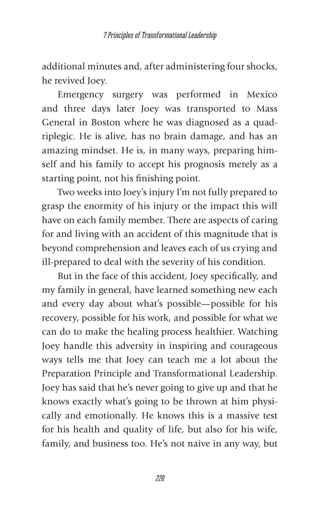additional minutes and, after administering four shocks, he revived Joey.

Emergency surgery was performed in Mexico and three days later Joey was transported to Mass General in Boston where he was diagnosed as a quadriplegic. He is alive, has no brain damage, and has an amazing mindset. He is, in many ways, preparing himself and his family to accept his prognosis merely as a starting point, not his finishing point.

Two weeks into Joey's injury I'm not fully prepared to grasp the enormity of his injury or the impact this will have on each family member. There are aspects of caring for and living with an accident of this magnitude that is beyond comprehension and leaves each of us crying and ill-prepared to deal with the severity of his condition.

But in the face of this accident, Joey specifically, and my family in general, have learned something new each and every day about what's possible—possible for his recovery, possible for his work, and possible for what we can do to make the healing process healthier. Watching Joey handle this adversity in inspiring and courageous ways tells me that Joey can teach me a lot about the Preparation Principle and Transformational Leadership. Joey has said that he's never going to give up and that he knows exactly what's going to be thrown at him physically and emotionally. He knows this is a massive test for his health and quality of life, but also for his wife, family, and business too. He's not naive in any way, but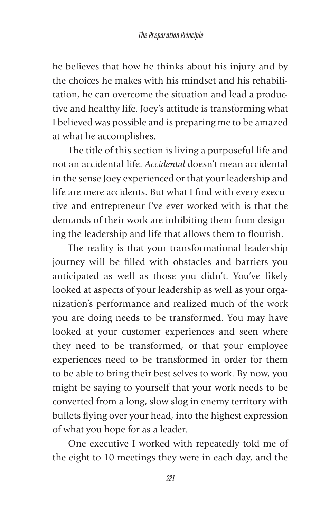he believes that how he thinks about his injury and by the choices he makes with his mindset and his rehabilitation, he can overcome the situation and lead a productive and healthy life. Joey's attitude is transforming what I believed was possible and is preparing me to be amazed at what he accomplishes.

The title of this section is living a purposeful life and not an accidental life. *Accidental* doesn't mean accidental in the sense Joey experienced or that your leadership and life are mere accidents. But what I find with every executive and entrepreneur I've ever worked with is that the demands of their work are inhibiting them from designing the leadership and life that allows them to flourish.

The reality is that your transformational leadership journey will be filled with obstacles and barriers you anticipated as well as those you didn't. You've likely looked at aspects of your leadership as well as your organization's performance and realized much of the work you are doing needs to be transformed. You may have looked at your customer experiences and seen where they need to be transformed, or that your employee experiences need to be transformed in order for them to be able to bring their best selves to work. By now, you might be saying to yourself that your work needs to be converted from a long, slow slog in enemy territory with bullets flying over your head, into the highest expression of what you hope for as a leader.

One executive I worked with repeatedly told me of the eight to 10 meetings they were in each day, and the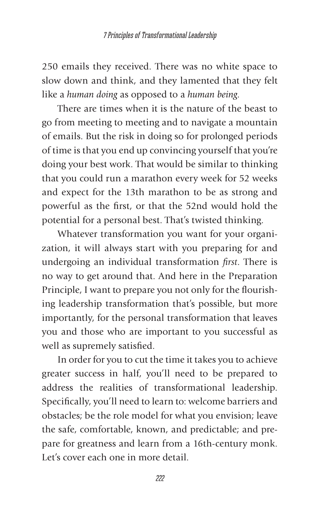250 emails they received. There was no white space to slow down and think, and they lamented that they felt like a *human doing* as opposed to a *human being*.

There are times when it is the nature of the beast to go from meeting to meeting and to navigate a mountain of emails. But the risk in doing so for prolonged periods of time is that you end up convincing yourself that you're doing your best work. That would be similar to thinking that you could run a marathon every week for 52 weeks and expect for the 13th marathon to be as strong and powerful as the first, or that the 52nd would hold the potential for a personal best. That's twisted thinking.

Whatever transformation you want for your organization, it will always start with you preparing for and undergoing an individual transformation *first*. There is no way to get around that. And here in the Preparation Principle, I want to prepare you not only for the flourishing leadership transformation that's possible, but more importantly, for the personal transformation that leaves you and those who are important to you successful as well as supremely satisfied.

In order for you to cut the time it takes you to achieve greater success in half, you'll need to be prepared to address the realities of transformational leadership. Specifically, you'll need to learn to: welcome barriers and obstacles; be the role model for what you envision; leave the safe, comfortable, known, and predictable; and prepare for greatness and learn from a 16th-century monk. Let's cover each one in more detail.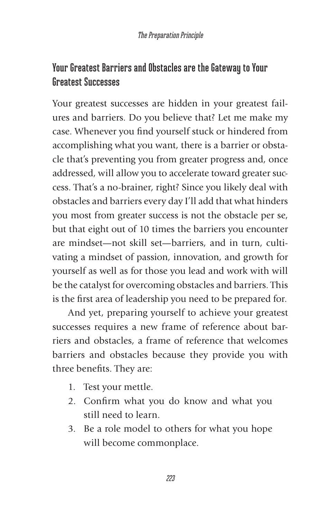### **Your Greatest Barriers and Obstacles are the Gateway to Your Greatest Successes**

Your greatest successes are hidden in your greatest failures and barriers. Do you believe that? Let me make my case. Whenever you find yourself stuck or hindered from accomplishing what you want, there is a barrier or obstacle that's preventing you from greater progress and, once addressed, will allow you to accelerate toward greater success. That's a no-brainer, right? Since you likely deal with obstacles and barriers every day I'll add that what hinders you most from greater success is not the obstacle per se, but that eight out of 10 times the barriers you encounter are mindset—not skill set—barriers, and in turn, cultivating a mindset of passion, innovation, and growth for yourself as well as for those you lead and work with will be the catalyst for overcoming obstacles and barriers. This is the first area of leadership you need to be prepared for.

And yet, preparing yourself to achieve your greatest successes requires a new frame of reference about barriers and obstacles, a frame of reference that welcomes barriers and obstacles because they provide you with three benefits. They are:

- 1. Test your mettle.
- 2. Confirm what you do know and what you still need to learn.
- 3. Be a role model to others for what you hope will become commonplace.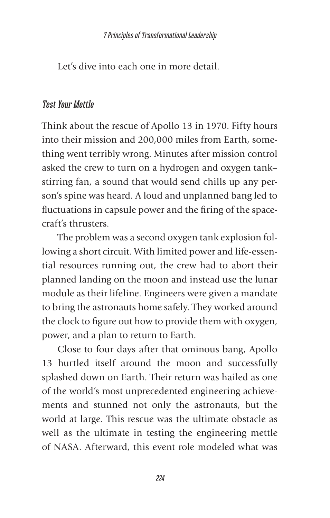Let's dive into each one in more detail.

#### **Test Your Mettle**

Think about the rescue of Apollo 13 in 1970. Fifty hours into their mission and 200,000 miles from Earth, something went terribly wrong. Minutes after mission control asked the crew to turn on a hydrogen and oxygen tank– stirring fan, a sound that would send chills up any person's spine was heard. A loud and unplanned bang led to fluctuations in capsule power and the firing of the spacecraft's thrusters.

The problem was a second oxygen tank explosion following a short circuit. With limited power and life-essential resources running out, the crew had to abort their planned landing on the moon and instead use the lunar module as their lifeline. Engineers were given a mandate to bring the astronauts home safely. They worked around the clock to figure out how to provide them with oxygen, power, and a plan to return to Earth.

Close to four days after that ominous bang, Apollo 13 hurtled itself around the moon and successfully splashed down on Earth. Their return was hailed as one of the world's most unprecedented engineering achievements and stunned not only the astronauts, but the world at large. This rescue was the ultimate obstacle as well as the ultimate in testing the engineering mettle of NASA. Afterward, this event role modeled what was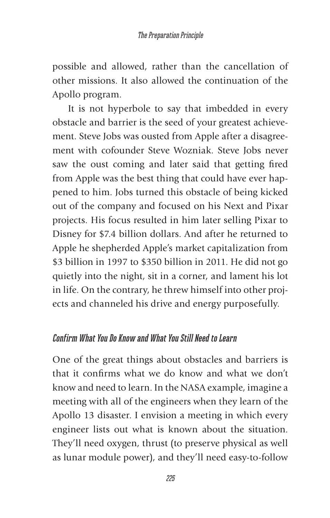possible and allowed, rather than the cancellation of other missions. It also allowed the continuation of the Apollo program.

It is not hyperbole to say that imbedded in every obstacle and barrier is the seed of your greatest achievement. Steve Jobs was ousted from Apple after a disagreement with cofounder Steve Wozniak. Steve Jobs never saw the oust coming and later said that getting fired from Apple was the best thing that could have ever happened to him. Jobs turned this obstacle of being kicked out of the company and focused on his Next and Pixar projects. His focus resulted in him later selling Pixar to Disney for \$7.4 billion dollars. And after he returned to Apple he shepherded Apple's market capitalization from \$3 billion in 1997 to \$350 billion in 2011. He did not go quietly into the night, sit in a corner, and lament his lot in life. On the contrary, he threw himself into other projects and channeled his drive and energy purposefully.

#### **Confirm What You Do Know and What You Still Need to Learn**

One of the great things about obstacles and barriers is that it confirms what we do know and what we don't know and need to learn. In the NASA example, imagine a meeting with all of the engineers when they learn of the Apollo 13 disaster. I envision a meeting in which every engineer lists out what is known about the situation. They'll need oxygen, thrust (to preserve physical as well as lunar module power), and they'll need easy-to-follow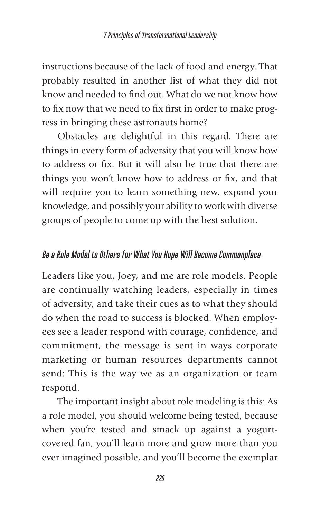instructions because of the lack of food and energy. That probably resulted in another list of what they did not know and needed to find out. What do we not know how to fix now that we need to fix first in order to make progress in bringing these astronauts home?

Obstacles are delightful in this regard. There are things in every form of adversity that you will know how to address or fix. But it will also be true that there are things you won't know how to address or fix, and that will require you to learn something new, expand your knowledge, and possibly your ability to work with diverse groups of people to come up with the best solution.

#### **Be a Role Model to Others for What You Hope Will Become Commonplace**

Leaders like you, Joey, and me are role models. People are continually watching leaders, especially in times of adversity, and take their cues as to what they should do when the road to success is blocked. When employees see a leader respond with courage, confidence, and commitment, the message is sent in ways corporate marketing or human resources departments cannot send: This is the way we as an organization or team respond.

The important insight about role modeling is this: As a role model, you should welcome being tested, because when you're tested and smack up against a yogurtcovered fan, you'll learn more and grow more than you ever imagined possible, and you'll become the exemplar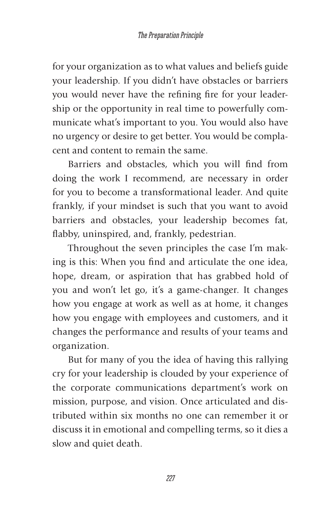for your organization as to what values and beliefs guide your leadership. If you didn't have obstacles or barriers you would never have the refining fire for your leadership or the opportunity in real time to powerfully communicate what's important to you. You would also have no urgency or desire to get better. You would be complacent and content to remain the same.

Barriers and obstacles, which you will find from doing the work I recommend, are necessary in order for you to become a transformational leader. And quite frankly, if your mindset is such that you want to avoid barriers and obstacles, your leadership becomes fat, flabby, uninspired, and, frankly, pedestrian.

Throughout the seven principles the case I'm making is this: When you find and articulate the one idea, hope, dream, or aspiration that has grabbed hold of you and won't let go, it's a game-changer. It changes how you engage at work as well as at home, it changes how you engage with employees and customers, and it changes the performance and results of your teams and organization.

But for many of you the idea of having this rallying cry for your leadership is clouded by your experience of the corporate communications department's work on mission, purpose, and vision. Once articulated and distributed within six months no one can remember it or discuss it in emotional and compelling terms, so it dies a slow and quiet death.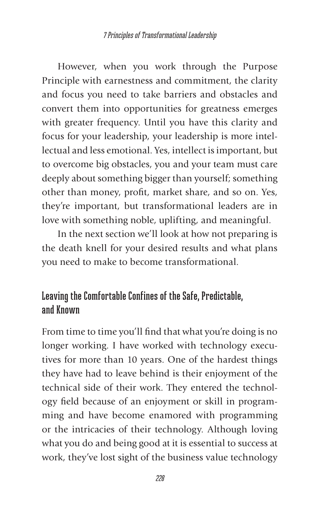However, when you work through the Purpose Principle with earnestness and commitment, the clarity and focus you need to take barriers and obstacles and convert them into opportunities for greatness emerges with greater frequency. Until you have this clarity and focus for your leadership, your leadership is more intellectual and less emotional. Yes, intellect is important, but to overcome big obstacles, you and your team must care deeply about something bigger than yourself; something other than money, profit, market share, and so on. Yes, they're important, but transformational leaders are in love with something noble, uplifting, and meaningful.

In the next section we'll look at how not preparing is the death knell for your desired results and what plans you need to make to become transformational.

### **Leaving the Comfortable Confines of the Safe, Predictable, and Known**

From time to time you'll find that what you're doing is no longer working. I have worked with technology executives for more than 10 years. One of the hardest things they have had to leave behind is their enjoyment of the technical side of their work. They entered the technology field because of an enjoyment or skill in programming and have become enamored with programming or the intricacies of their technology. Although loving what you do and being good at it is essential to success at work, they've lost sight of the business value technology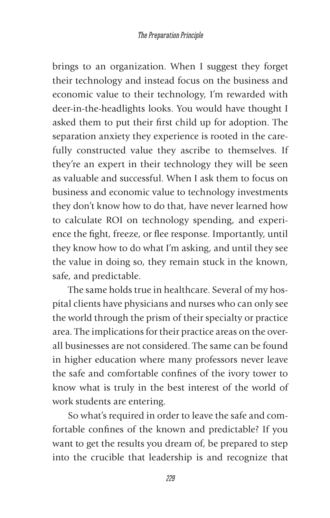brings to an organization. When I suggest they forget their technology and instead focus on the business and economic value to their technology, I'm rewarded with deer-in-the-headlights looks. You would have thought I asked them to put their first child up for adoption. The separation anxiety they experience is rooted in the carefully constructed value they ascribe to themselves. If they're an expert in their technology they will be seen as valuable and successful. When I ask them to focus on business and economic value to technology investments they don't know how to do that, have never learned how to calculate ROI on technology spending, and experience the fight, freeze, or flee response. Importantly, until they know how to do what I'm asking, and until they see the value in doing so, they remain stuck in the known, safe, and predictable.

The same holds true in healthcare. Several of my hospital clients have physicians and nurses who can only see the world through the prism of their specialty or practice area. The implications for their practice areas on the overall businesses are not considered. The same can be found in higher education where many professors never leave the safe and comfortable confines of the ivory tower to know what is truly in the best interest of the world of work students are entering.

So what's required in order to leave the safe and comfortable confines of the known and predictable? If you want to get the results you dream of, be prepared to step into the crucible that leadership is and recognize that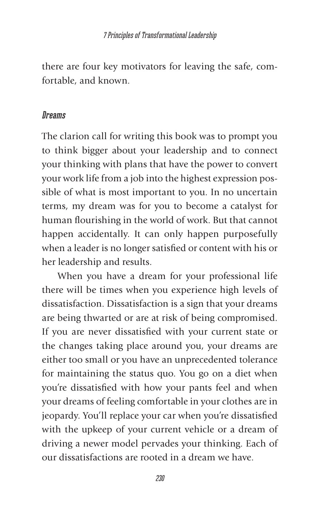there are four key motivators for leaving the safe, comfortable, and known.

#### **Dreams**

The clarion call for writing this book was to prompt you to think bigger about your leadership and to connect your thinking with plans that have the power to convert your work life from a job into the highest expression possible of what is most important to you. In no uncertain terms, my dream was for you to become a catalyst for human flourishing in the world of work. But that cannot happen accidentally. It can only happen purposefully when a leader is no longer satisfied or content with his or her leadership and results.

When you have a dream for your professional life there will be times when you experience high levels of dissatisfaction. Dissatisfaction is a sign that your dreams are being thwarted or are at risk of being compromised. If you are never dissatisfied with your current state or the changes taking place around you, your dreams are either too small or you have an unprecedented tolerance for maintaining the status quo. You go on a diet when you're dissatisfied with how your pants feel and when your dreams of feeling comfortable in your clothes are in jeopardy. You'll replace your car when you're dissatisfied with the upkeep of your current vehicle or a dream of driving a newer model pervades your thinking. Each of our dissatisfactions are rooted in a dream we have.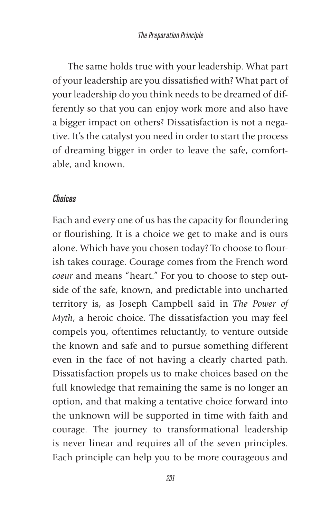The same holds true with your leadership. What part of your leadership are you dissatisfied with? What part of your leadership do you think needs to be dreamed of differently so that you can enjoy work more and also have a bigger impact on others? Dissatisfaction is not a negative. It's the catalyst you need in order to start the process of dreaming bigger in order to leave the safe, comfortable, and known.

#### **Choices**

Each and every one of us has the capacity for floundering or flourishing. It is a choice we get to make and is ours alone. Which have you chosen today? To choose to flourish takes courage. Courage comes from the French word *coeur* and means "heart." For you to choose to step outside of the safe, known, and predictable into uncharted territory is, as Joseph Campbell said in *The Power of Myth*, a heroic choice. The dissatisfaction you may feel compels you, oftentimes reluctantly, to venture outside the known and safe and to pursue something different even in the face of not having a clearly charted path. Dissatisfaction propels us to make choices based on the full knowledge that remaining the same is no longer an option, and that making a tentative choice forward into the unknown will be supported in time with faith and courage. The journey to transformational leadership is never linear and requires all of the seven principles. Each principle can help you to be more courageous and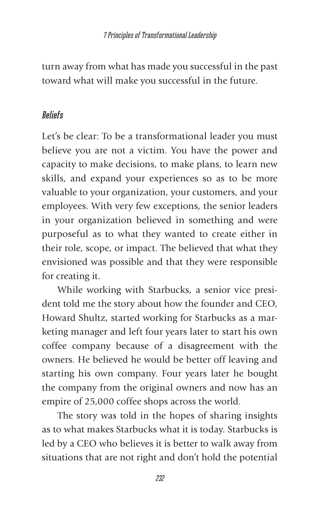turn away from what has made you successful in the past toward what will make you successful in the future.

#### **Beliefs**

Let's be clear: To be a transformational leader you must believe you are not a victim. You have the power and capacity to make decisions, to make plans, to learn new skills, and expand your experiences so as to be more valuable to your organization, your customers, and your employees. With very few exceptions, the senior leaders in your organization believed in something and were purposeful as to what they wanted to create either in their role, scope, or impact. The believed that what they envisioned was possible and that they were responsible for creating it.

While working with Starbucks, a senior vice president told me the story about how the founder and CEO, Howard Shultz, started working for Starbucks as a marketing manager and left four years later to start his own coffee company because of a disagreement with the owners. He believed he would be better off leaving and starting his own company. Four years later he bought the company from the original owners and now has an empire of 25,000 coffee shops across the world.

The story was told in the hopes of sharing insights as to what makes Starbucks what it is today. Starbucks is led by a CEO who believes it is better to walk away from situations that are not right and don't hold the potential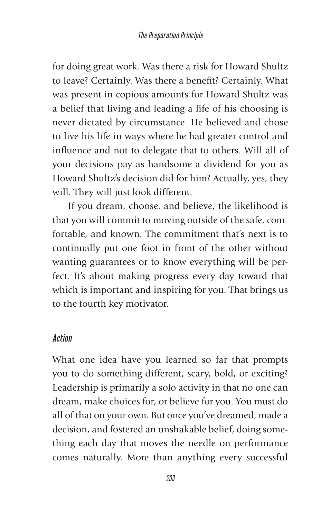for doing great work. Was there a risk for Howard Shultz to leave? Certainly. Was there a benefit? Certainly. What was present in copious amounts for Howard Shultz was a belief that living and leading a life of his choosing is never dictated by circumstance. He believed and chose to live his life in ways where he had greater control and influence and not to delegate that to others. Will all of your decisions pay as handsome a dividend for you as Howard Shultz's decision did for him? Actually, yes, they will. They will just look different.

If you dream, choose, and believe, the likelihood is that you will commit to moving outside of the safe, comfortable, and known. The commitment that's next is to continually put one foot in front of the other without wanting guarantees or to know everything will be perfect. It's about making progress every day toward that which is important and inspiring for you. That brings us to the fourth key motivator.

#### **Action**

What one idea have you learned so far that prompts you to do something different, scary, bold, or exciting? Leadership is primarily a solo activity in that no one can dream, make choices for, or believe for you. You must do all of that on your own. But once you've dreamed, made a decision, and fostered an unshakable belief, doing something each day that moves the needle on performance comes naturally. More than anything every successful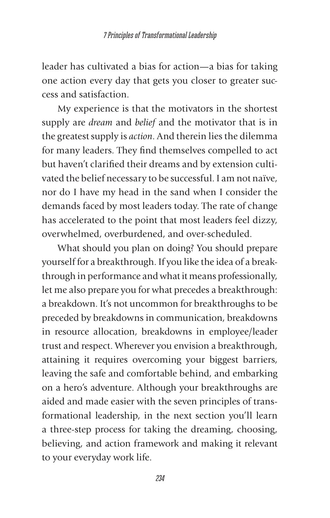leader has cultivated a bias for action—a bias for taking one action every day that gets you closer to greater success and satisfaction.

My experience is that the motivators in the shortest supply are *dream* and *belief* and the motivator that is in the greatest supply is *action*. And therein lies the dilemma for many leaders. They find themselves compelled to act but haven't clarified their dreams and by extension cultivated the belief necessary to be successful. I am not naïve, nor do I have my head in the sand when I consider the demands faced by most leaders today. The rate of change has accelerated to the point that most leaders feel dizzy, overwhelmed, overburdened, and over-scheduled.

What should you plan on doing? You should prepare yourself for a breakthrough. If you like the idea of a breakthrough in performance and what it means professionally, let me also prepare you for what precedes a breakthrough: a breakdown. It's not uncommon for breakthroughs to be preceded by breakdowns in communication, breakdowns in resource allocation, breakdowns in employee/leader trust and respect. Wherever you envision a breakthrough, attaining it requires overcoming your biggest barriers, leaving the safe and comfortable behind, and embarking on a hero's adventure. Although your breakthroughs are aided and made easier with the seven principles of transformational leadership, in the next section you'll learn a three-step process for taking the dreaming, choosing, believing, and action framework and making it relevant to your everyday work life.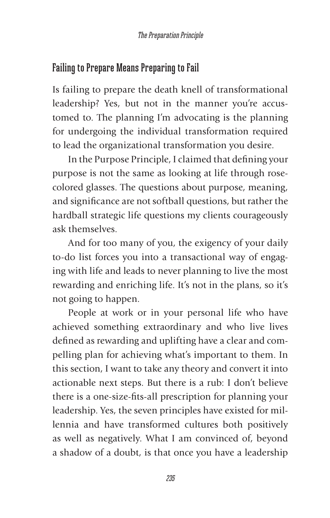### **Failing to Prepare Means Preparing to Fail**

Is failing to prepare the death knell of transformational leadership? Yes, but not in the manner you're accustomed to. The planning I'm advocating is the planning for undergoing the individual transformation required to lead the organizational transformation you desire.

In the Purpose Principle, I claimed that defining your purpose is not the same as looking at life through rosecolored glasses. The questions about purpose, meaning, and significance are not softball questions, but rather the hardball strategic life questions my clients courageously ask themselves.

And for too many of you, the exigency of your daily to-do list forces you into a transactional way of engaging with life and leads to never planning to live the most rewarding and enriching life. It's not in the plans, so it's not going to happen.

People at work or in your personal life who have achieved something extraordinary and who live lives defined as rewarding and uplifting have a clear and compelling plan for achieving what's important to them. In this section, I want to take any theory and convert it into actionable next steps. But there is a rub: I don't believe there is a one-size-fits-all prescription for planning your leadership. Yes, the seven principles have existed for millennia and have transformed cultures both positively as well as negatively. What I am convinced of, beyond a shadow of a doubt, is that once you have a leadership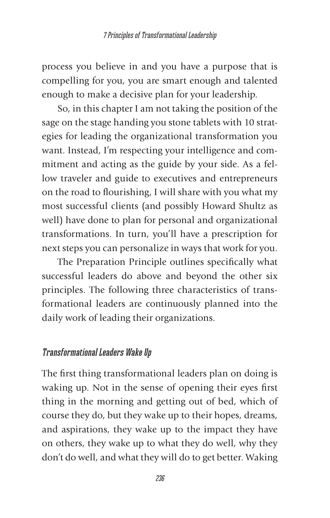process you believe in and you have a purpose that is compelling for you, you are smart enough and talented enough to make a decisive plan for your leadership.

So, in this chapter I am not taking the position of the sage on the stage handing you stone tablets with 10 strategies for leading the organizational transformation you want. Instead, I'm respecting your intelligence and commitment and acting as the guide by your side. As a fellow traveler and guide to executives and entrepreneurs on the road to flourishing, I will share with you what my most successful clients (and possibly Howard Shultz as well) have done to plan for personal and organizational transformations. In turn, you'll have a prescription for next steps you can personalize in ways that work for you.

The Preparation Principle outlines specifically what successful leaders do above and beyond the other six principles. The following three characteristics of transformational leaders are continuously planned into the daily work of leading their organizations.

#### **Transformational Leaders Wake Up**

The first thing transformational leaders plan on doing is waking up. Not in the sense of opening their eyes first thing in the morning and getting out of bed, which of course they do, but they wake up to their hopes, dreams, and aspirations, they wake up to the impact they have on others, they wake up to what they do well, why they don't do well, and what they will do to get better. Waking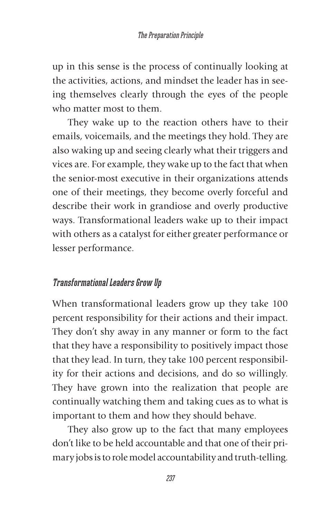up in this sense is the process of continually looking at the activities, actions, and mindset the leader has in seeing themselves clearly through the eyes of the people who matter most to them.

They wake up to the reaction others have to their emails, voicemails, and the meetings they hold. They are also waking up and seeing clearly what their triggers and vices are. For example, they wake up to the fact that when the senior-most executive in their organizations attends one of their meetings, they become overly forceful and describe their work in grandiose and overly productive ways. Transformational leaders wake up to their impact with others as a catalyst for either greater performance or lesser performance.

#### **Transformational Leaders Grow Up**

When transformational leaders grow up they take 100 percent responsibility for their actions and their impact. They don't shy away in any manner or form to the fact that they have a responsibility to positively impact those that they lead. In turn, they take 100 percent responsibility for their actions and decisions, and do so willingly. They have grown into the realization that people are continually watching them and taking cues as to what is important to them and how they should behave.

They also grow up to the fact that many employees don't like to be held accountable and that one of their primary jobs is to role model accountability and truth-telling.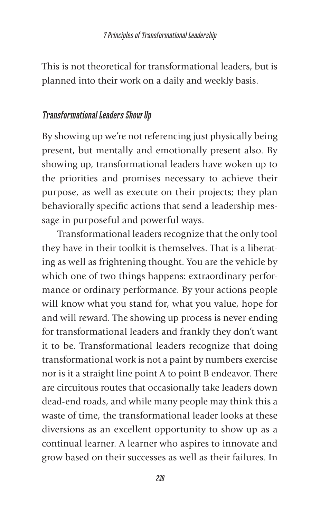This is not theoretical for transformational leaders, but is planned into their work on a daily and weekly basis.

#### **Transformational Leaders Show Up**

By showing up we're not referencing just physically being present, but mentally and emotionally present also. By showing up, transformational leaders have woken up to the priorities and promises necessary to achieve their purpose, as well as execute on their projects; they plan behaviorally specific actions that send a leadership message in purposeful and powerful ways.

Transformational leaders recognize that the only tool they have in their toolkit is themselves. That is a liberating as well as frightening thought. You are the vehicle by which one of two things happens: extraordinary performance or ordinary performance. By your actions people will know what you stand for, what you value, hope for and will reward. The showing up process is never ending for transformational leaders and frankly they don't want it to be. Transformational leaders recognize that doing transformational work is not a paint by numbers exercise nor is it a straight line point A to point B endeavor. There are circuitous routes that occasionally take leaders down dead-end roads, and while many people may think this a waste of time, the transformational leader looks at these diversions as an excellent opportunity to show up as a continual learner. A learner who aspires to innovate and grow based on their successes as well as their failures. In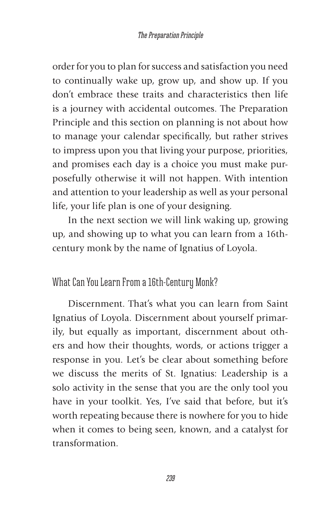order for you to plan for success and satisfaction you need to continually wake up, grow up, and show up. If you don't embrace these traits and characteristics then life is a journey with accidental outcomes. The Preparation Principle and this section on planning is not about how to manage your calendar specifically, but rather strives to impress upon you that living your purpose, priorities, and promises each day is a choice you must make purposefully otherwise it will not happen. With intention and attention to your leadership as well as your personal life, your life plan is one of your designing.

In the next section we will link waking up, growing up, and showing up to what you can learn from a 16thcentury monk by the name of Ignatius of Loyola.

What Can You Learn From a 16th-Century Monk?

Discernment. That's what you can learn from Saint Ignatius of Loyola. Discernment about yourself primarily, but equally as important, discernment about others and how their thoughts, words, or actions trigger a response in you. Let's be clear about something before we discuss the merits of St. Ignatius: Leadership is a solo activity in the sense that you are the only tool you have in your toolkit. Yes, I've said that before, but it's worth repeating because there is nowhere for you to hide when it comes to being seen, known, and a catalyst for transformation.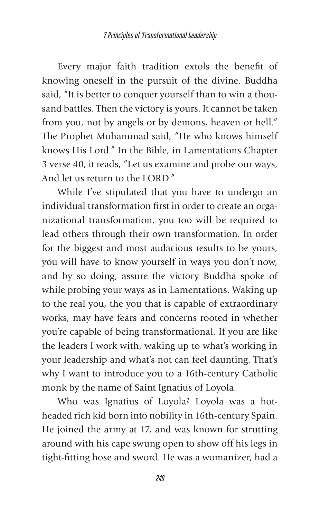Every major faith tradition extols the benefit of knowing oneself in the pursuit of the divine. Buddha said, "It is better to conquer yourself than to win a thousand battles. Then the victory is yours. It cannot be taken from you, not by angels or by demons, heaven or hell." The Prophet Muhammad said, "He who knows himself knows His Lord." In the Bible, in Lamentations Chapter 3 verse 40, it reads, "Let us examine and probe our ways, And let us return to the LORD."

While I've stipulated that you have to undergo an individual transformation first in order to create an organizational transformation, you too will be required to lead others through their own transformation. In order for the biggest and most audacious results to be yours, you will have to know yourself in ways you don't now, and by so doing, assure the victory Buddha spoke of while probing your ways as in Lamentations. Waking up to the real you, the you that is capable of extraordinary works, may have fears and concerns rooted in whether you're capable of being transformational. If you are like the leaders I work with, waking up to what's working in your leadership and what's not can feel daunting. That's why I want to introduce you to a 16th-century Catholic monk by the name of Saint Ignatius of Loyola.

Who was Ignatius of Loyola? Loyola was a hotheaded rich kid born into nobility in 16th-century Spain. He joined the army at 17, and was known for strutting around with his cape swung open to show off his legs in tight-fitting hose and sword. He was a womanizer, had a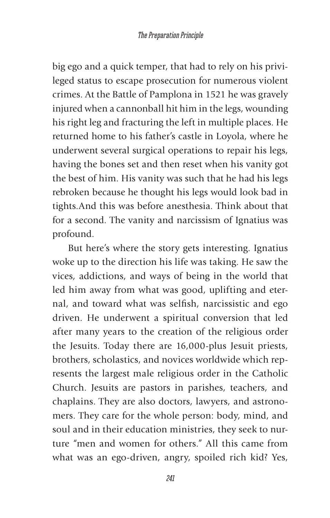big ego and a quick temper, that had to rely on his privileged status to escape prosecution for numerous violent crimes. At the Battle of Pamplona in 1521 he was gravely injured when a cannonball hit him in the legs, wounding his right leg and fracturing the left in multiple places. He returned home to his father's castle in Loyola, where he underwent several surgical operations to repair his legs, having the bones set and then reset when his vanity got the best of him. His vanity was such that he had his legs rebroken because he thought his legs would look bad in tights.And this was before anesthesia. Think about that for a second. The vanity and narcissism of Ignatius was profound.

But here's where the story gets interesting. Ignatius woke up to the direction his life was taking. He saw the vices, addictions, and ways of being in the world that led him away from what was good, uplifting and eternal, and toward what was selfish, narcissistic and ego driven. He underwent a spiritual conversion that led after many years to the creation of the religious order the Jesuits. Today there are 16,000-plus Jesuit priests, brothers, scholastics, and novices worldwide which represents the largest male religious order in the Catholic Church. Jesuits are pastors in parishes, teachers, and chaplains. They are also doctors, lawyers, and astronomers. They care for the whole person: body, mind, and soul and in their education ministries, they seek to nurture "men and women for others." All this came from what was an ego-driven, angry, spoiled rich kid? Yes,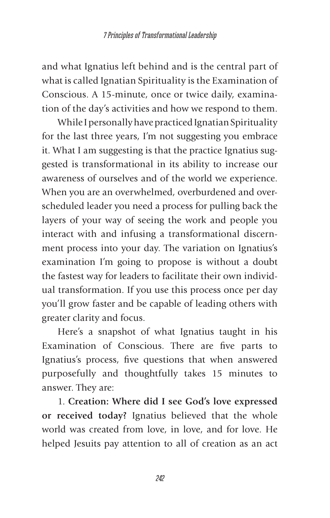and what Ignatius left behind and is the central part of what is called Ignatian Spirituality is the Examination of Conscious. A 15-minute, once or twice daily, examination of the day's activities and how we respond to them.

While I personally have practiced Ignatian Spirituality for the last three years, I'm not suggesting you embrace it. What I am suggesting is that the practice Ignatius suggested is transformational in its ability to increase our awareness of ourselves and of the world we experience. When you are an overwhelmed, overburdened and overscheduled leader you need a process for pulling back the layers of your way of seeing the work and people you interact with and infusing a transformational discernment process into your day. The variation on Ignatius's examination I'm going to propose is without a doubt the fastest way for leaders to facilitate their own individual transformation. If you use this process once per day you'll grow faster and be capable of leading others with greater clarity and focus.

Here's a snapshot of what Ignatius taught in his Examination of Conscious. There are five parts to Ignatius's process, five questions that when answered purposefully and thoughtfully takes 15 minutes to answer. They are:

1. **Creation: Where did I see God's love expressed or received today?** Ignatius believed that the whole world was created from love, in love, and for love. He helped Jesuits pay attention to all of creation as an act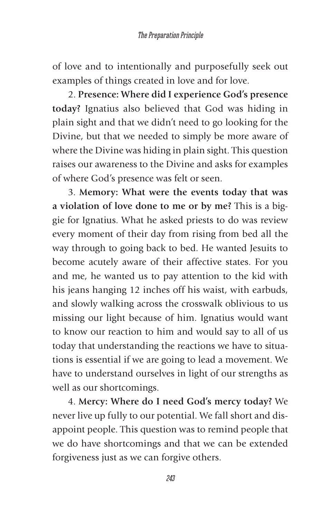of love and to intentionally and purposefully seek out examples of things created in love and for love.

2. **Presence: Where did I experience God's presence today?** Ignatius also believed that God was hiding in plain sight and that we didn't need to go looking for the Divine, but that we needed to simply be more aware of where the Divine was hiding in plain sight. This question raises our awareness to the Divine and asks for examples of where God's presence was felt or seen.

3. **Memory: What were the events today that was a violation of love done to me or by me?** This is a biggie for Ignatius. What he asked priests to do was review every moment of their day from rising from bed all the way through to going back to bed. He wanted Jesuits to become acutely aware of their affective states. For you and me, he wanted us to pay attention to the kid with his jeans hanging 12 inches off his waist, with earbuds, and slowly walking across the crosswalk oblivious to us missing our light because of him. Ignatius would want to know our reaction to him and would say to all of us today that understanding the reactions we have to situations is essential if we are going to lead a movement. We have to understand ourselves in light of our strengths as well as our shortcomings.

4. **Mercy: Where do I need God's mercy today?** We never live up fully to our potential. We fall short and disappoint people. This question was to remind people that we do have shortcomings and that we can be extended forgiveness just as we can forgive others.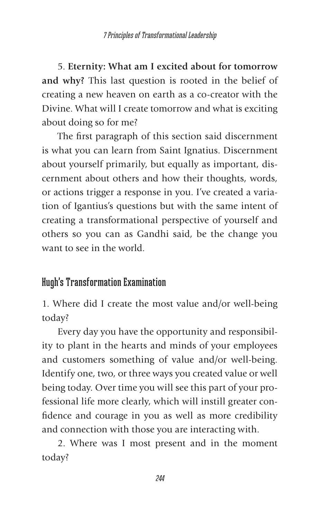5. **Eternity: What am I excited about for tomorrow and why?** This last question is rooted in the belief of creating a new heaven on earth as a co-creator with the Divine. What will I create tomorrow and what is exciting about doing so for me?

The first paragraph of this section said discernment is what you can learn from Saint Ignatius. Discernment about yourself primarily, but equally as important, discernment about others and how their thoughts, words, or actions trigger a response in you. I've created a variation of Igantius's questions but with the same intent of creating a transformational perspective of yourself and others so you can as Gandhi said, be the change you want to see in the world.

#### **Hugh's Transformation Examination**

1. Where did I create the most value and/or well-being today?

Every day you have the opportunity and responsibility to plant in the hearts and minds of your employees and customers something of value and/or well-being. Identify one, two, or three ways you created value or well being today. Over time you will see this part of your professional life more clearly, which will instill greater confidence and courage in you as well as more credibility and connection with those you are interacting with.

2. Where was I most present and in the moment today?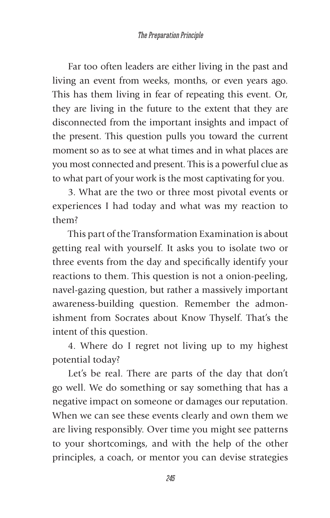Far too often leaders are either living in the past and living an event from weeks, months, or even years ago. This has them living in fear of repeating this event. Or, they are living in the future to the extent that they are disconnected from the important insights and impact of the present. This question pulls you toward the current moment so as to see at what times and in what places are you most connected and present. This is a powerful clue as to what part of your work is the most captivating for you.

3. What are the two or three most pivotal events or experiences I had today and what was my reaction to them?

This part of the Transformation Examination is about getting real with yourself. It asks you to isolate two or three events from the day and specifically identify your reactions to them. This question is not a onion-peeling, navel-gazing question, but rather a massively important awareness-building question. Remember the admonishment from Socrates about Know Thyself. That's the intent of this question.

4. Where do I regret not living up to my highest potential today?

Let's be real. There are parts of the day that don't go well. We do something or say something that has a negative impact on someone or damages our reputation. When we can see these events clearly and own them we are living responsibly. Over time you might see patterns to your shortcomings, and with the help of the other principles, a coach, or mentor you can devise strategies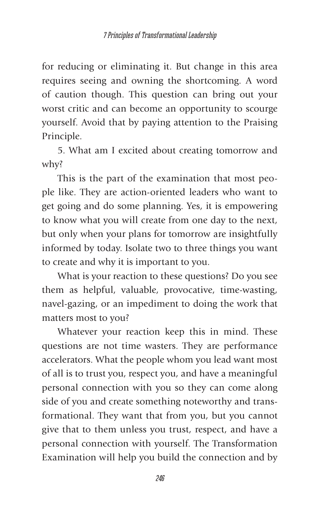for reducing or eliminating it. But change in this area requires seeing and owning the shortcoming. A word of caution though. This question can bring out your worst critic and can become an opportunity to scourge yourself. Avoid that by paying attention to the Praising Principle.

5. What am I excited about creating tomorrow and why?

This is the part of the examination that most people like. They are action-oriented leaders who want to get going and do some planning. Yes, it is empowering to know what you will create from one day to the next, but only when your plans for tomorrow are insightfully informed by today. Isolate two to three things you want to create and why it is important to you.

What is your reaction to these questions? Do you see them as helpful, valuable, provocative, time-wasting, navel-gazing, or an impediment to doing the work that matters most to you?

Whatever your reaction keep this in mind. These questions are not time wasters. They are performance accelerators. What the people whom you lead want most of all is to trust you, respect you, and have a meaningful personal connection with you so they can come along side of you and create something noteworthy and transformational. They want that from you, but you cannot give that to them unless you trust, respect, and have a personal connection with yourself. The Transformation Examination will help you build the connection and by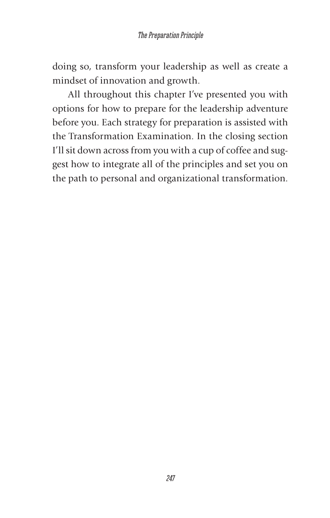doing so, transform your leadership as well as create a mindset of innovation and growth.

All throughout this chapter I've presented you with options for how to prepare for the leadership adventure before you. Each strategy for preparation is assisted with the Transformation Examination. In the closing section I'll sit down across from you with a cup of coffee and suggest how to integrate all of the principles and set you on the path to personal and organizational transformation.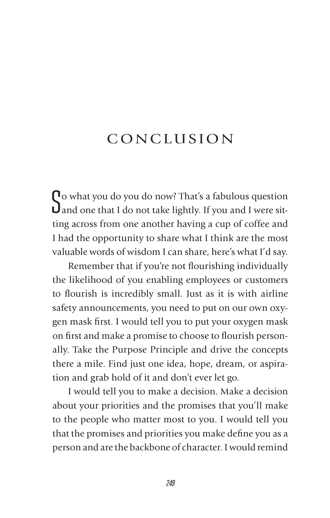## CONCLUSION

**S** To what you do you do now? That's a fabulous question  $\int$  and one that I do not take lightly. If you and I were sit- $\bigcap$  what you do you do now? That's a fabulous question ting across from one another having a cup of coffee and I had the opportunity to share what I think are the most valuable words of wisdom I can share, here's what I'd say.

Remember that if you're not flourishing individually the likelihood of you enabling employees or customers to flourish is incredibly small. Just as it is with airline safety announcements, you need to put on our own oxygen mask first. I would tell you to put your oxygen mask on first and make a promise to choose to flourish personally. Take the Purpose Principle and drive the concepts there a mile. Find just one idea, hope, dream, or aspiration and grab hold of it and don't ever let go.

I would tell you to make a decision. Make a decision about your priorities and the promises that you'll make to the people who matter most to you. I would tell you that the promises and priorities you make define you as a person and are the backbone of character. I would remind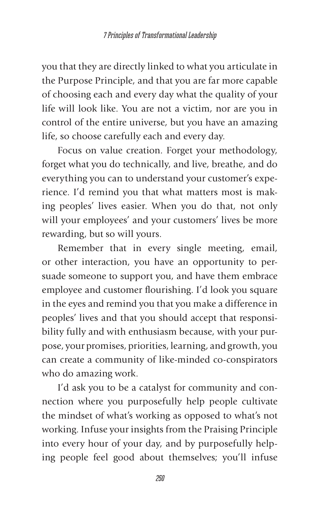you that they are directly linked to what you articulate in the Purpose Principle, and that you are far more capable of choosing each and every day what the quality of your life will look like. You are not a victim, nor are you in control of the entire universe, but you have an amazing life, so choose carefully each and every day.

Focus on value creation. Forget your methodology, forget what you do technically, and live, breathe, and do everything you can to understand your customer's experience. I'd remind you that what matters most is making peoples' lives easier. When you do that, not only will your employees' and your customers' lives be more rewarding, but so will yours.

Remember that in every single meeting, email, or other interaction, you have an opportunity to persuade someone to support you, and have them embrace employee and customer flourishing. I'd look you square in the eyes and remind you that you make a difference in peoples' lives and that you should accept that responsibility fully and with enthusiasm because, with your purpose, your promises, priorities, learning, and growth, you can create a community of like-minded co-conspirators who do amazing work.

I'd ask you to be a catalyst for community and connection where you purposefully help people cultivate the mindset of what's working as opposed to what's not working. Infuse your insights from the Praising Principle into every hour of your day, and by purposefully helping people feel good about themselves; you'll infuse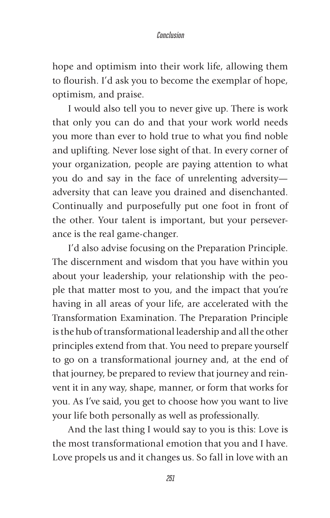#### Conclusion

hope and optimism into their work life, allowing them to flourish. I'd ask you to become the exemplar of hope, optimism, and praise.

I would also tell you to never give up. There is work that only you can do and that your work world needs you more than ever to hold true to what you find noble and uplifting. Never lose sight of that. In every corner of your organization, people are paying attention to what you do and say in the face of unrelenting adversity adversity that can leave you drained and disenchanted. Continually and purposefully put one foot in front of the other. Your talent is important, but your perseverance is the real game-changer.

I'd also advise focusing on the Preparation Principle. The discernment and wisdom that you have within you about your leadership, your relationship with the people that matter most to you, and the impact that you're having in all areas of your life, are accelerated with the Transformation Examination. The Preparation Principle is the hub of transformational leadership and all the other principles extend from that. You need to prepare yourself to go on a transformational journey and, at the end of that journey, be prepared to review that journey and reinvent it in any way, shape, manner, or form that works for you. As I've said, you get to choose how you want to live your life both personally as well as professionally.

And the last thing I would say to you is this: Love is the most transformational emotion that you and I have. Love propels us and it changes us. So fall in love with an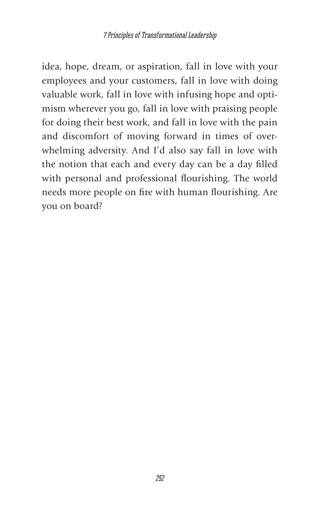idea, hope, dream, or aspiration, fall in love with your employees and your customers, fall in love with doing valuable work, fall in love with infusing hope and optimism wherever you go, fall in love with praising people for doing their best work, and fall in love with the pain and discomfort of moving forward in times of overwhelming adversity. And I'd also say fall in love with the notion that each and every day can be a day filled with personal and professional flourishing. The world needs more people on fire with human flourishing. Are you on board?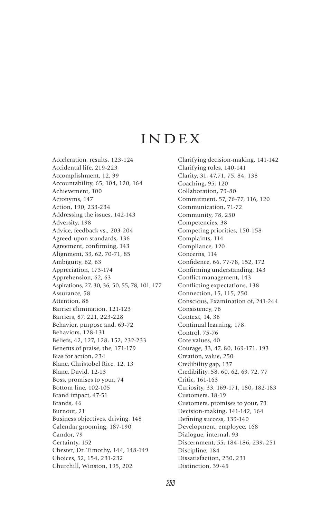## INDEX

Acceleration, results, 123-124 Accidental life, 219-223 Accomplishment, 12, 99 Accountability, 65, 104, 120, 164 Achievement, 100 Acronyms, 147 Action, 190, 233-234 Addressing the issues, 142-143 Adversity, 198 Advice, feedback vs., 203-204 Agreed-upon standards, 136 Agreement, confirming, 143 Alignment, 39, 62, 70-71, 85 Ambiguity, 62, 63 Appreciation, 173-174 Apprehension, 62, 63 Aspirations, 27, 30, 36, 50, 55, 78, 101, 177 Assurance, 58 Attention, 88 Barrier elimination, 121-123 Barriers, 87, 221, 223-228 Behavior, purpose and, 69-72 Behaviors, 128-131 Beliefs, 42, 127, 128, 152, 232-233 Benefits of praise, the, 171-179 Bias for action, 234 Blane, Christobel Rice, 12, 13 Blane, David, 12-13 Boss, promises to your, 74 Bottom line, 102-105 Brand impact, 47-51 Brands, 46 Burnout, 21 Business objectives, driving, 148 Calendar grooming, 187-190 Candor, 79 Certainty, 152 Chester, Dr. Timothy, 144, 148-149 Choices, 52, 154, 231-232 Churchill, Winston, 195, 202

Clarifying decision-making, 141-142 Clarifying roles, 140-141 Clarity, 31, 47,71, 75, 84, 138 Coaching, 95, 120 Collaboration, 79-80 Commitment, 57, 76-77, 116, 120 Communication, 71-72 Community, 78, 250 Competencies, 38 Competing priorities, 150-158 Complaints, 114 Compliance, 120 Concerns, 114 Confidence, 66, 77-78, 152, 172 Confirming understanding, 143 Conflict management, 143 Conflicting expectations, 138 Connection, 15, 115, 250 Conscious, Examination of, 241-244 Consistency, 76 Context, 14, 36 Continual learning, 178 Control, 75-76 Core values, 40 Courage, 33, 47, 80, 169-171, 193 Creation, value, 250 Credibility gap, 137 Credibility, 58, 60, 62, 69, 72, 77 Critic, 161-163 Curiosity, 33, 169-171, 180, 182-183 Customers, 18-19 Customers, promises to your, 73 Decision-making, 141-142, 164 Defining success, 139-140 Development, employee, 168 Dialogue, internal, 93 Discernment, 55, 184-186, 239, 251 Discipline, 184 Dissatisfaction, 230, 231 Distinction, 39-45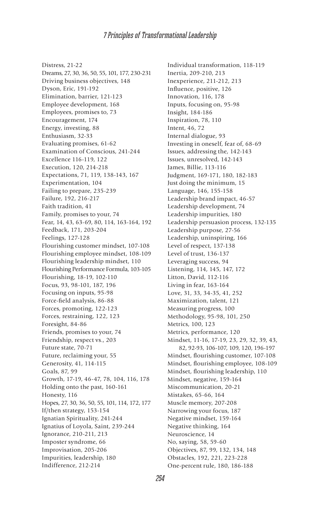Distress, 21-22 Dreams, 27, 30, 36, 50, 55, 101, 177, 230-231 Driving business objectives, 148 Dyson, Eric, 191-192 Elimination, barrier, 121-123 Employee development, 168 Employees, promises to, 73 Encouragement, 174 Energy, investing, 88 Enthusiasm, 32-33 Evaluating promises, 61-62 Examination of Conscious, 241-244 Excellence 116-119, 122 Execution, 120, 214-218 Expectations, 71, 119, 138-143, 167 Experimentation, 104 Failing to prepare, 235-239 Failure, 192, 216-217 Faith tradition, 41 Family, promises to your, 74 Fear, 14, 43, 63-69, 80, 114, 163-164, 192 Feedback, 171, 203-204 Feelings, 127-128 Flourishing customer mindset, 107-108 Flourishing employee mindset, 108-109 Flourishing leadership mindset, 110 Flourishing Performance Formula, 103-105 Flourishing, 18-19, 102-110 Focus, 93, 98-101, 187, 196 Focusing on inputs, 95-98 Force-field analysis, 86-88 Forces, promoting, 122-123 Forces, restraining, 122, 123 Foresight, 84-86 Friends, promises to your, 74 Friendship, respect vs., 203 Future state, 70-71 Future, reclaiming your, 55 Generosity, 41, 114-115 Goals, 87, 99 Growth, 17-19, 46-47, 78, 104, 116, 178 Holding onto the past, 160-161 Honesty, 116 Hopes, 27, 30, 36, 50, 55, 101, 114, 172, 177 If/then strategy, 153-154 Ignatian Spirituality, 241-244 Ignatius of Loyola, Saint, 239-244 Ignorance, 210-211, 213 Imposter syndrome, 66 Improvisation, 205-206 Impurities, leadership, 180 Indifference, 212-214

Individual transformation, 118-119 Inertia, 209-210, 213 Inexperience, 211-212, 213 Influence, positive, 126 Innovation, 116, 178 Inputs, focusing on, 95-98 Insight, 184-186 Inspiration, 78, 110 Intent, 46, 72 Internal dialogue, 93 Investing in oneself, fear of, 68-69 Issues, addressing the, 142-143 Issues, unresolved, 142-143 James, Billie, 113-116 Judgment, 169-171, 180, 182-183 Just doing the minimum, 15 Language, 146, 155-158 Leadership brand impact, 46-57 Leadership development, 74 Leadership impurities, 180 Leadership persuasion process, 132-135 Leadership purpose, 27-56 Leadership, uninspiring, 166 Level of respect, 137-138 Level of trust, 136-137 Leveraging success, 94 Listening, 114, 145, 147, 172 Litton, David, 112-116 Living in fear, 163-164 Love, 31, 33, 34-35, 41, 252 Maximization, talent, 121 Measuring progress, 100 Methodology, 95-98, 101, 250 Metrics, 100, 123 Metrics, performance, 120 Mindset, 11-16, 17-19, 23, 29, 32, 39, 43, 82, 92-93, 106-107, 109, 120, 196-197 Mindset, flourishing customer, 107-108 Mindset, flourishing employee, 108-109 Mindset, flourishing leadership, 110 Mindset, negative, 159-164 Miscommunication, 20-21 Mistakes, 65-66, 164 Muscle memory, 207-208 Narrowing your focus, 187 Negative mindset, 159-164 Negative thinking, 164 Neuroscience, 14 No, saying, 58, 59-60 Objectives, 87, 99, 132, 134, 148 Obstacles, 192, 221, 223-228 One-percent rule, 180, 186-188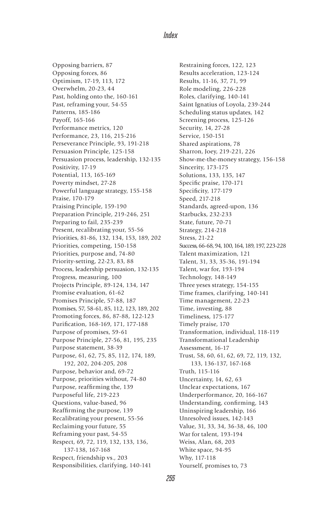Opposing barriers, 87 Opposing forces, 86 Optimism, 17-19, 113, 172 Overwhelm, 20-23, 44 Past, holding onto the, 160-161 Past, reframing your, 54-55 Patterns, 185-186 Payoff, 165-166 Performance metrics, 120 Performance, 23, 116, 215-216 Perseverance Principle, 93, 191-218 Persuasion Principle, 125-158 Persuasion process, leadership, 132-135 Positivity, 17-19 Potential, 113, 165-169 Poverty mindset, 27-28 Powerful language strategy, 155-158 Praise, 170-179 Praising Principle, 159-190 Preparation Principle, 219-246, 251 Preparing to fail, 235-239 Present, recalibrating your, 55-56 Priorities, 81-86, 132, 134, 153, 189, 202 Priorities, competing, 150-158 Priorities, purpose and, 74-80 Priority-setting, 22-23, 83, 88 Process, leadership persuasion, 132-135 Progress, measuring, 100 Projects Principle, 89-124, 134, 147 Promise evaluation, 61-62 Promises Principle, 57-88, 187 Promises, 57, 58-61, 85, 112, 123, 189, 202 Promoting forces, 86, 87-88, 122-123 Purification, 168-169, 171, 177-188 Purpose of promises, 59-61 Purpose Principle, 27-56, 81, 195, 235 Purpose statement, 38-39 Purpose, 61, 62, 75, 85, 112, 174, 189, 192, 202, 204-205, 208 Purpose, behavior and, 69-72 Purpose, priorities without, 74-80 Purpose, reaffirming the, 139 Purposeful life, 219-223 Questions, value-based, 96 Reaffirming the purpose, 139 Recalibrating your present, 55-56 Reclaiming your future, 55 Reframing your past, 54-55 Respect, 69, 72, 119, 132, 133, 136, 137-138, 167-168 Respect, friendship vs., 203 Responsibilities, clarifying, 140-141

Restraining forces, 122, 123 Results acceleration, 123-124 Results, 11-16, 37, 71, 99 Role modeling, 226-228 Roles, clarifying, 140-141 Saint Ignatius of Loyola, 239-244 Scheduling status updates, 142 Screening process, 125-126 Security, 14, 27-28 Service, 150-151 Shared aspirations, 78 Sharron, Joey, 219-221, 226 Show-me-the-money strategy, 156-158 Sincerity, 173-175 Solutions, 133, 135, 147 Specific praise, 170-171 Specificity, 177-179 Speed, 217-218 Standards, agreed-upon, 136 Starbucks, 232-233 State, future, 70-71 Strategy, 214-218 Stress, 21-22 Success, 66-68, 94, 100, 164, 189, 197, 223-228 Talent maximization, 121 Talent, 31, 33, 35-36, 191-194 Talent, war for, 193-194 Technology, 148-149 Three yeses strategy, 154-155 Time frames, clarifying, 140-141 Time management, 22-23 Time, investing, 88 Timeliness, 175-177 Timely praise, 170 Transformation, individual, 118-119 Transformational Leadership Assessment, 16-17 Trust, 58, 60, 61, 62, 69, 72, 119, 132, 133, 136-137, 167-168 Truth, 115-116 Uncertainty, 14, 62, 63 Unclear expectations, 167 Underperformance, 20, 166-167 Understanding, confirming, 143 Uninspiring leadership, 166 Unresolved issues, 142-143 Value, 31, 33, 34, 36-38, 46, 100 War for talent, 193-194 Weiss, Alan, 68, 203 White space, 94-95 Why, 117-118 Yourself, promises to, 73